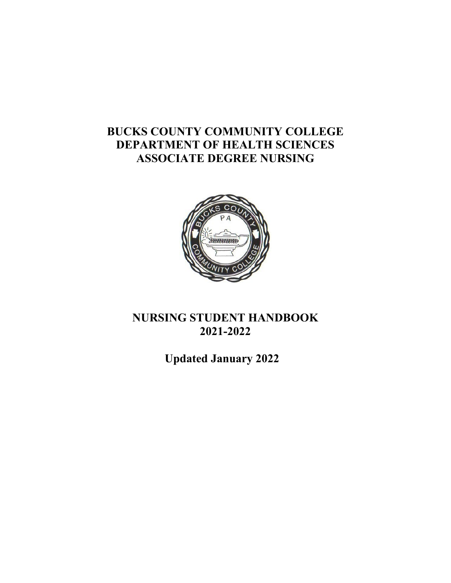# **BUCKS COUNTY COMMUNITY COLLEGE DEPARTMENT OF HEALTH SCIENCES ASSOCIATE DEGREE NURSING**



# **NURSING STUDENT HANDBOOK 2021-2022**

**Updated January 2022**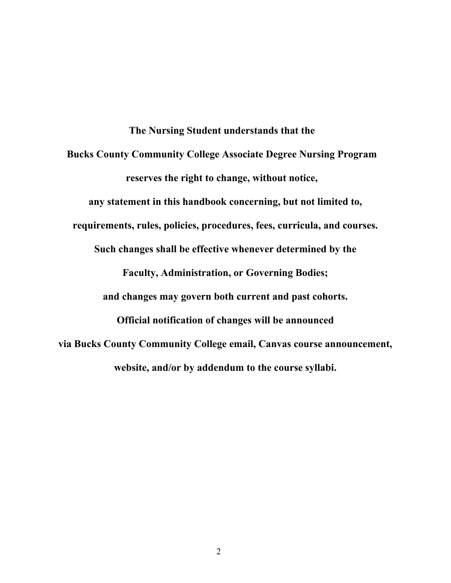**The Nursing Student understands that the Bucks County Community College Associate Degree Nursing Program reserves the right to change, without notice, any statement in this handbook concerning, but not limited to, requirements, rules, policies, procedures, fees, curricula, and courses. Such changes shall be effective whenever determined by the Faculty, Administration, or Governing Bodies; and changes may govern both current and past cohorts. Official notification of changes will be announced via Bucks County Community College email, Canvas course announcement, website, and/or by addendum to the course syllabi.**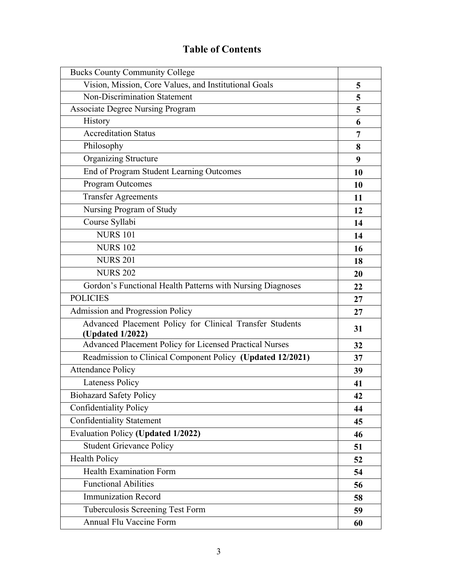# **Table of Contents**

| <b>Bucks County Community College</b>                                        |    |
|------------------------------------------------------------------------------|----|
| Vision, Mission, Core Values, and Institutional Goals                        | 5  |
| Non-Discrimination Statement                                                 | 5  |
| <b>Associate Degree Nursing Program</b>                                      | 5  |
| History                                                                      | 6  |
| <b>Accreditation Status</b>                                                  | 7  |
| Philosophy                                                                   | 8  |
| <b>Organizing Structure</b>                                                  | 9  |
| End of Program Student Learning Outcomes                                     | 10 |
| Program Outcomes                                                             | 10 |
| <b>Transfer Agreements</b>                                                   | 11 |
| Nursing Program of Study                                                     | 12 |
| Course Syllabi                                                               | 14 |
| <b>NURS 101</b>                                                              | 14 |
| <b>NURS 102</b>                                                              | 16 |
| <b>NURS 201</b>                                                              | 18 |
| <b>NURS 202</b>                                                              | 20 |
| Gordon's Functional Health Patterns with Nursing Diagnoses                   | 22 |
| <b>POLICIES</b>                                                              | 27 |
| Admission and Progression Policy                                             | 27 |
| Advanced Placement Policy for Clinical Transfer Students<br>(Updated 1/2022) | 31 |
| Advanced Placement Policy for Licensed Practical Nurses                      | 32 |
| Readmission to Clinical Component Policy (Updated 12/2021)                   | 37 |
| <b>Attendance Policy</b>                                                     | 39 |
| <b>Lateness Policy</b>                                                       | 41 |
| <b>Biohazard Safety Policy</b>                                               | 42 |
| <b>Confidentiality Policy</b>                                                | 44 |
| <b>Confidentiality Statement</b>                                             | 45 |
| <b>Evaluation Policy (Updated 1/2022)</b>                                    | 46 |
| <b>Student Grievance Policy</b>                                              | 51 |
| <b>Health Policy</b>                                                         | 52 |
| <b>Health Examination Form</b>                                               | 54 |
| <b>Functional Abilities</b>                                                  | 56 |
| Immunization Record                                                          | 58 |
| Tuberculosis Screening Test Form                                             | 59 |
| Annual Flu Vaccine Form                                                      | 60 |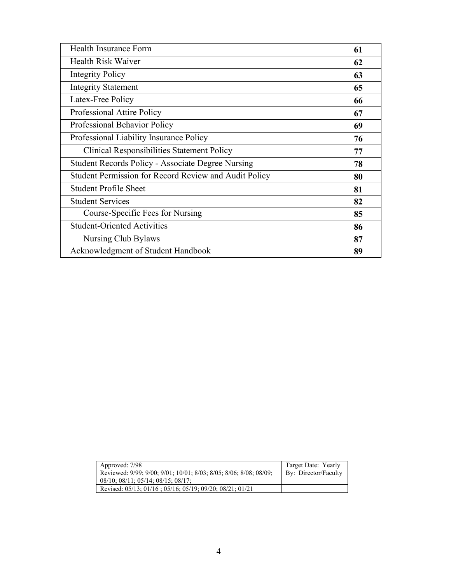| Health Insurance Form                                    | 61 |
|----------------------------------------------------------|----|
| Health Risk Waiver                                       | 62 |
| <b>Integrity Policy</b>                                  | 63 |
| <b>Integrity Statement</b>                               | 65 |
| Latex-Free Policy                                        | 66 |
| Professional Attire Policy                               | 67 |
| Professional Behavior Policy                             | 69 |
| Professional Liability Insurance Policy                  | 76 |
| <b>Clinical Responsibilities Statement Policy</b>        | 77 |
| <b>Student Records Policy - Associate Degree Nursing</b> | 78 |
| Student Permission for Record Review and Audit Policy    | 80 |
| <b>Student Profile Sheet</b>                             | 81 |
| <b>Student Services</b>                                  | 82 |
| Course-Specific Fees for Nursing                         | 85 |
| <b>Student-Oriented Activities</b>                       | 86 |
| Nursing Club Bylaws                                      | 87 |
| Acknowledgment of Student Handbook                       | 89 |

| Approved: 7/98                                                    | Target Date: Yearly  |
|-------------------------------------------------------------------|----------------------|
| Reviewed: 9/99; 9/00; 9/01; 10/01; 8/03; 8/05; 8/06; 8/08; 08/09; | By: Director/Faculty |
| $08/10$ ; $08/11$ ; $05/14$ ; $08/15$ ; $08/17$ ;                 |                      |
| Revised: 05/13; 01/16; 05/16; 05/19; 09/20; 08/21; 01/21          |                      |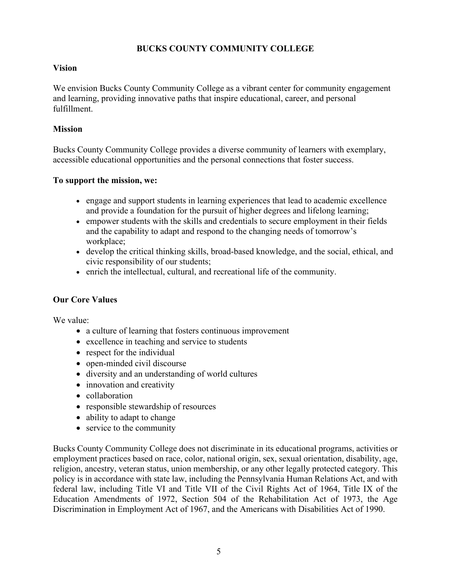# **BUCKS COUNTY COMMUNITY COLLEGE**

# **Vision**

We envision Bucks County Community College as a vibrant center for community engagement and learning, providing innovative paths that inspire educational, career, and personal fulfillment.

# **Mission**

Bucks County Community College provides a diverse community of learners with exemplary, accessible educational opportunities and the personal connections that foster success.

# **To support the mission, we:**

- engage and support students in learning experiences that lead to academic excellence and provide a foundation for the pursuit of higher degrees and lifelong learning;
- empower students with the skills and credentials to secure employment in their fields and the capability to adapt and respond to the changing needs of tomorrow's workplace;
- develop the critical thinking skills, broad-based knowledge, and the social, ethical, and civic responsibility of our students;
- enrich the intellectual, cultural, and recreational life of the community.

# **Our Core Values**

We value:

- a culture of learning that fosters continuous improvement
- excellence in teaching and service to students
- respect for the individual
- open-minded civil discourse
- diversity and an understanding of world cultures
- innovation and creativity
- collaboration
- responsible stewardship of resources
- ability to adapt to change
- service to the community

Bucks County Community College does not discriminate in its educational programs, activities or employment practices based on race, color, national origin, sex, sexual orientation, disability, age, religion, ancestry, veteran status, union membership, or any other legally protected category. This policy is in accordance with state law, including the Pennsylvania Human Relations Act, and with federal law, including Title VI and Title VII of the Civil Rights Act of 1964, Title IX of the Education Amendments of 1972, Section 504 of the Rehabilitation Act of 1973, the Age Discrimination in Employment Act of 1967, and the Americans with Disabilities Act of 1990.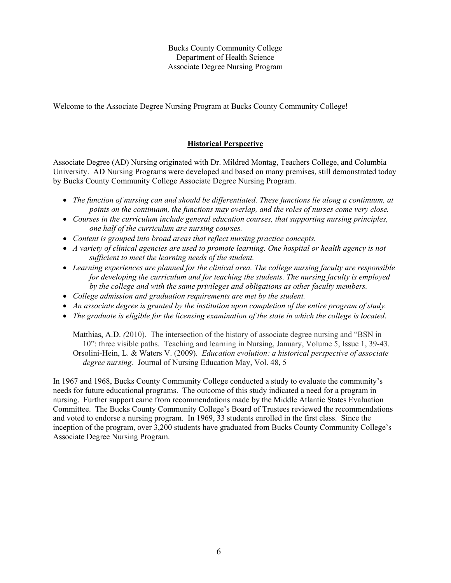Welcome to the Associate Degree Nursing Program at Bucks County Community College!

# **Historical Perspective**

Associate Degree (AD) Nursing originated with Dr. Mildred Montag, Teachers College, and Columbia University. AD Nursing Programs were developed and based on many premises, still demonstrated today by Bucks County Community College Associate Degree Nursing Program.

- *The function of nursing can and should be differentiated. These functions lie along a continuum, at points on the continuum, the functions may overlap, and the roles of nurses come very close.*
- *Courses in the curriculum include general education courses, that supporting nursing principles, one half of the curriculum are nursing courses.*
- *Content is grouped into broad areas that reflect nursing practice concepts.*
- *A variety of clinical agencies are used to promote learning. One hospital or health agency is not sufficient to meet the learning needs of the student.*
- *Learning experiences are planned for the clinical area. The college nursing faculty are responsible for developing the curriculum and for teaching the students. The nursing faculty is employed by the college and with the same privileges and obligations as other faculty members.*
- *College admission and graduation requirements are met by the student.*
- *An associate degree is granted by the institution upon completion of the entire program of study.*
- *The graduate is eligible for the licensing examination of the state in which the college is located.*

Matthias, A.D. *(*2010). The intersection of the history of associate degree nursing and "BSN in 10": three visible paths. Teaching and learning in Nursing, January, Volume 5, Issue 1, 39-43. Orsolini-Hein, L. & Waters V. (2009). *Education evolution: a historical perspective of associate degree nursing.* Journal of Nursing Education May, Vol. 48, 5

In 1967 and 1968, Bucks County Community College conducted a study to evaluate the community's needs for future educational programs. The outcome of this study indicated a need for a program in nursing. Further support came from recommendations made by the Middle Atlantic States Evaluation Committee. The Bucks County Community College's Board of Trustees reviewed the recommendations and voted to endorse a nursing program. In 1969, 33 students enrolled in the first class. Since the inception of the program, over 3,200 students have graduated from Bucks County Community College's Associate Degree Nursing Program.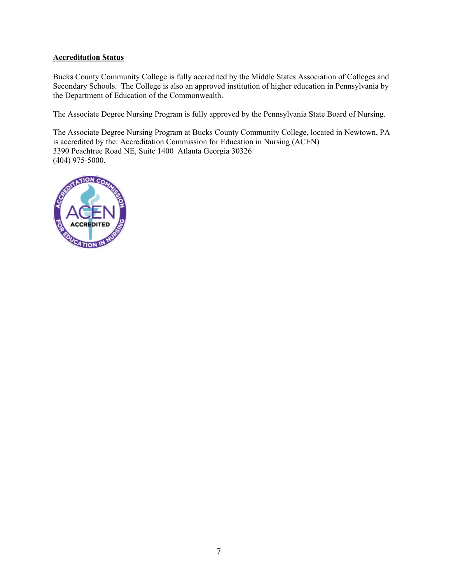# **Accreditation Status**

Bucks County Community College is fully accredited by the Middle States Association of Colleges and Secondary Schools. The College is also an approved institution of higher education in Pennsylvania by the Department of Education of the Commonwealth.

The Associate Degree Nursing Program is fully approved by the Pennsylvania State Board of Nursing.

The Associate Degree Nursing Program at Bucks County Community College, located in Newtown, PA is accredited by the: Accreditation Commission for Education in Nursing (ACEN) 3390 Peachtree Road NE, Suite 1400 Atlanta Georgia 30326 (404) 975-5000.

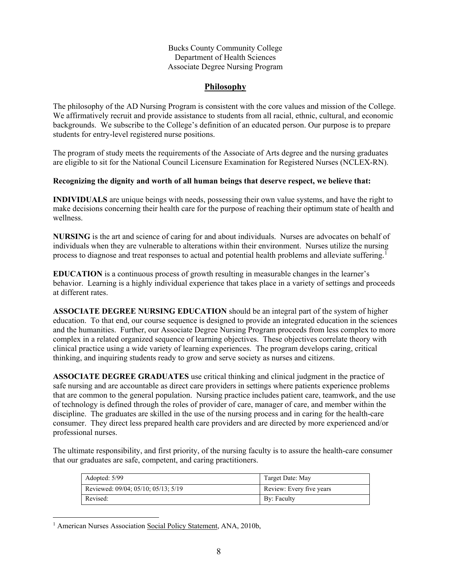# **Philosophy**

The philosophy of the AD Nursing Program is consistent with the core values and mission of the College. We affirmatively recruit and provide assistance to students from all racial, ethnic, cultural, and economic backgrounds. We subscribe to the College's definition of an educated person. Our purpose is to prepare students for entry-level registered nurse positions.

The program of study meets the requirements of the Associate of Arts degree and the nursing graduates are eligible to sit for the National Council Licensure Examination for Registered Nurses (NCLEX-RN).

# **Recognizing the dignity and worth of all human beings that deserve respect, we believe that:**

**INDIVIDUALS** are unique beings with needs, possessing their own value systems, and have the right to make decisions concerning their health care for the purpose of reaching their optimum state of health and wellness.

**NURSING** is the art and science of caring for and about individuals. Nurses are advocates on behalf of individuals when they are vulnerable to alterations within their environment. Nurses utilize the nursing process to diagnose and treat responses to actual and potential health problems and alleviate suffering.<sup>[1](#page-7-0)</sup>

**EDUCATION** is a continuous process of growth resulting in measurable changes in the learner's behavior. Learning is a highly individual experience that takes place in a variety of settings and proceeds at different rates.

**ASSOCIATE DEGREE NURSING EDUCATION** should be an integral part of the system of higher education. To that end, our course sequence is designed to provide an integrated education in the sciences and the humanities. Further, our Associate Degree Nursing Program proceeds from less complex to more complex in a related organized sequence of learning objectives. These objectives correlate theory with clinical practice using a wide variety of learning experiences. The program develops caring, critical thinking, and inquiring students ready to grow and serve society as nurses and citizens.

**ASSOCIATE DEGREE GRADUATES** use critical thinking and clinical judgment in the practice of safe nursing and are accountable as direct care providers in settings where patients experience problems that are common to the general population. Nursing practice includes patient care, teamwork, and the use of technology is defined through the roles of provider of care, manager of care, and member within the discipline. The graduates are skilled in the use of the nursing process and in caring for the health-care consumer. They direct less prepared health care providers and are directed by more experienced and/or professional nurses.

The ultimate responsibility, and first priority, of the nursing faculty is to assure the health-care consumer that our graduates are safe, competent, and caring practitioners.

| Adopted: 5/99                       | Target Date: May         |
|-------------------------------------|--------------------------|
| Reviewed: 09/04; 05/10; 05/13; 5/19 | Review: Every five years |
| Revised:                            | By: Faculty              |

<span id="page-7-0"></span><sup>&</sup>lt;sup>1</sup> American Nurses Association Social Policy Statement, ANA, 2010b,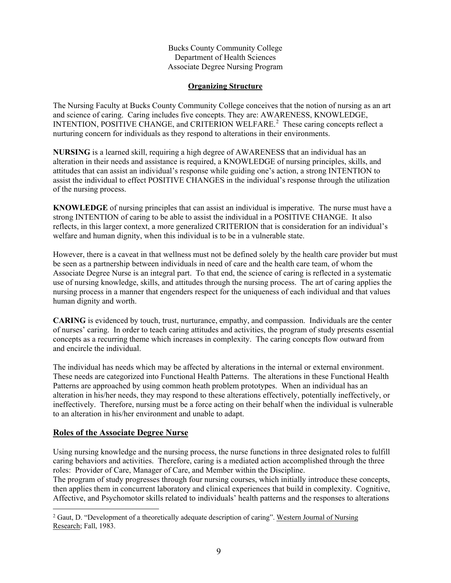# **Organizing Structure**

The Nursing Faculty at Bucks County Community College conceives that the notion of nursing as an art and science of caring. Caring includes five concepts. They are: AWARENESS, KNOWLEDGE, INTENTION, POSITIVE CHANGE, and CRITERION WELFARE.<sup>[2](#page-8-0)</sup> These caring concepts reflect a nurturing concern for individuals as they respond to alterations in their environments.

**NURSING** is a learned skill, requiring a high degree of AWARENESS that an individual has an alteration in their needs and assistance is required, a KNOWLEDGE of nursing principles, skills, and attitudes that can assist an individual's response while guiding one's action, a strong INTENTION to assist the individual to effect POSITIVE CHANGES in the individual's response through the utilization of the nursing process.

**KNOWLEDGE** of nursing principles that can assist an individual is imperative. The nurse must have a strong INTENTION of caring to be able to assist the individual in a POSITIVE CHANGE. It also reflects, in this larger context, a more generalized CRITERION that is consideration for an individual's welfare and human dignity, when this individual is to be in a vulnerable state.

However, there is a caveat in that wellness must not be defined solely by the health care provider but must be seen as a partnership between individuals in need of care and the health care team, of whom the Associate Degree Nurse is an integral part. To that end, the science of caring is reflected in a systematic use of nursing knowledge, skills, and attitudes through the nursing process. The art of caring applies the nursing process in a manner that engenders respect for the uniqueness of each individual and that values human dignity and worth.

**CARING** is evidenced by touch, trust, nurturance, empathy, and compassion. Individuals are the center of nurses' caring. In order to teach caring attitudes and activities, the program of study presents essential concepts as a recurring theme which increases in complexity. The caring concepts flow outward from and encircle the individual.

The individual has needs which may be affected by alterations in the internal or external environment. These needs are categorized into Functional Health Patterns. The alterations in these Functional Health Patterns are approached by using common heath problem prototypes. When an individual has an alteration in his/her needs, they may respond to these alterations effectively, potentially ineffectively, or ineffectively. Therefore, nursing must be a force acting on their behalf when the individual is vulnerable to an alteration in his/her environment and unable to adapt.

# **Roles of the Associate Degree Nurse**

Using nursing knowledge and the nursing process, the nurse functions in three designated roles to fulfill caring behaviors and activities. Therefore, caring is a mediated action accomplished through the three roles: Provider of Care, Manager of Care, and Member within the Discipline.

The program of study progresses through four nursing courses, which initially introduce these concepts, then applies them in concurrent laboratory and clinical experiences that build in complexity. Cognitive, Affective, and Psychomotor skills related to individuals' health patterns and the responses to alterations

<span id="page-8-0"></span><sup>&</sup>lt;sup>2</sup> Gaut, D. "Development of a theoretically adequate description of caring". Western Journal of Nursing Research; Fall, 1983.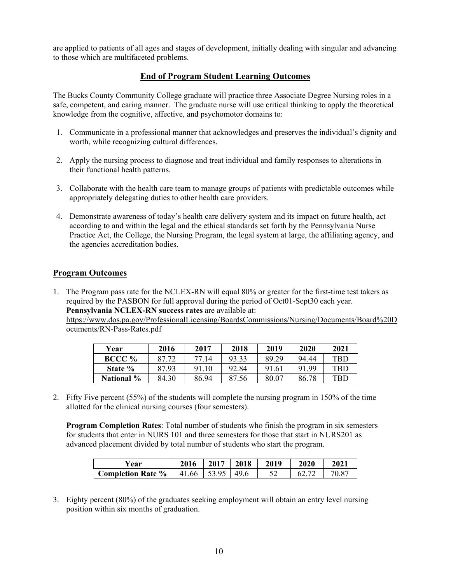are applied to patients of all ages and stages of development, initially dealing with singular and advancing to those which are multifaceted problems.

# **End of Program Student Learning Outcomes**

The Bucks County Community College graduate will practice three Associate Degree Nursing roles in a safe, competent, and caring manner. The graduate nurse will use critical thinking to apply the theoretical knowledge from the cognitive, affective, and psychomotor domains to:

- 1. Communicate in a professional manner that acknowledges and preserves the individual's dignity and worth, while recognizing cultural differences.
- 2. Apply the nursing process to diagnose and treat individual and family responses to alterations in their functional health patterns.
- 3. Collaborate with the health care team to manage groups of patients with predictable outcomes while appropriately delegating duties to other health care providers.
- 4. Demonstrate awareness of today's health care delivery system and its impact on future health, act according to and within the legal and the ethical standards set forth by the Pennsylvania Nurse Practice Act, the College, the Nursing Program, the legal system at large, the affiliating agency, and the agencies accreditation bodies.

# **Program Outcomes**

1. The Program pass rate for the NCLEX-RN will equal 80% or greater for the first-time test takers as required by the PASBON for full approval during the period of Oct01-Sept30 each year. **Pennsylvania NCLEX-RN success rates** are available at:

[https://www.dos.pa.gov/ProfessionalLicensing/BoardsCommissions/Nursing/Documents/Board%20D](https://www.dos.pa.gov/ProfessionalLicensing/BoardsCommissions/Nursing/Documents/Board%20Documents/RN-Pass-Rates.pdf) [ocuments/RN-Pass-Rates.pdf](https://www.dos.pa.gov/ProfessionalLicensing/BoardsCommissions/Nursing/Documents/Board%20Documents/RN-Pass-Rates.pdf) 

| Year       | 2016  | 2017  | 2018  | 2019  | 2020  | 2021 |
|------------|-------|-------|-------|-------|-------|------|
| BCCC %     | 87.72 | 77.14 | 93.33 | 89.29 | 94.44 | TBD  |
| State %    | 87.93 | 91.10 | 92.84 | 91.61 | 91.99 | TBD  |
| National % | 84.30 | 86.94 | 87.56 | 80.07 | 86.78 | TBD. |

2. Fifty Five percent (55%) of the students will complete the nursing program in 150% of the time allotted for the clinical nursing courses (four semesters).

**Program Completion Rates**: Total number of students who finish the program in six semesters for students that enter in NURS 101 and three semesters for those that start in NURS201 as advanced placement divided by total number of students who start the program.

| Year                     | 2016  | 2017  | 2018 | 2019 | <b>2020</b> | 2021  |
|--------------------------|-------|-------|------|------|-------------|-------|
| <b>Completion Rate %</b> | 41.66 | 15305 | 49.6 |      | 62.         | 70.87 |

3. Eighty percent (80%) of the graduates seeking employment will obtain an entry level nursing position within six months of graduation.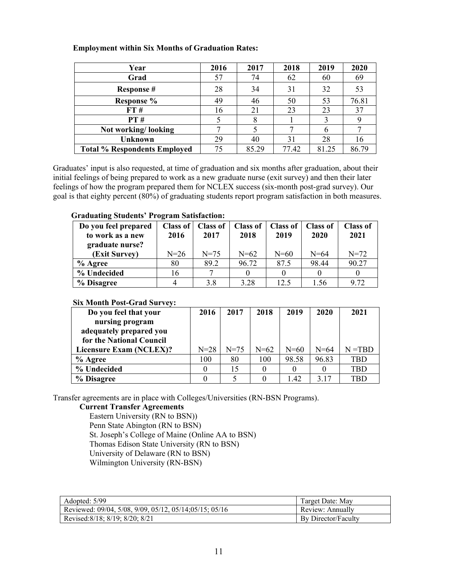| Year                                | 2016 | 2017  | 2018  | 2019  | 2020  |
|-------------------------------------|------|-------|-------|-------|-------|
| Grad                                | 57   | 74    | 62    | 60    | 69    |
| <b>Response #</b>                   | 28   | 34    | 31    | 32    | 53    |
| Response %                          | 49   | 46    | 50    | 53    | 76.81 |
| FT#                                 | 16   | 21    | 23    | 23    | 37    |
| PT#                                 |      |       |       | 3     | 9     |
| Not working/looking                 |      |       |       | 6     |       |
| <b>Unknown</b>                      | 29   | 40    | 31    | 28    | 16    |
| <b>Total % Respondents Employed</b> | 75   | 85.29 | 77.42 | 81.25 | 86.79 |

# **Employment within Six Months of Graduation Rates:**

Graduates' input is also requested, at time of graduation and six months after graduation, about their initial feelings of being prepared to work as a new graduate nurse (exit survey) and then their later feelings of how the program prepared them for NCLEX success (six-month post-grad survey). Our goal is that eighty percent (80%) of graduating students report program satisfaction in both measures.

# **Graduating Students' Program Satisfaction:**

| Do you feel prepared | Class of | <b>Class of</b> | <b>Class of</b> | <b>Class of</b> | <b>Class of</b> | <b>Class of</b> |
|----------------------|----------|-----------------|-----------------|-----------------|-----------------|-----------------|
| to work as a new     | 2016     | 2017            | 2018            | 2019            | 2020            | 2021            |
| graduate nurse?      |          |                 |                 |                 |                 |                 |
| (Exit Survey)        | $N=26$   | $N = 75$        | $N=62$          | $N=60$          | $N = 64$        | $N = 72$        |
| $%$ Agree            | 80       | 89.2            | 96.72           | 87.5            | 98.44           | 90.27           |
| % Undecided          | 16       |                 |                 |                 |                 |                 |
| % Disagree           |          | 3.8             | 3.28            | 12.5            | 1.56            | 9.72            |

# **Six Month Post-Grad Survey:**

| Do you feel that your    | 2016     | 2017     | 2018     | 2019   | 2020     | 2021       |
|--------------------------|----------|----------|----------|--------|----------|------------|
| nursing program          |          |          |          |        |          |            |
| adequately prepared you  |          |          |          |        |          |            |
| for the National Council |          |          |          |        |          |            |
| Licensure Exam (NCLEX)?  | $N = 28$ | $N = 75$ | $N = 62$ | $N=60$ | $N = 64$ | $N = TBD$  |
| % Agree                  | 100      | 80       | 100      | 98.58  | 96.83    | TBD        |
| % Undecided              |          | 15       |          |        |          | <b>TBD</b> |
| % Disagree               |          |          |          | 1.42   | 3.17     | <b>TBD</b> |

Transfer agreements are in place with Colleges/Universities (RN-BSN Programs).

# **Current Transfer Agreements**

[Eastern University](http://www.bucks.edu/student/transfer/agreements/name,14315,en.php) (RN to BSN)) [Penn State Abington \(RN to BSN\)](http://www.abington.psu.edu/academics/majors-programs/majors-abington/nursing-rn-bs-degree-program) [St. Joseph's College of Maine \(](http://www.bucks.edu/student/transfer/agreements/name,14773,en.php)Online AA to BSN) Thomas Edison State University (RN to BSN) [University of Delaware](http://www.bucks.edu/student/transfer/agreements/name,14878,en.php) (RN to BSN) [Wilmington University](http://www.bucks.edu/student/transfer/agreements/name,18753,en.php) (RN-BSN)

| Adopted: 5/99                                          | Target Date: May    |
|--------------------------------------------------------|---------------------|
| Reviewed: 09/04, 5/08, 9/09, 05/12, 05/14;05/15; 05/16 | Review: Annually    |
| Revised: 8/18: 8/19: 8/20: 8/21                        | By Director/Faculty |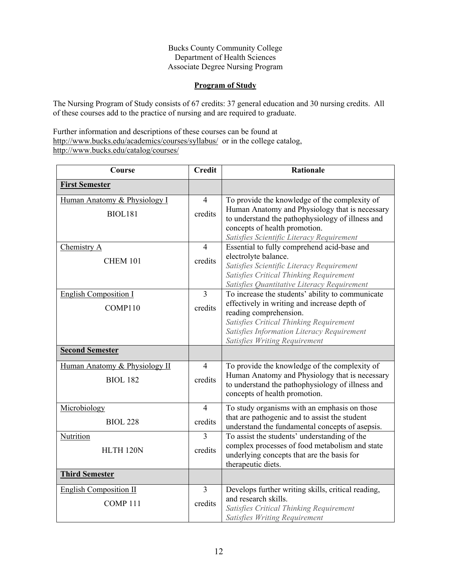# **Program of Study**

The Nursing Program of Study consists of 67 credits: 37 general education and 30 nursing credits. All of these courses add to the practice of nursing and are required to graduate.

Further information and descriptions of these courses can be found at <http://www.bucks.edu/academics/courses/syllabus/>or in the college catalog, <http://www.bucks.edu/catalog/courses/>

| Course                        | <b>Credit</b>  | Rationale                                                                                      |
|-------------------------------|----------------|------------------------------------------------------------------------------------------------|
| <b>First Semester</b>         |                |                                                                                                |
| Human Anatomy & Physiology I  | $\overline{4}$ | To provide the knowledge of the complexity of                                                  |
| <b>BIOL181</b>                | credits        | Human Anatomy and Physiology that is necessary                                                 |
|                               |                | to understand the pathophysiology of illness and<br>concepts of health promotion.              |
|                               |                | Satisfies Scientific Literacy Requirement                                                      |
| Chemistry A                   | $\overline{4}$ | Essential to fully comprehend acid-base and                                                    |
| <b>CHEM 101</b>               | credits        | electrolyte balance.                                                                           |
|                               |                | Satisfies Scientific Literacy Requirement                                                      |
|                               |                | Satisfies Critical Thinking Requirement                                                        |
|                               |                | Satisfies Quantitative Literacy Requirement                                                    |
| <b>English Composition I</b>  | $\overline{3}$ | To increase the students' ability to communicate                                               |
| COMP110                       | credits        | effectively in writing and increase depth of<br>reading comprehension.                         |
|                               |                | Satisfies Critical Thinking Requirement                                                        |
|                               |                | Satisfies Information Literacy Requirement                                                     |
|                               |                | Satisfies Writing Requirement                                                                  |
| <b>Second Semester</b>        |                |                                                                                                |
| Human Anatomy & Physiology II | $\overline{4}$ | To provide the knowledge of the complexity of                                                  |
| <b>BIOL 182</b>               | credits        | Human Anatomy and Physiology that is necessary                                                 |
|                               |                | to understand the pathophysiology of illness and                                               |
|                               |                | concepts of health promotion.                                                                  |
| Microbiology                  | $\overline{4}$ | To study organisms with an emphasis on those                                                   |
| <b>BIOL 228</b>               | credits        | that are pathogenic and to assist the student                                                  |
|                               |                | understand the fundamental concepts of asepsis.                                                |
| Nutrition                     | $\overline{3}$ | To assist the students' understanding of the<br>complex processes of food metabolism and state |
| HLTH <sub>120N</sub>          | credits        | underlying concepts that are the basis for                                                     |
|                               |                | therapeutic diets.                                                                             |
| <b>Third Semester</b>         |                |                                                                                                |
| <b>English Composition II</b> | $\overline{3}$ | Develops further writing skills, critical reading,                                             |
| COMP <sub>111</sub>           | credits        | and research skills.                                                                           |
|                               |                | Satisfies Critical Thinking Requirement                                                        |
|                               |                | Satisfies Writing Requirement                                                                  |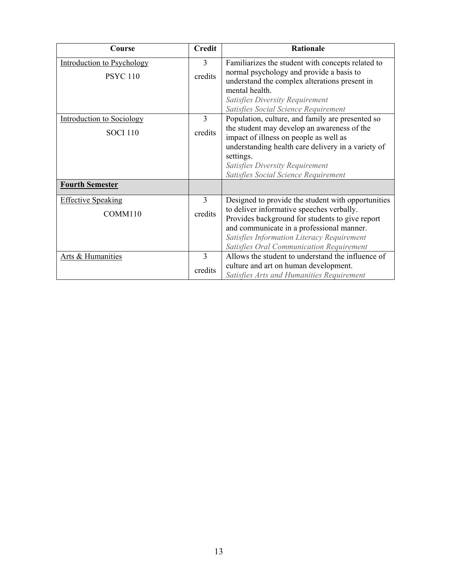| Course                                                                        | <b>Credit</b>  | <b>Rationale</b>                                                                                                                                                                                                                                                                        |
|-------------------------------------------------------------------------------|----------------|-----------------------------------------------------------------------------------------------------------------------------------------------------------------------------------------------------------------------------------------------------------------------------------------|
| <b>Introduction to Psychology</b>                                             | 3              | Familiarizes the student with concepts related to                                                                                                                                                                                                                                       |
| <b>PSYC 110</b>                                                               | credits        | normal psychology and provide a basis to<br>understand the complex alterations present in<br>mental health.<br>Satisfies Diversity Requirement                                                                                                                                          |
|                                                                               | 3              | Satisfies Social Science Requirement                                                                                                                                                                                                                                                    |
| <b>Introduction to Sociology</b><br><b>SOCI 110</b><br><b>Fourth Semester</b> | credits        | Population, culture, and family are presented so<br>the student may develop an awareness of the<br>impact of illness on people as well as<br>understanding health care delivery in a variety of<br>settings.<br>Satisfies Diversity Requirement<br>Satisfies Social Science Requirement |
| <b>Effective Speaking</b>                                                     | $\overline{3}$ | Designed to provide the student with opportunities                                                                                                                                                                                                                                      |
| COMM110                                                                       | credits        | to deliver informative speeches verbally.<br>Provides background for students to give report<br>and communicate in a professional manner.<br>Satisfies Information Literacy Requirement<br>Satisfies Oral Communication Requirement                                                     |
| Arts & Humanities                                                             | $\overline{3}$ | Allows the student to understand the influence of                                                                                                                                                                                                                                       |
|                                                                               | credits        | culture and art on human development.<br>Satisfies Arts and Humanities Requirement                                                                                                                                                                                                      |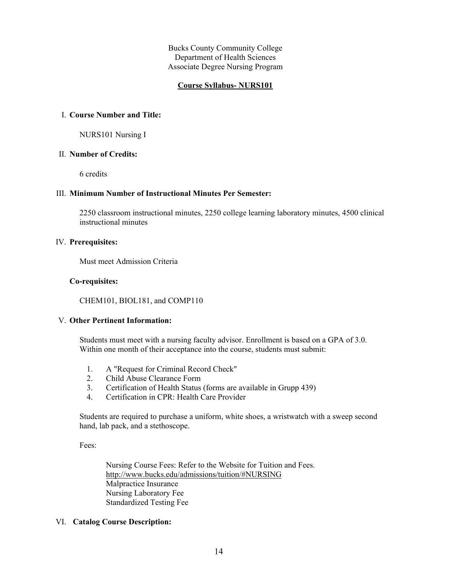# **Course Syllabus- NURS101**

#### I. **Course Number and Title:**

NURS101 Nursing I

#### II. **Number of Credits:**

6 credits

## III. **Minimum Number of Instructional Minutes Per Semester:**

2250 classroom instructional minutes, 2250 college learning laboratory minutes, 4500 clinical instructional minutes

#### IV. **Prerequisites:**

Must meet Admission Criteria

#### **Co-requisites:**

CHEM101, BIOL181, and COMP110

# V. **Other Pertinent Information:**

Students must meet with a nursing faculty advisor. Enrollment is based on a GPA of 3.0. Within one month of their acceptance into the course, students must submit:

- 1. A "Request for Criminal Record Check"
- 2. Child Abuse Clearance Form
- 3. Certification of Health Status (forms are available in Grupp 439)
- 4. Certification in CPR: Health Care Provider

Students are required to purchase a uniform, white shoes, a wristwatch with a sweep second hand, lab pack, and a stethoscope.

Fees:

Nursing Course Fees: Refer to the Website for Tuition and Fees. <http://www.bucks.edu/admissions/tuition/#NURSING> Malpractice Insurance Nursing Laboratory Fee Standardized Testing Fee

# VI. **Catalog Course Description:**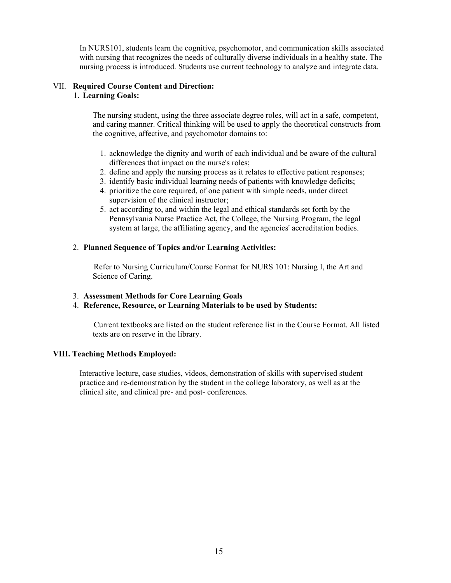In NURS101, students learn the cognitive, psychomotor, and communication skills associated with nursing that recognizes the needs of culturally diverse individuals in a healthy state. The nursing process is introduced. Students use current technology to analyze and integrate data.

# VII. **Required Course Content and Direction:**

#### 1. **Learning Goals:**

The nursing student, using the three associate degree roles, will act in a safe, competent, and caring manner. Critical thinking will be used to apply the theoretical constructs from the cognitive, affective, and psychomotor domains to:

- 1. acknowledge the dignity and worth of each individual and be aware of the cultural differences that impact on the nurse's roles;
- 2. define and apply the nursing process as it relates to effective patient responses;
- 3. identify basic individual learning needs of patients with knowledge deficits;
- 4. prioritize the care required, of one patient with simple needs, under direct supervision of the clinical instructor;
- 5. act according to, and within the legal and ethical standards set forth by the Pennsylvania Nurse Practice Act, the College, the Nursing Program, the legal system at large, the affiliating agency, and the agencies' accreditation bodies.

# 2. **Planned Sequence of Topics and/or Learning Activities:**

 Refer to Nursing Curriculum/Course Format for NURS 101: Nursing I, the Art and Science of Caring.

- 3. **Assessment Methods for Core Learning Goals**
- 4. **Reference, Resource, or Learning Materials to be used by Students:**

 Current textbooks are listed on the student reference list in the Course Format. All listed texts are on reserve in the library.

# **VIII. Teaching Methods Employed:**

Interactive lecture, case studies, videos, demonstration of skills with supervised student practice and re-demonstration by the student in the college laboratory, as well as at the clinical site, and clinical pre- and post- conferences.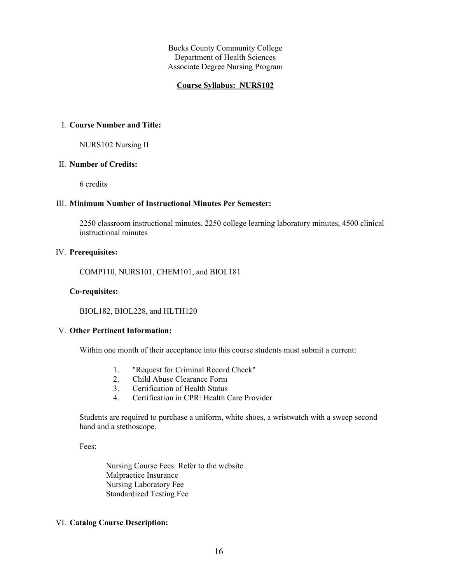#### **Course Syllabus: NURS102**

#### I. **Course Number and Title:**

NURS102 Nursing II

#### II. **Number of Credits:**

6 credits

#### III. **Minimum Number of Instructional Minutes Per Semester:**

2250 classroom instructional minutes, 2250 college learning laboratory minutes, 4500 clinical instructional minutes

# IV. **Prerequisites:**

COMP110, NURS101, CHEM101, and BIOL181

#### **Co-requisites:**

BIOL182, BIOL228, and HLTH120

#### V. **Other Pertinent Information:**

Within one month of their acceptance into this course students must submit a current:

- 1. "Request for Criminal Record Check"
- 2. Child Abuse Clearance Form
- 3. Certification of Health Status
- 4. Certification in CPR: Health Care Provider

Students are required to purchase a uniform, white shoes, a wristwatch with a sweep second hand and a stethoscope.

Fees:

Nursing Course Fees: Refer to the website Malpractice Insurance Nursing Laboratory Fee Standardized Testing Fee

# VI. **Catalog Course Description:**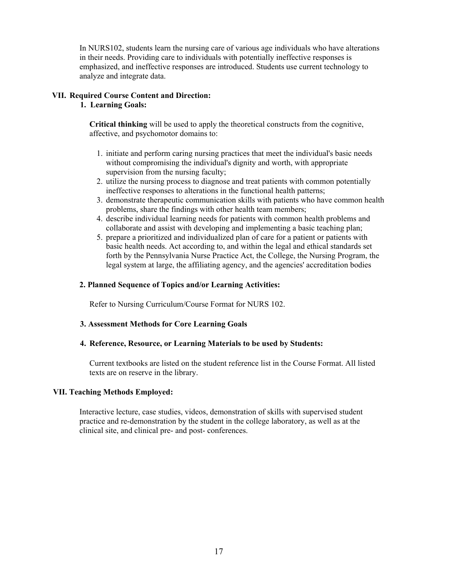In NURS102, students learn the nursing care of various age individuals who have alterations in their needs. Providing care to individuals with potentially ineffective responses is emphasized, and ineffective responses are introduced. Students use current technology to analyze and integrate data.

# **VII. Required Course Content and Direction:**

# **1. Learning Goals:**

**Critical thinking** will be used to apply the theoretical constructs from the cognitive, affective, and psychomotor domains to:

- 1. initiate and perform caring nursing practices that meet the individual's basic needs without compromising the individual's dignity and worth, with appropriate supervision from the nursing faculty;
- 2. utilize the nursing process to diagnose and treat patients with common potentially ineffective responses to alterations in the functional health patterns;
- 3. demonstrate therapeutic communication skills with patients who have common health problems, share the findings with other health team members;
- 4. describe individual learning needs for patients with common health problems and collaborate and assist with developing and implementing a basic teaching plan;
- 5. prepare a prioritized and individualized plan of care for a patient or patients with basic health needs. Act according to, and within the legal and ethical standards set forth by the Pennsylvania Nurse Practice Act, the College, the Nursing Program, the legal system at large, the affiliating agency, and the agencies' accreditation bodies

# **2. Planned Sequence of Topics and/or Learning Activities:**

Refer to Nursing Curriculum/Course Format for NURS 102.

# **3. Assessment Methods for Core Learning Goals**

# **4. Reference, Resource, or Learning Materials to be used by Students:**

Current textbooks are listed on the student reference list in the Course Format. All listed texts are on reserve in the library.

# **VII. Teaching Methods Employed:**

Interactive lecture, case studies, videos, demonstration of skills with supervised student practice and re-demonstration by the student in the college laboratory, as well as at the clinical site, and clinical pre- and post- conferences.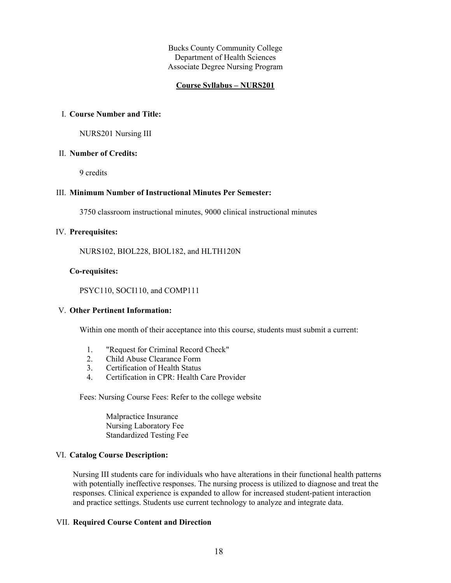#### **Course Syllabus – NURS201**

#### I. **Course Number and Title:**

NURS201 Nursing III

#### II. **Number of Credits:**

9 credits

# III. **Minimum Number of Instructional Minutes Per Semester:**

3750 classroom instructional minutes, 9000 clinical instructional minutes

#### IV. **Prerequisites:**

NURS102, BIOL228, BIOL182, and HLTH120N

#### **Co-requisites:**

#### PSYC110, SOCI110, and COMP111

#### V. **Other Pertinent Information:**

Within one month of their acceptance into this course, students must submit a current:

- 1. "Request for Criminal Record Check"
- 2. Child Abuse Clearance Form
- 3. Certification of Health Status
- 4. Certification in CPR: Health Care Provider

Fees: Nursing Course Fees: Refer to the college website

Malpractice Insurance Nursing Laboratory Fee Standardized Testing Fee

#### VI. **Catalog Course Description:**

Nursing III students care for individuals who have alterations in their functional health patterns with potentially ineffective responses. The nursing process is utilized to diagnose and treat the responses. Clinical experience is expanded to allow for increased student-patient interaction and practice settings. Students use current technology to analyze and integrate data.

## VII. **Required Course Content and Direction**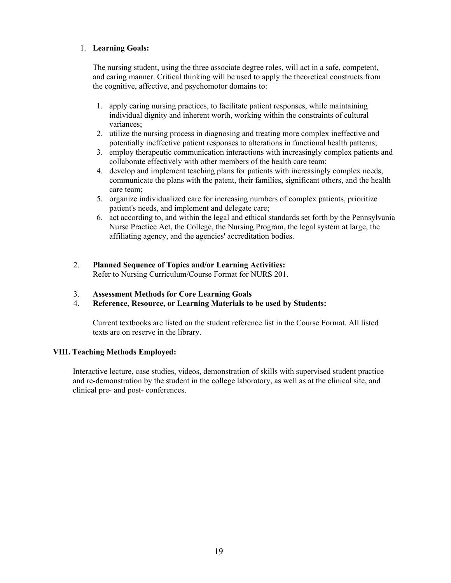# 1. **Learning Goals:**

The nursing student, using the three associate degree roles, will act in a safe, competent, and caring manner. Critical thinking will be used to apply the theoretical constructs from the cognitive, affective, and psychomotor domains to:

- 1. apply caring nursing practices, to facilitate patient responses, while maintaining individual dignity and inherent worth, working within the constraints of cultural variances;
- 2. utilize the nursing process in diagnosing and treating more complex ineffective and potentially ineffective patient responses to alterations in functional health patterns;
- 3. employ therapeutic communication interactions with increasingly complex patients and collaborate effectively with other members of the health care team;
- 4. develop and implement teaching plans for patients with increasingly complex needs, communicate the plans with the patent, their families, significant others, and the health care team;
- 5. organize individualized care for increasing numbers of complex patients, prioritize patient's needs, and implement and delegate care;
- 6. act according to, and within the legal and ethical standards set forth by the Pennsylvania Nurse Practice Act, the College, the Nursing Program, the legal system at large, the affiliating agency, and the agencies' accreditation bodies.
- 2. **Planned Sequence of Topics and/or Learning Activities:** Refer to Nursing Curriculum/Course Format for NURS 201.
- 3. **Assessment Methods for Core Learning Goals**
- 4. **Reference, Resource, or Learning Materials to be used by Students:**

Current textbooks are listed on the student reference list in the Course Format. All listed texts are on reserve in the library.

# **VIII. Teaching Methods Employed:**

Interactive lecture, case studies, videos, demonstration of skills with supervised student practice and re-demonstration by the student in the college laboratory, as well as at the clinical site, and clinical pre- and post- conferences.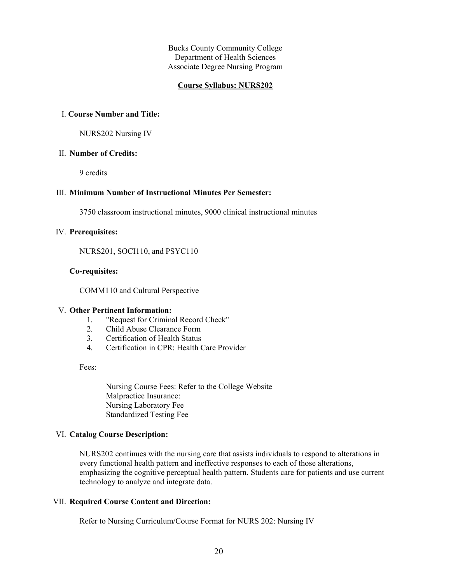# **Course Syllabus: NURS202**

#### I. **Course Number and Title:**

NURS202 Nursing IV

#### II. **Number of Credits:**

9 credits

#### III. **Minimum Number of Instructional Minutes Per Semester:**

3750 classroom instructional minutes, 9000 clinical instructional minutes

#### IV. **Prerequisites:**

NURS201, SOCI110, and PSYC110

## **Co-requisites:**

COMM110 and Cultural Perspective

#### V. **Other Pertinent Information:**

- 1. "Request for Criminal Record Check"
- 2. Child Abuse Clearance Form
- 3. Certification of Health Status
- 4. Certification in CPR: Health Care Provider

Fees:

Nursing Course Fees: Refer to the College Website Malpractice Insurance: Nursing Laboratory Fee Standardized Testing Fee

#### VI. **Catalog Course Description:**

NURS202 continues with the nursing care that assists individuals to respond to alterations in every functional health pattern and ineffective responses to each of those alterations, emphasizing the cognitive perceptual health pattern. Students care for patients and use current technology to analyze and integrate data.

#### VII. **Required Course Content and Direction:**

Refer to Nursing Curriculum/Course Format for NURS 202: Nursing IV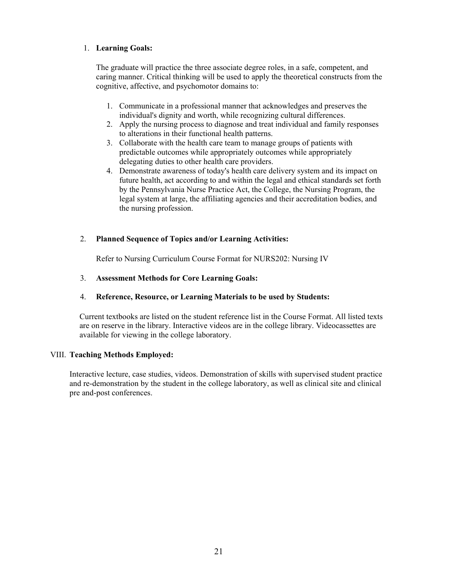# 1. **Learning Goals:**

The graduate will practice the three associate degree roles, in a safe, competent, and caring manner. Critical thinking will be used to apply the theoretical constructs from the cognitive, affective, and psychomotor domains to:

- 1. Communicate in a professional manner that acknowledges and preserves the individual's dignity and worth, while recognizing cultural differences.
- 2. Apply the nursing process to diagnose and treat individual and family responses to alterations in their functional health patterns.
- 3. Collaborate with the health care team to manage groups of patients with predictable outcomes while appropriately outcomes while appropriately delegating duties to other health care providers.
- 4. Demonstrate awareness of today's health care delivery system and its impact on future health, act according to and within the legal and ethical standards set forth by the Pennsylvania Nurse Practice Act, the College, the Nursing Program, the legal system at large, the affiliating agencies and their accreditation bodies, and the nursing profession.

# 2. **Planned Sequence of Topics and/or Learning Activities:**

Refer to Nursing Curriculum Course Format for NURS202: Nursing IV

# 3. **Assessment Methods for Core Learning Goals:**

# 4. **Reference, Resource, or Learning Materials to be used by Students:**

Current textbooks are listed on the student reference list in the Course Format. All listed texts are on reserve in the library. Interactive videos are in the college library. Videocassettes are available for viewing in the college laboratory.

# VIII. **Teaching Methods Employed:**

Interactive lecture, case studies, videos. Demonstration of skills with supervised student practice and re-demonstration by the student in the college laboratory, as well as clinical site and clinical pre and-post conferences.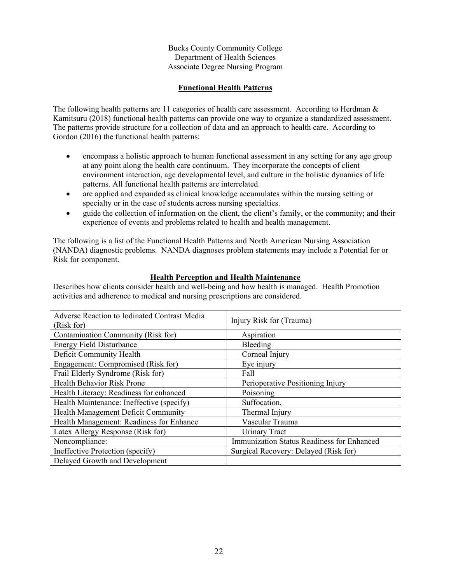# **Functional Health Patterns**

The following health patterns are 11 categories of health care assessment. According to Herdman  $\&$ Kamitsuru (2018) functional health patterns can provide one way to organize a standardized assessment. The patterns provide structure for a collection of data and an approach to health care. According to Gordon (2016) the functional health patterns:

- encompass a holistic approach to human functional assessment in any setting for any age group at any point along the health care continuum. They incorporate the concepts of client environment interaction, age developmental level, and culture in the holistic dynamics of life patterns. All functional health patterns are interrelated.
- are applied and expanded as clinical knowledge accumulates within the nursing setting or specialty or in the case of students across nursing specialties.
- guide the collection of information on the client, the client's family, or the community; and their experience of events and problems related to health and health management.

The following is a list of the Functional Health Patterns and North American Nursing Association (NANDA) diagnostic problems. NANDA diagnoses problem statements may include a Potential for or Risk for component.

# **Health Perception and Health Maintenance**

Describes how clients consider health and well-being and how health is managed. Health Promotion activities and adherence to medical and nursing prescriptions are considered.

| Adverse Reaction to Iodinated Contrast Media<br>(Risk for) | Injury Risk for (Trauma)                   |
|------------------------------------------------------------|--------------------------------------------|
| Contamination Community (Risk for)                         | Aspiration                                 |
| <b>Energy Field Disturbance</b>                            | Bleeding                                   |
| Deficit Community Health                                   | Corneal Injury                             |
| Engagement: Compromised (Risk for)                         | Eye injury                                 |
| Frail Elderly Syndrome (Risk for)                          | Fall                                       |
| Health Behavior Risk Prone                                 | Perioperative Positioning Injury           |
| Health Literacy: Readiness for enhanced                    | Poisoning                                  |
| Health Maintenance: Ineffective (specify)                  | Suffocation,                               |
| Health Management Deficit Community                        | Thermal Injury                             |
| Health Management: Readiness for Enhance                   | Vascular Trauma                            |
| Latex Allergy Response (Risk for)                          | <b>Urinary Tract</b>                       |
| Noncompliance:                                             | Immunization Status Readiness for Enhanced |
| Ineffective Protection (specify)                           | Surgical Recovery: Delayed (Risk for)      |
| Delayed Growth and Development                             |                                            |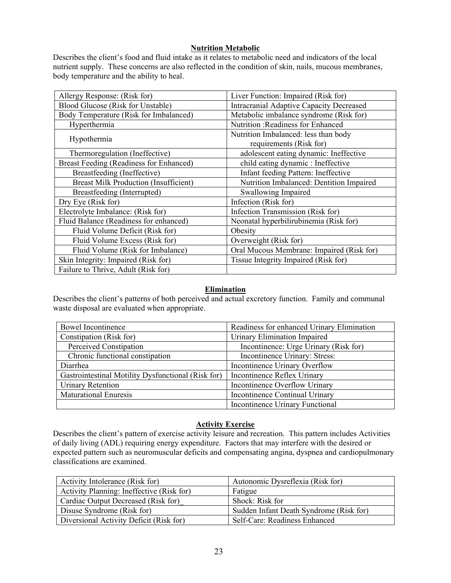# **Nutrition Metabolic**

Describes the client's food and fluid intake as it relates to metabolic need and indicators of the local nutrient supply. These concerns are also reflected in the condition of skin, nails, mucous membranes, body temperature and the ability to heal.

| Allergy Response: (Risk for)                 | Liver Function: Impaired (Risk for)                             |
|----------------------------------------------|-----------------------------------------------------------------|
| Blood Glucose (Risk for Unstable)            | <b>Intracranial Adaptive Capacity Decreased</b>                 |
| Body Temperature (Risk for Imbalanced)       | Metabolic imbalance syndrome (Risk for)                         |
| Hyperthermia                                 | Nutrition: Readiness for Enhanced                               |
| Hypothermia                                  | Nutrition Imbalanced: less than body<br>requirements (Risk for) |
| Thermoregulation (Ineffective)               | adolescent eating dynamic: Ineffective                          |
| Breast Feeding (Readiness for Enhanced)      | child eating dynamic : Ineffective                              |
| Breastfeeding (Ineffective)                  | Infant feeding Pattern: Ineffective                             |
| <b>Breast Milk Production (Insufficient)</b> | Nutrition Imbalanced: Dentition Impaired                        |
| Breastfeeding (Interrupted)                  | Swallowing Impaired                                             |
| Dry Eye (Risk for)                           | Infection (Risk for)                                            |
| Electrolyte Imbalance: (Risk for)            | Infection Transmission (Risk for)                               |
| Fluid Balance (Readiness for enhanced)       | Neonatal hyperbilirubinemia (Risk for)                          |
| Fluid Volume Deficit (Risk for)              | Obesity                                                         |
| Fluid Volume Excess (Risk for)               | Overweight (Risk for)                                           |
| Fluid Volume (Risk for Imbalance)            | Oral Mucous Membrane: Impaired (Risk for)                       |
| Skin Integrity: Impaired (Risk for)          | Tissue Integrity Impaired (Risk for)                            |
| Failure to Thrive, Adult (Risk for)          |                                                                 |

# **Elimination**

Describes the client's patterns of both perceived and actual excretory function. Family and communal waste disposal are evaluated when appropriate.

| <b>Bowel Incontinence</b>                          | Readiness for enhanced Urinary Elimination |
|----------------------------------------------------|--------------------------------------------|
| Constipation (Risk for)                            | Urinary Elimination Impaired               |
| Perceived Constipation                             | Incontinence: Urge Urinary (Risk for)      |
| Chronic functional constipation                    | Incontinence Urinary: Stress:              |
| Diarrhea                                           | Incontinence Urinary Overflow              |
| Gastrointestinal Motility Dysfunctional (Risk for) | Incontinence Reflex Urinary                |
| Urinary Retention                                  | Incontinence Overflow Urinary              |
| <b>Maturational Enuresis</b>                       | Incontinence Continual Urinary             |
|                                                    | Incontinence Urinary Functional            |

# **Activity Exercise**

Describes the client's pattern of exercise activity leisure and recreation. This pattern includes Activities of daily living (ADL) requiring energy expenditure. Factors that may interfere with the desired or expected pattern such as neuromuscular deficits and compensating angina, dyspnea and cardiopulmonary classifications are examined.

| Activity Intolerance (Risk for)           | Autonomic Dysreflexia (Risk for)        |
|-------------------------------------------|-----------------------------------------|
| Activity Planning: Ineffective (Risk for) | Fatigue                                 |
| Cardiac Output Decreased (Risk for)       | Shock: Risk for                         |
| Disuse Syndrome (Risk for)                | Sudden Infant Death Syndrome (Risk for) |
| Diversional Activity Deficit (Risk for)   | Self-Care: Readiness Enhanced           |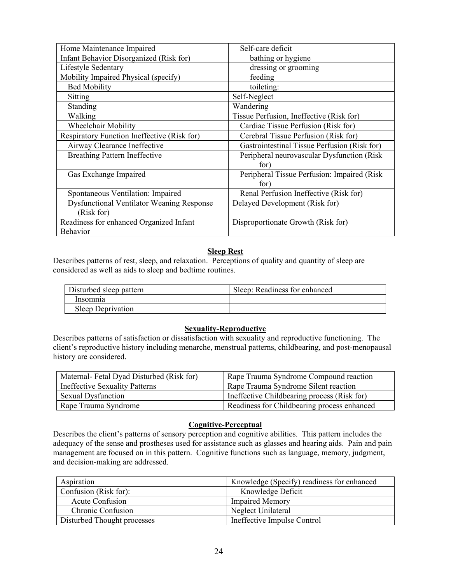| Home Maintenance Impaired                        | Self-care deficit                            |
|--------------------------------------------------|----------------------------------------------|
| Infant Behavior Disorganized (Risk for)          | bathing or hygiene                           |
| Lifestyle Sedentary                              | dressing or grooming                         |
| Mobility Impaired Physical (specify)             | feeding                                      |
| <b>Bed Mobility</b>                              | toileting:                                   |
| Sitting                                          | Self-Neglect                                 |
| Standing                                         | Wandering                                    |
| Walking                                          | Tissue Perfusion, Ineffective (Risk for)     |
| Wheelchair Mobility                              | Cardiac Tissue Perfusion (Risk for)          |
| Respiratory Function Ineffective (Risk for)      | Cerebral Tissue Perfusion (Risk for)         |
| Airway Clearance Ineffective                     | Gastrointestinal Tissue Perfusion (Risk for) |
| <b>Breathing Pattern Ineffective</b>             | Peripheral neurovascular Dysfunction (Risk   |
|                                                  | for)                                         |
| Gas Exchange Impaired                            | Peripheral Tissue Perfusion: Impaired (Risk) |
|                                                  | for)                                         |
| Spontaneous Ventilation: Impaired                | Renal Perfusion Ineffective (Risk for)       |
| <b>Dysfunctional Ventilator Weaning Response</b> | Delayed Development (Risk for)               |
| (Risk for)                                       |                                              |
| Readiness for enhanced Organized Infant          | Disproportionate Growth (Risk for)           |
| Behavior                                         |                                              |

# **Sleep Rest**

Describes patterns of rest, sleep, and relaxation. Perceptions of quality and quantity of sleep are considered as well as aids to sleep and bedtime routines.

| Disturbed sleep pattern | Sleep: Readiness for enhanced |
|-------------------------|-------------------------------|
| Insomnia                |                               |
| Sleep Deprivation       |                               |

# **Sexuality-Reproductive**

Describes patterns of satisfaction or dissatisfaction with sexuality and reproductive functioning. The client's reproductive history including menarche, menstrual patterns, childbearing, and post-menopausal history are considered.

| Maternal-Fetal Dyad Disturbed (Risk for) | Rape Trauma Syndrome Compound reaction      |
|------------------------------------------|---------------------------------------------|
| <b>Ineffective Sexuality Patterns</b>    | Rape Trauma Syndrome Silent reaction        |
| <b>Sexual Dysfunction</b>                | Ineffective Childbearing process (Risk for) |
| Rape Trauma Syndrome                     | Readiness for Childbearing process enhanced |

# **Cognitive-Perceptual**

Describes the client's patterns of sensory perception and cognitive abilities. This pattern includes the adequacy of the sense and prostheses used for assistance such as glasses and hearing aids. Pain and pain management are focused on in this pattern. Cognitive functions such as language, memory, judgment, and decision-making are addressed.

| Aspiration                  | Knowledge (Specify) readiness for enhanced |
|-----------------------------|--------------------------------------------|
| Confusion (Risk for):       | Knowledge Deficit                          |
| <b>Acute Confusion</b>      | <b>Impaired Memory</b>                     |
| Chronic Confusion           | Neglect Unilateral                         |
| Disturbed Thought processes | Ineffective Impulse Control                |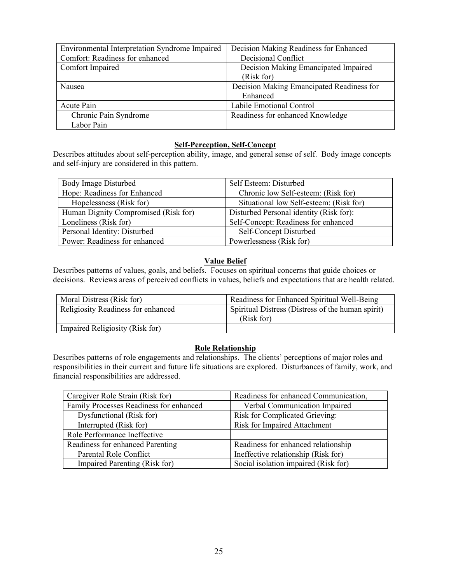| Environmental Interpretation Syndrome Impaired | Decision Making Readiness for Enhanced    |
|------------------------------------------------|-------------------------------------------|
| Comfort: Readiness for enhanced                | Decisional Conflict                       |
| Comfort Impaired                               | Decision Making Emancipated Impaired      |
|                                                | (Risk for)                                |
| Nausea                                         | Decision Making Emancipated Readiness for |
|                                                | Enhanced                                  |
| Acute Pain                                     | Labile Emotional Control                  |
| Chronic Pain Syndrome                          | Readiness for enhanced Knowledge          |
| Labor Pain                                     |                                           |

# **Self-Perception, Self-Concept**

Describes attitudes about self-perception ability, image, and general sense of self. Body image concepts and self-injury are considered in this pattern.

| Body Image Disturbed                 | Self Esteem: Disturbed                  |
|--------------------------------------|-----------------------------------------|
| Hope: Readiness for Enhanced         | Chronic low Self-esteem: (Risk for)     |
| Hopelessness (Risk for)              | Situational low Self-esteem: (Risk for) |
| Human Dignity Compromised (Risk for) | Disturbed Personal identity (Risk for): |
| Loneliness (Risk for)                | Self-Concept: Readiness for enhanced    |
| Personal Identity: Disturbed         | Self-Concept Disturbed                  |
| Power: Readiness for enhanced        | Powerlessness (Risk for)                |

# **Value Belief**

Describes patterns of values, goals, and beliefs. Focuses on spiritual concerns that guide choices or decisions. Reviews areas of perceived conflicts in values, beliefs and expectations that are health related.

| Moral Distress (Risk for)          | Readiness for Enhanced Spiritual Well-Being                     |
|------------------------------------|-----------------------------------------------------------------|
| Religiosity Readiness for enhanced | Spiritual Distress (Distress of the human spirit)<br>(Risk for) |
| Impaired Religiosity (Risk for)    |                                                                 |

# **Role Relationship**

Describes patterns of role engagements and relationships. The clients' perceptions of major roles and responsibilities in their current and future life situations are explored. Disturbances of family, work, and financial responsibilities are addressed.

| Caregiver Role Strain (Risk for)        | Readiness for enhanced Communication, |
|-----------------------------------------|---------------------------------------|
| Family Processes Readiness for enhanced | Verbal Communication Impaired         |
| Dysfunctional (Risk for)                | <b>Risk for Complicated Grieving:</b> |
| Interrupted (Risk for)                  | <b>Risk for Impaired Attachment</b>   |
| Role Performance Ineffective            |                                       |
| Readiness for enhanced Parenting        | Readiness for enhanced relationship   |
| Parental Role Conflict                  | Ineffective relationship (Risk for)   |
| Impaired Parenting (Risk for)           | Social isolation impaired (Risk for)  |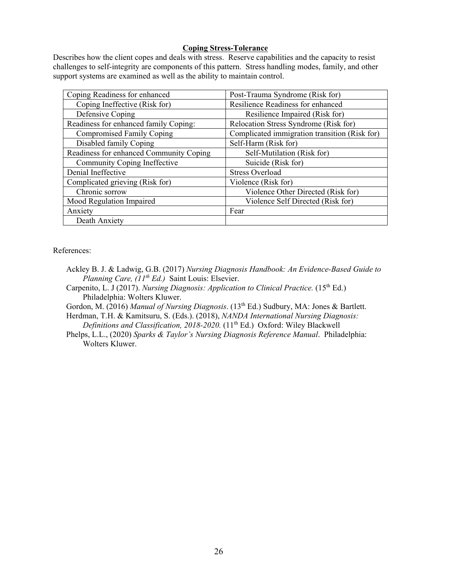# **Coping Stress-Tolerance**

Describes how the client copes and deals with stress. Reserve capabilities and the capacity to resist challenges to self-integrity are components of this pattern. Stress handling modes, family, and other support systems are examined as well as the ability to maintain control.

| Coping Readiness for enhanced           | Post-Trauma Syndrome (Risk for)               |
|-----------------------------------------|-----------------------------------------------|
| Coping Ineffective (Risk for)           | Resilience Readiness for enhanced             |
| Defensive Coping                        | Resilience Impaired (Risk for)                |
| Readiness for enhanced family Coping:   | Relocation Stress Syndrome (Risk for)         |
| <b>Compromised Family Coping</b>        | Complicated immigration transition (Risk for) |
| Disabled family Coping                  | Self-Harm (Risk for)                          |
| Readiness for enhanced Community Coping | Self-Mutilation (Risk for)                    |
| Community Coping Ineffective            | Suicide (Risk for)                            |
| Denial Ineffective                      | <b>Stress Overload</b>                        |
| Complicated grieving (Risk for)         | Violence (Risk for)                           |
| Chronic sorrow                          | Violence Other Directed (Risk for)            |
| Mood Regulation Impaired                | Violence Self Directed (Risk for)             |
| Anxiety                                 | Fear                                          |
| Death Anxiety                           |                                               |

#### References:

- Ackley B. J. & Ladwig, G.B. (2017) *[Nursing Diagnosis Handbook: An Evidence-Based Guide to](https://www.amazon.com/Nursing-Diagnosis-Handbook-Evidence-Based-Planning/dp/0323322247/ref=sr_1_1?s=books&ie=UTF8&qid=1501015489&sr=1-1)  [Planning Care, \(11](https://www.amazon.com/Nursing-Diagnosis-Handbook-Evidence-Based-Planning/dp/0323322247/ref=sr_1_1?s=books&ie=UTF8&qid=1501015489&sr=1-1)th Ed.)* Saint Louis: Elsevier.
- Carpenito, L. J (2017). *Nursing Diagnosis: Application to Clinical Practice.* (15<sup>th</sup> Ed.) Philadelphia: Wolters Kluwer.

Gordon, M. (2016) *Manual of Nursing Diagnosis*. (13<sup>th</sup> Ed.) Sudbury, MA: Jones & Bartlett.

Herdman, T.H. & Kamitsuru, S. (Eds.). (2018), *NANDA International Nursing Diagnosis: Definitions and Classification, 2018-2020.* (11<sup>th</sup> Ed.) Oxford: Wiley Blackwell

Phelps, L.L., (2020) *Sparks & Taylor's Nursing Diagnosis Reference Manual*. Philadelphia: Wolters Kluwer.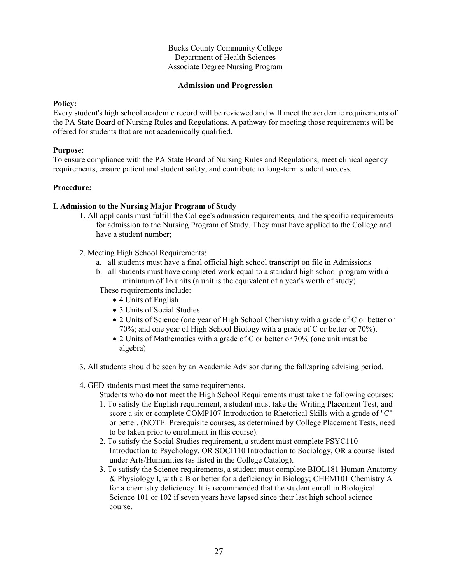# **Admission and Progression**

#### **Policy:**

Every student's high school academic record will be reviewed and will meet the academic requirements of the PA State Board of Nursing Rules and Regulations. A pathway for meeting those requirements will be offered for students that are not academically qualified.

# **Purpose:**

To ensure compliance with the PA State Board of Nursing Rules and Regulations, meet clinical agency requirements, ensure patient and student safety, and contribute to long-term student success.

# **Procedure:**

# **I. Admission to the Nursing Major Program of Study**

- 1. All applicants must fulfill the College's admission requirements, and the specific requirements for admission to the Nursing Program of Study. They must have applied to the College and have a student number;
- 2. Meeting High School Requirements:
	- a. all students must have a final official high school transcript on file in Admissions
	- b. all students must have completed work equal to a standard high school program with a minimum of 16 units (a unit is the equivalent of a year's worth of study)
	- These requirements include:
		- 4 Units of English
		- 3 Units of Social Studies
		- 2 Units of Science (one year of High School Chemistry with a grade of C or better or 70%; and one year of High School Biology with a grade of C or better or 70%).
		- 2 Units of Mathematics with a grade of C or better or 70% (one unit must be algebra)
- 3. All students should be seen by an Academic Advisor during the fall/spring advising period.
- 4. GED students must meet the same requirements.

Students who **do not** meet the High School Requirements must take the following courses:

- 1. To satisfy the English requirement, a student must take the Writing Placement Test, and score a six or complete COMP107 Introduction to Rhetorical Skills with a grade of "C" or better. (NOTE: Prerequisite courses, as determined by College Placement Tests, need to be taken prior to enrollment in this course).
- 2. To satisfy the Social Studies requirement, a student must complete PSYC110 Introduction to Psychology, OR SOCI110 Introduction to Sociology, OR a course listed under Arts/Humanities (as listed in the College Catalog).
- 3. To satisfy the Science requirements, a student must complete BIOL181 Human Anatomy & Physiology I, with a B or better for a deficiency in Biology; CHEM101 Chemistry A for a chemistry deficiency. It is recommended that the student enroll in Biological Science 101 or 102 if seven years have lapsed since their last high school science course.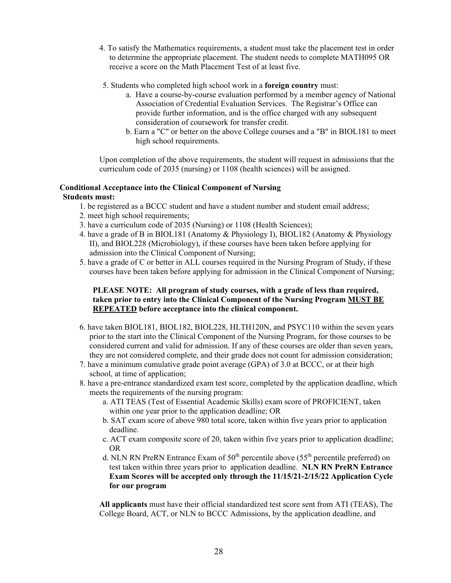- 4. To satisfy the Mathematics requirements, a student must take the placement test in order to determine the appropriate placement. The student needs to complete MATH095 OR receive a score on the Math Placement Test of at least five.
- 5. Students who completed high school work in a **foreign country** must:
	- a. Have a course-by-course evaluation performed by a member agency of National Association of Credential Evaluation Services. The Registrar's Office can provide further information, and is the office charged with any subsequent consideration of coursework for transfer credit.
	- b. Earn a "C" or better on the above College courses and a "B" in BIOL181 to meet high school requirements.

Upon completion of the above requirements, the student will request in admissions that the curriculum code of 2035 (nursing) or 1108 (health sciences) will be assigned.

#### **Conditional Acceptance into the Clinical Component of Nursing Students must:**

- 1. be registered as a BCCC student and have a student number and student email address;
- 2. meet high school requirements;
- 3. have a curriculum code of 2035 (Nursing) or 1108 (Health Sciences);
- 4. have a grade of B in BIOL181 (Anatomy & Physiology I), BIOL182 (Anatomy & Physiology II), and BIOL228 (Microbiology), if these courses have been taken before applying for admission into the Clinical Component of Nursing;
- 5. have a grade of C or better in ALL courses required in the Nursing Program of Study, if these courses have been taken before applying for admission in the Clinical Component of Nursing;

# **PLEASE NOTE: All program of study courses, with a grade of less than required, taken prior to entry into the Clinical Component of the Nursing Program MUST BE REPEATED before acceptance into the clinical component.**

- 6. have taken BIOL181, BIOL182, BIOL228, HLTH120N, and PSYC110 within the seven years prior to the start into the Clinical Component of the Nursing Program, for those courses to be considered current and valid for admission. If any of these courses are older than seven years, they are not considered complete, and their grade does not count for admission consideration;
- 7. have a minimum cumulative grade point average (GPA) of 3.0 at BCCC, or at their high school, at time of application;
- 8. have a pre-entrance standardized exam test score, completed by the application deadline, which meets the requirements of the nursing program:
	- a. ATI TEAS (Test of Essential Academic Skills) exam score of PROFICIENT, taken within one year prior to the application deadline; OR
	- b. SAT exam score of above 980 total score, taken within five years prior to application deadline.
	- c. ACT exam composite score of 20, taken within five years prior to application deadline; OR
	- d. NLN RN PreRN Entrance Exam of  $50<sup>th</sup>$  percentile above ( $55<sup>th</sup>$  percentile preferred) on test taken within three years prior to application deadline. **NLN RN PreRN Entrance Exam Scores will be accepted only through the 11/15/21-2/15/22 Application Cycle for our program**

**All applicants** must have their official standardized test score sent from ATI (TEAS), The College Board, ACT, or NLN to BCCC Admissions, by the application deadline, and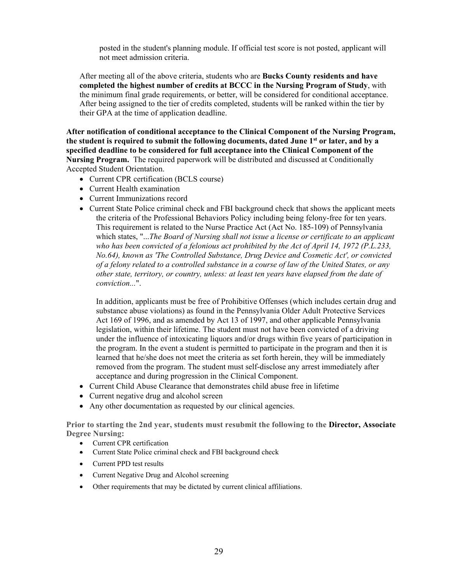posted in the student's planning module. If official test score is not posted, applicant will not meet admission criteria.

After meeting all of the above criteria, students who are **Bucks County residents and have completed the highest number of credits at BCCC in the Nursing Program of Study**, with the minimum final grade requirements, or better, will be considered for conditional acceptance. After being assigned to the tier of credits completed, students will be ranked within the tier by their GPA at the time of application deadline.

**After notification of conditional acceptance to the Clinical Component of the Nursing Program, the student is required to submit the following documents, dated June 1st or later, and by a specified deadline to be considered for full acceptance into the Clinical Component of the Nursing Program.** The required paperwork will be distributed and discussed at Conditionally Accepted Student Orientation.

- Current CPR certification (BCLS course)
- Current Health examination
- Current Immunizations record
- Current State Police criminal check and FBI background check that shows the applicant meets the criteria of the Professional Behaviors Policy including being felony-free for ten years. This requirement is related to the Nurse Practice Act (Act No. 185-109) of Pennsylvania which states, "...*The Board of Nursing shall not issue a license or certificate to an applicant who has been convicted of a felonious act prohibited by the Act of April 14, 1972 (P.L.233, No.64), known as 'The Controlled Substance, Drug Device and Cosmetic Act', or convicted of a felony related to a controlled substance in a course of law of the United States, or any other state, territory, or country, unless: at least ten years have elapsed from the date of conviction...*".

In addition, applicants must be free of Prohibitive Offenses (which includes certain drug and substance abuse violations) as found in the Pennsylvania Older Adult Protective Services Act 169 of 1996, and as amended by Act 13 of 1997, and other applicable Pennsylvania legislation, within their lifetime. The student must not have been convicted of a driving under the influence of intoxicating liquors and/or drugs within five years of participation in the program. In the event a student is permitted to participate in the program and then it is learned that he/she does not meet the criteria as set forth herein, they will be immediately removed from the program. The student must self-disclose any arrest immediately after acceptance and during progression in the Clinical Component.

- Current Child Abuse Clearance that demonstrates child abuse free in lifetime
- Current negative drug and alcohol screen
- Any other documentation as requested by our clinical agencies.

**Prior to starting the 2nd year, students must resubmit the following to the Director, Associate Degree Nursing:**

- Current CPR certification
- Current State Police criminal check and FBI background check
- Current PPD test results
- Current Negative Drug and Alcohol screening
- Other requirements that may be dictated by current clinical affiliations.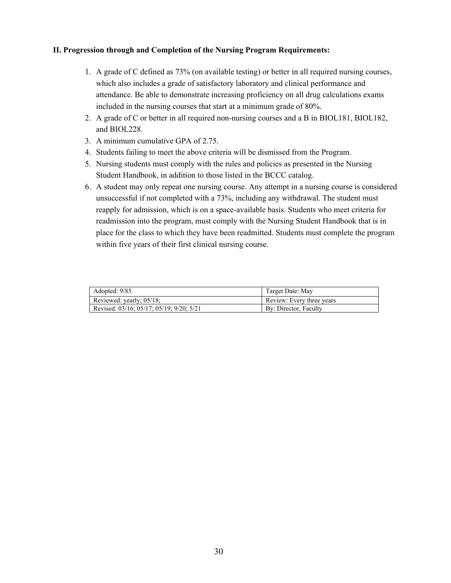# **II. Progression through and Completion of the Nursing Program Requirements:**

- 1. A grade of C defined as 73% (on available testing) or better in all required nursing courses, which also includes a grade of satisfactory laboratory and clinical performance and attendance. Be able to demonstrate increasing proficiency on all drug calculations exams included in the nursing courses that start at a minimum grade of 80%.
- 2. A grade of C or better in all required non-nursing courses and a B in BIOL181, BIOL182, and BIOL228.
- 3. A minimum cumulative GPA of 2.75.
- 4. Students failing to meet the above criteria will be dismissed from the Program.
- 5. Nursing students must comply with the rules and policies as presented in the Nursing Student Handbook, in addition to those listed in the BCCC catalog.
- 6. A student may only repeat one nursing course. Any attempt in a nursing course is considered unsuccessful if not completed with a 73%, including any withdrawal. The student must reapply for admission, which is on a space-available basis. Students who meet criteria for readmission into the program, must comply with the Nursing Student Handbook that is in place for the class to which they have been readmitted. Students must complete the program within five years of their first clinical nursing course.

| Adopted: 9/85                            | Target Date: May          |
|------------------------------------------|---------------------------|
| Reviewed: yearly; 05/18;                 | Review: Every three years |
| Revised: 03/16; 05/17; 05/19; 9/20; 5/21 | By: Director, Faculty     |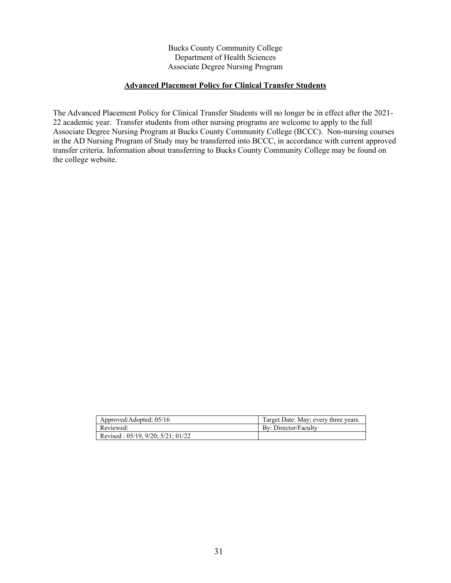# **Advanced Placement Policy for Clinical Transfer Students**

The Advanced Placement Policy for Clinical Transfer Students will no longer be in effect after the 2021- 22 academic year. Transfer students from other nursing programs are welcome to apply to the full Associate Degree Nursing Program at Bucks County Community College (BCCC). Non-nursing courses in the AD Nursing Program of Study may be transferred into BCCC, in accordance with current approved transfer criteria. Information about transferring to Bucks County Community College may be found on the college website.

| Approved/Adopted: 05/16                      | Target Date: May; every three years. |
|----------------------------------------------|--------------------------------------|
| Reviewed:                                    | By: Director/Faculty                 |
| Revised: $05/19$ , $9/20$ ; $5/21$ ; $01/22$ |                                      |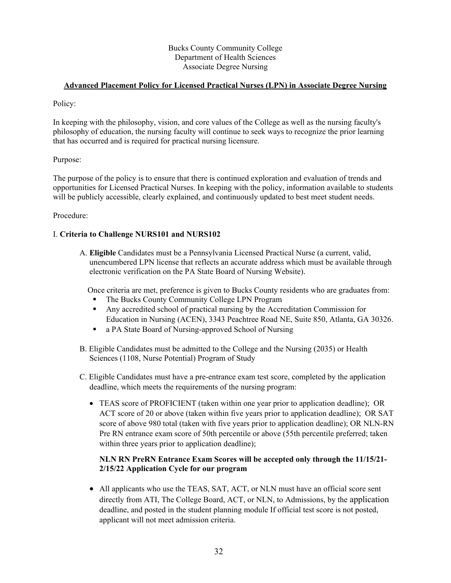# **Advanced Placement Policy for Licensed Practical Nurses (LPN) in Associate Degree Nursing**

Policy:

In keeping with the philosophy, vision, and core values of the College as well as the nursing faculty's philosophy of education, the nursing faculty will continue to seek ways to recognize the prior learning that has occurred and is required for practical nursing licensure.

# Purpose:

The purpose of the policy is to ensure that there is continued exploration and evaluation of trends and opportunities for Licensed Practical Nurses. In keeping with the policy, information available to students will be publicly accessible, clearly explained, and continuously updated to best meet student needs.

# Procedure:

# I. **Criteria to Challenge NURS101 and NURS102**

A. **Eligible** Candidates must be a Pennsylvania Licensed Practical Nurse (a current, valid, unencumbered LPN license that reflects an accurate address which must be available through electronic verification on the PA State Board of Nursing Website).

Once criteria are met, preference is given to Bucks County residents who are graduates from:

- The Bucks County Community College LPN Program
- Any accredited school of practical nursing by the Accreditation Commission for Education in Nursing (ACEN), 3343 Peachtree Road NE, Suite 850, Atlanta, GA 30326.
- a PA State Board of Nursing-approved School of Nursing
- B. Eligible Candidates must be admitted to the College and the Nursing (2035) or Health Sciences (1108, Nurse Potential) Program of Study
- C. Eligible Candidates must have a pre-entrance exam test score, completed by the application deadline, which meets the requirements of the nursing program:
	- TEAS score of PROFICIENT (taken within one year prior to application deadline); OR ACT score of 20 or above (taken within five years prior to application deadline); OR SAT score of above 980 total (taken with five years prior to application deadline); OR NLN-RN Pre RN entrance exam score of 50th percentile or above (55th percentile preferred; taken within three years prior to application deadline);

# **NLN RN PreRN Entrance Exam Scores will be accepted only through the 11/15/21- 2/15/22 Application Cycle for our program**

• All applicants who use the TEAS, SAT, ACT, or NLN must have an official score sent directly from ATI, The College Board, ACT, or NLN, to Admissions, by the application deadline, and posted in the student planning module If official test score is not posted, applicant will not meet admission criteria.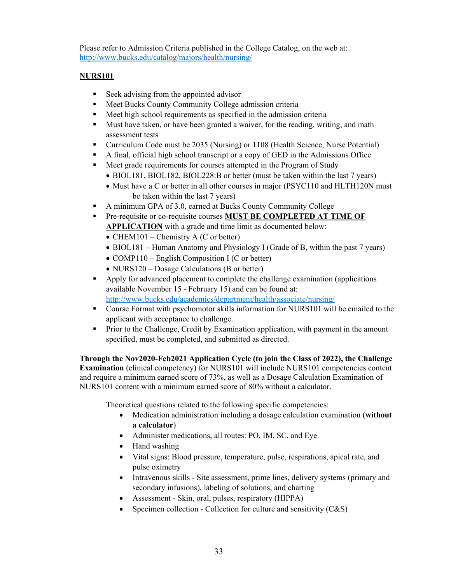Please refer to Admission Criteria published in the College Catalog, on the web at: <http://www.bucks.edu/catalog/majors/health/nursing/>

# **NURS101**

- Seek advising from the appointed advisor
- **Meet Bucks County Community College admission criteria**
- Meet high school requirements as specified in the admission criteria
- Must have taken, or have been granted a waiver, for the reading, writing, and math assessment tests
- Curriculum Code must be 2035 (Nursing) or 1108 (Health Science, Nurse Potential)
- A final, official high school transcript or a copy of GED in the Admissions Office
- Meet grade requirements for courses attempted in the Program of Study
	- BIOL181, BIOL182, BIOL228:B or better (must be taken within the last 7 years)
	- Must have a C or better in all other courses in major (PSYC110 and HLTH120N must be taken within the last 7 years)
- A minimum GPA of 3.0, earned at Bucks County Community College
- Pre-requisite or co-requisite courses **MUST BE COMPLETED AT TIME OF APPLICATION** with a grade and time limit as documented below:
	- CHEM101 Chemistry A (C or better)
	- BIOL181 Human Anatomy and Physiology I (Grade of B, within the past 7 years)
	- COMP110 English Composition I (C or better)
	- NURS120 Dosage Calculations (B or better)
- Apply for advanced placement to complete the challenge examination (applications available November 15 - February 15) and can be found at: <http://www.bucks.edu/academics/department/health/associate/nursing/>
- Course Format with psychomotor skills information for NURS101 will be emailed to the applicant with acceptance to challenge.
- **Prior to the Challenge, Credit by Examination application, with payment in the amount** specified, must be completed, and submitted as directed.

**Through the Nov2020-Feb2021 Application Cycle (to join the Class of 2022), the Challenge Examination** (clinical competency) for NURS101 will include NURS101 competencies content and require a minimum earned score of 73%, as well as a Dosage Calculation Examination of NURS101 content with a minimum earned score of 80% without a calculator.

Theoretical questions related to the following specific competencies:

- Medication administration including a dosage calculation examination (**without a calculator**)
- Administer medications, all routes: PO, IM, SC, and Eye
- Hand washing
- Vital signs: Blood pressure, temperature, pulse, respirations, apical rate, and pulse oximetry
- Intravenous skills Site assessment, prime lines, delivery systems (primary and secondary infusions), labeling of solutions, and charting
- Assessment Skin, oral, pulses, respiratory (HIPPA)
- Specimen collection Collection for culture and sensitivity  $(C&S)$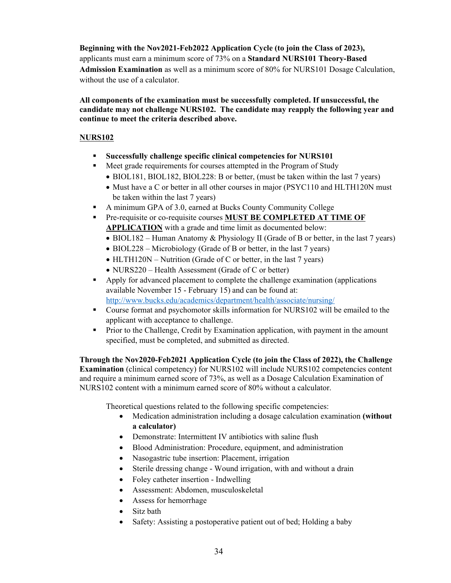**Beginning with the Nov2021-Feb2022 Application Cycle (to join the Class of 2023),**  applicants must earn a minimum score of 73% on a **Standard NURS101 Theory-Based Admission Examination** as well as a minimum score of 80% for NURS101 Dosage Calculation, without the use of a calculator.

**All components of the examination must be successfully completed. If unsuccessful, the candidate may not challenge NURS102. The candidate may reapply the following year and continue to meet the criteria described above.**

# **NURS102**

- **Successfully challenge specific clinical competencies for NURS101**
- **Meet grade requirements for courses attempted in the Program of Study** • BIOL181, BIOL182, BIOL228: B or better, (must be taken within the last 7 years)
	- Must have a C or better in all other courses in major (PSYC110 and HLTH120N must be taken within the last 7 years)
- A minimum GPA of 3.0, earned at Bucks County Community College
- Pre-requisite or co-requisite courses **MUST BE COMPLETED AT TIME OF APPLICATION** with a grade and time limit as documented below:
	- BIOL182 Human Anatomy & Physiology II (Grade of B or better, in the last 7 years)
	- BIOL228 Microbiology (Grade of B or better, in the last 7 years)
	- HLTH120N Nutrition (Grade of C or better, in the last 7 years)
	- NURS220 Health Assessment (Grade of C or better)
- Apply for advanced placement to complete the challenge examination (applications available November 15 - February 15) and can be found at: <http://www.bucks.edu/academics/department/health/associate/nursing/>
- Course format and psychomotor skills information for NURS102 will be emailed to the applicant with acceptance to challenge.
- **Prior to the Challenge, Credit by Examination application, with payment in the amount** specified, must be completed, and submitted as directed.

**Through the Nov2020-Feb2021 Application Cycle (to join the Class of 2022), the Challenge Examination** (clinical competency) for NURS102 will include NURS102 competencies content and require a minimum earned score of 73%, as well as a Dosage Calculation Examination of NURS102 content with a minimum earned score of 80% without a calculator.

Theoretical questions related to the following specific competencies:

- Medication administration including a dosage calculation examination **(without a calculator)**
- Demonstrate: Intermittent IV antibiotics with saline flush
- Blood Administration: Procedure, equipment, and administration
- Nasogastric tube insertion: Placement, irrigation
- Sterile dressing change Wound irrigation, with and without a drain
- Foley catheter insertion Indwelling
- Assessment: Abdomen, musculoskeletal
- Assess for hemorrhage
- Sitz bath
- Safety: Assisting a postoperative patient out of bed; Holding a baby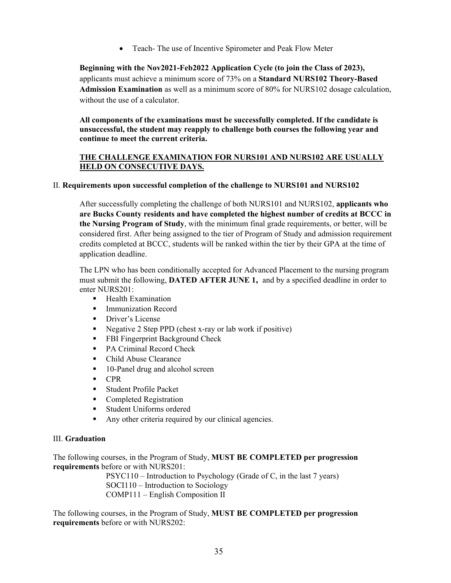• Teach- The use of Incentive Spirometer and Peak Flow Meter

**Beginning with the Nov2021-Feb2022 Application Cycle (to join the Class of 2023),**  applicants must achieve a minimum score of 73% on a **Standard NURS102 Theory-Based Admission Examination** as well as a minimum score of 80% for NURS102 dosage calculation, without the use of a calculator.

**All components of the examinations must be successfully completed. If the candidate is unsuccessful, the student may reapply to challenge both courses the following year and continue to meet the current criteria.**

# **THE CHALLENGE EXAMINATION FOR NURS101 AND NURS102 ARE USUALLY HELD ON CONSECUTIVE DAYS.**

# II. **Requirements upon successful completion of the challenge to NURS101 and NURS102**

After successfully completing the challenge of both NURS101 and NURS102, **applicants who are Bucks County residents and have completed the highest number of credits at BCCC in the Nursing Program of Study**, with the minimum final grade requirements, or better, will be considered first. After being assigned to the tier of Program of Study and admission requirement credits completed at BCCC, students will be ranked within the tier by their GPA at the time of application deadline.

The LPN who has been conditionally accepted for Advanced Placement to the nursing program must submit the following, **DATED AFTER JUNE 1,** and by a specified deadline in order to enter NURS201:

- **Health Examination**
- **Immunization Record**
- **Driver's License**
- Negative 2 Step PPD (chest x-ray or lab work if positive)
- **FBI Fingerprint Background Check**
- PA Criminal Record Check
- Child Abuse Clearance
- 10-Panel drug and alcohol screen
- **CPR**
- **Student Profile Packet**
- Completed Registration
- **Student Uniforms ordered**
- Any other criteria required by our clinical agencies.

# III. **Graduation**

The following courses, in the Program of Study, **MUST BE COMPLETED per progression requirements** before or with NURS201:

> PSYC110 – Introduction to Psychology (Grade of C, in the last 7 years) SOCI110 – Introduction to Sociology COMP111 – English Composition II

The following courses, in the Program of Study, **MUST BE COMPLETED per progression requirements** before or with NURS202: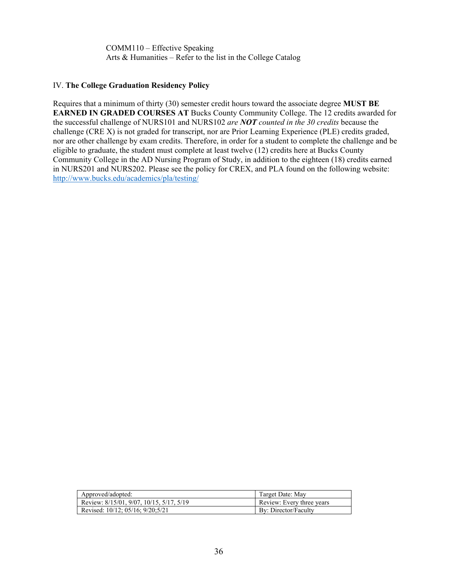COMM110 – Effective Speaking Arts & Humanities – Refer to the list in the College Catalog

#### IV. **The College Graduation Residency Policy**

Requires that a minimum of thirty (30) semester credit hours toward the associate degree **MUST BE EARNED IN GRADED COURSES AT** Bucks County Community College. The 12 credits awarded for the successful challenge of NURS101 and NURS102 *are NOT counted in the 30 credits* because the challenge (CRE X) is not graded for transcript, nor are Prior Learning Experience (PLE) credits graded, nor are other challenge by exam credits. Therefore, in order for a student to complete the challenge and be eligible to graduate, the student must complete at least twelve (12) credits here at Bucks County Community College in the AD Nursing Program of Study, in addition to the eighteen (18) credits earned in NURS201 and NURS202. Please see the policy for CREX, and PLA found on the following website: <http://www.bucks.edu/academics/pla/testing/>

| Approved/adopted:                        | Target Date: May          |
|------------------------------------------|---------------------------|
| Review: 8/15/01, 9/07, 10/15, 5/17, 5/19 | Review: Every three years |
| Revised: 10/12; 05/16; 9/20;5/21         | By: Director/Faculty      |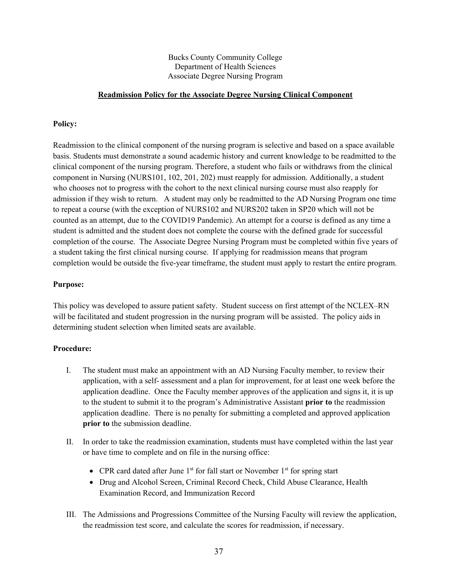## **Readmission Policy for the Associate Degree Nursing Clinical Component**

## **Policy:**

Readmission to the clinical component of the nursing program is selective and based on a space available basis. Students must demonstrate a sound academic history and current knowledge to be readmitted to the clinical component of the nursing program. Therefore, a student who fails or withdraws from the clinical component in Nursing (NURS101, 102, 201, 202) must reapply for admission. Additionally, a student who chooses not to progress with the cohort to the next clinical nursing course must also reapply for admission if they wish to return. A student may only be readmitted to the AD Nursing Program one time to repeat a course (with the exception of NURS102 and NURS202 taken in SP20 which will not be counted as an attempt, due to the COVID19 Pandemic). An attempt for a course is defined as any time a student is admitted and the student does not complete the course with the defined grade for successful completion of the course. The Associate Degree Nursing Program must be completed within five years of a student taking the first clinical nursing course. If applying for readmission means that program completion would be outside the five-year timeframe, the student must apply to restart the entire program.

## **Purpose:**

This policy was developed to assure patient safety. Student success on first attempt of the NCLEX–RN will be facilitated and student progression in the nursing program will be assisted. The policy aids in determining student selection when limited seats are available.

- I. The student must make an appointment with an AD Nursing Faculty member, to review their application, with a self- assessment and a plan for improvement, for at least one week before the application deadline. Once the Faculty member approves of the application and signs it, it is up to the student to submit it to the program's Administrative Assistant **prior to** the readmission application deadline. There is no penalty for submitting a completed and approved application **prior to** the submission deadline.
- II. In order to take the readmission examination, students must have completed within the last year or have time to complete and on file in the nursing office:
	- CPR card dated after June  $1<sup>st</sup>$  for fall start or November  $1<sup>st</sup>$  for spring start
	- Drug and Alcohol Screen, Criminal Record Check, Child Abuse Clearance, Health Examination Record, and Immunization Record
- III. The Admissions and Progressions Committee of the Nursing Faculty will review the application, the readmission test score, and calculate the scores for readmission, if necessary.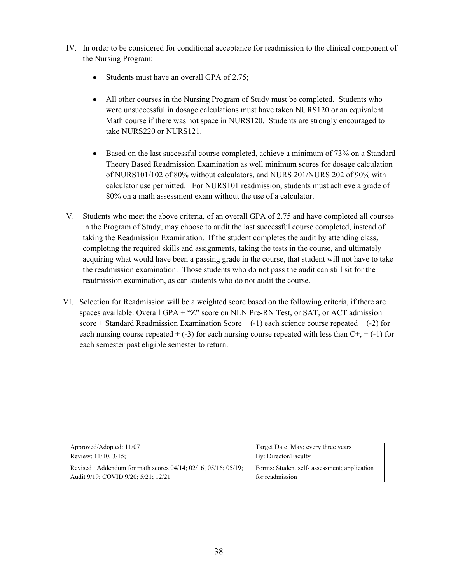- IV. In order to be considered for conditional acceptance for readmission to the clinical component of the Nursing Program:
	- Students must have an overall GPA of 2.75;
	- All other courses in the Nursing Program of Study must be completed. Students who were unsuccessful in dosage calculations must have taken NURS120 or an equivalent Math course if there was not space in NURS120. Students are strongly encouraged to take NURS220 or NURS121.
	- Based on the last successful course completed, achieve a minimum of 73% on a Standard Theory Based Readmission Examination as well minimum scores for dosage calculation of NURS101/102 of 80% without calculators, and NURS 201/NURS 202 of 90% with calculator use permitted. For NURS101 readmission, students must achieve a grade of 80% on a math assessment exam without the use of a calculator.
- V. Students who meet the above criteria, of an overall GPA of 2.75 and have completed all courses in the Program of Study, may choose to audit the last successful course completed, instead of taking the Readmission Examination. If the student completes the audit by attending class, completing the required skills and assignments, taking the tests in the course, and ultimately acquiring what would have been a passing grade in the course, that student will not have to take the readmission examination. Those students who do not pass the audit can still sit for the readmission examination, as can students who do not audit the course.
- VI. Selection for Readmission will be a weighted score based on the following criteria, if there are spaces available: Overall GPA + "Z" score on NLN Pre-RN Test, or SAT, or ACT admission score + Standard Readmission Examination Score  $+$  (-1) each science course repeated  $+$  (-2) for each nursing course repeated  $+ (-3)$  for each nursing course repeated with less than  $C^+$ ,  $+ (-1)$  for each semester past eligible semester to return.

| Approved/Adopted: 11/07                                                                                           | Target Date: May; every three years                             |  |
|-------------------------------------------------------------------------------------------------------------------|-----------------------------------------------------------------|--|
| Review: $11/10$ , $3/15$ ;                                                                                        | By: Director/Faculty                                            |  |
| Revised : Addendum for math scores $04/14$ ; $02/16$ ; $05/16$ ; $05/19$ ;<br>Audit 9/19; COVID 9/20; 5/21; 12/21 | Forms: Student self- assessment; application<br>for readmission |  |
|                                                                                                                   |                                                                 |  |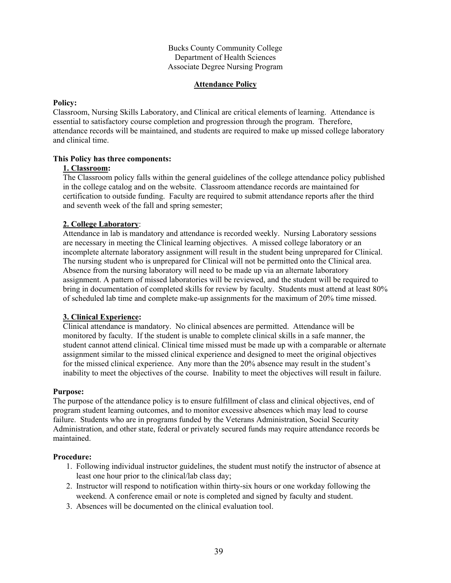## **Attendance Policy**

#### **Policy:**

Classroom, Nursing Skills Laboratory, and Clinical are critical elements of learning. Attendance is essential to satisfactory course completion and progression through the program. Therefore, attendance records will be maintained, and students are required to make up missed college laboratory and clinical time.

#### **This Policy has three components:**

#### **1. Classroom:**

The Classroom policy falls within the general guidelines of the college attendance policy published in the college catalog and on the website. Classroom attendance records are maintained for certification to outside funding. Faculty are required to submit attendance reports after the third and seventh week of the fall and spring semester;

## **2. College Laboratory**:

Attendance in lab is mandatory and attendance is recorded weekly. Nursing Laboratory sessions are necessary in meeting the Clinical learning objectives. A missed college laboratory or an incomplete alternate laboratory assignment will result in the student being unprepared for Clinical. The nursing student who is unprepared for Clinical will not be permitted onto the Clinical area. Absence from the nursing laboratory will need to be made up via an alternate laboratory assignment. A pattern of missed laboratories will be reviewed, and the student will be required to bring in documentation of completed skills for review by faculty. Students must attend at least 80% of scheduled lab time and complete make-up assignments for the maximum of 20% time missed.

## **3. Clinical Experience:**

Clinical attendance is mandatory. No clinical absences are permitted. Attendance will be monitored by faculty. If the student is unable to complete clinical skills in a safe manner, the student cannot attend clinical. Clinical time missed must be made up with a comparable or alternate assignment similar to the missed clinical experience and designed to meet the original objectives for the missed clinical experience. Any more than the 20% absence may result in the student's inability to meet the objectives of the course. Inability to meet the objectives will result in failure.

#### **Purpose:**

The purpose of the attendance policy is to ensure fulfillment of class and clinical objectives, end of program student learning outcomes, and to monitor excessive absences which may lead to course failure. Students who are in programs funded by the Veterans Administration, Social Security Administration, and other state, federal or privately secured funds may require attendance records be maintained.

- 1. Following individual instructor guidelines, the student must notify the instructor of absence at least one hour prior to the clinical/lab class day;
- 2. Instructor will respond to notification within thirty-six hours or one workday following the weekend. A conference email or note is completed and signed by faculty and student.
- 3. Absences will be documented on the clinical evaluation tool.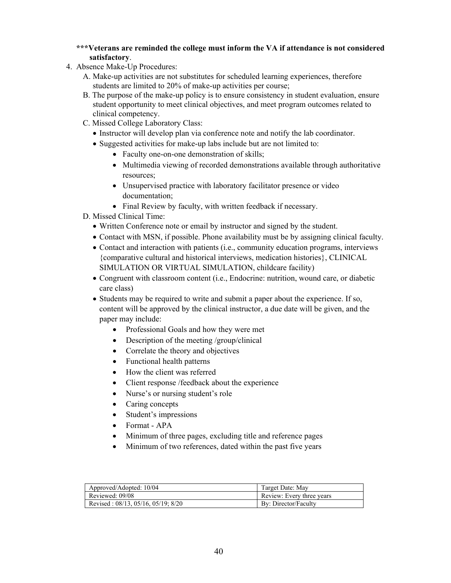- **\*\*\*Veterans are reminded the college must inform the VA if attendance is not considered satisfactory**.
- 4. Absence Make-Up Procedures:
	- A. Make-up activities are not substitutes for scheduled learning experiences, therefore students are limited to 20% of make-up activities per course;
	- B. The purpose of the make-up policy is to ensure consistency in student evaluation, ensure student opportunity to meet clinical objectives, and meet program outcomes related to clinical competency.
	- C. Missed College Laboratory Class:
		- Instructor will develop plan via conference note and notify the lab coordinator.
		- Suggested activities for make-up labs include but are not limited to:
			- Faculty one-on-one demonstration of skills;
			- Multimedia viewing of recorded demonstrations available through authoritative resources;
			- Unsupervised practice with laboratory facilitator presence or video documentation;
			- Final Review by faculty, with written feedback if necessary.
	- D. Missed Clinical Time:
		- Written Conference note or email by instructor and signed by the student.
		- Contact with MSN, if possible. Phone availability must be by assigning clinical faculty.
		- Contact and interaction with patients (i.e., community education programs, interviews {comparative cultural and historical interviews, medication histories}, CLINICAL SIMULATION OR VIRTUAL SIMULATION, childcare facility)
		- Congruent with classroom content (i.e., Endocrine: nutrition, wound care, or diabetic care class)
		- Students may be required to write and submit a paper about the experience. If so, content will be approved by the clinical instructor, a due date will be given, and the paper may include:
			- Professional Goals and how they were met
			- Description of the meeting /group/clinical
			- Correlate the theory and objectives
			- Functional health patterns
			- How the client was referred
			- Client response / feedback about the experience
			- Nurse's or nursing student's role
			- Caring concepts
			- Student's impressions
			- Format APA
			- Minimum of three pages, excluding title and reference pages
			- Minimum of two references, dated within the past five years

| Approved/Adopted: 10/04                       | Target Date: May          |
|-----------------------------------------------|---------------------------|
| Reviewed: 09/08                               | Review: Every three years |
| Revised: $08/13$ , $05/16$ , $05/19$ ; $8/20$ | By: Director/Faculty      |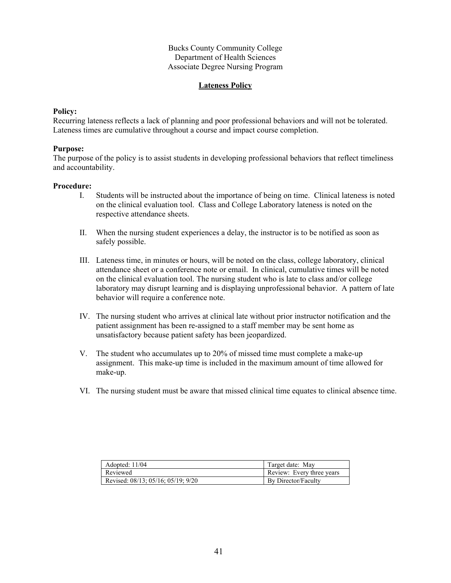## **Lateness Policy**

#### **Policy:**

Recurring lateness reflects a lack of planning and poor professional behaviors and will not be tolerated. Lateness times are cumulative throughout a course and impact course completion.

#### **Purpose:**

The purpose of the policy is to assist students in developing professional behaviors that reflect timeliness and accountability.

- I. Students will be instructed about the importance of being on time. Clinical lateness is noted on the clinical evaluation tool. Class and College Laboratory lateness is noted on the respective attendance sheets.
- II. When the nursing student experiences a delay, the instructor is to be notified as soon as safely possible.
- III. Lateness time, in minutes or hours, will be noted on the class, college laboratory, clinical attendance sheet or a conference note or email. In clinical, cumulative times will be noted on the clinical evaluation tool. The nursing student who is late to class and/or college laboratory may disrupt learning and is displaying unprofessional behavior. A pattern of late behavior will require a conference note.
- IV. The nursing student who arrives at clinical late without prior instructor notification and the patient assignment has been re-assigned to a staff member may be sent home as unsatisfactory because patient safety has been jeopardized.
- V. The student who accumulates up to 20% of missed time must complete a make-up assignment. This make-up time is included in the maximum amount of time allowed for make-up.
- VI. The nursing student must be aware that missed clinical time equates to clinical absence time.

| Adopted: $11/04$                   | Target date: May          |
|------------------------------------|---------------------------|
| Reviewed                           | Review: Every three years |
| Revised: 08/13; 05/16; 05/19; 9/20 | By Director/Faculty       |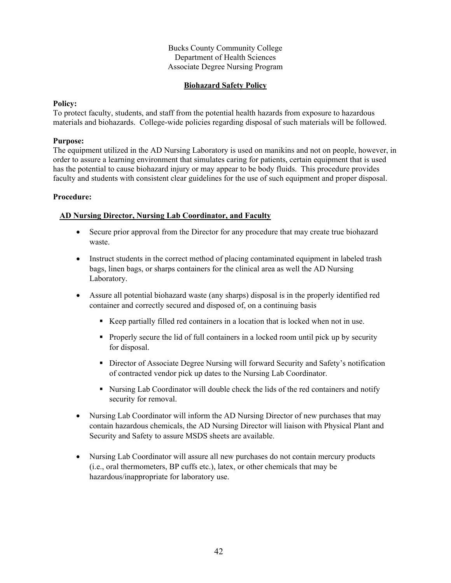## **Biohazard Safety Policy**

### **Policy:**

To protect faculty, students, and staff from the potential health hazards from exposure to hazardous materials and biohazards. College-wide policies regarding disposal of such materials will be followed.

### **Purpose:**

The equipment utilized in the AD Nursing Laboratory is used on manikins and not on people, however, in order to assure a learning environment that simulates caring for patients, certain equipment that is used has the potential to cause biohazard injury or may appear to be body fluids. This procedure provides faculty and students with consistent clear guidelines for the use of such equipment and proper disposal.

#### **Procedure:**

## **AD Nursing Director, Nursing Lab Coordinator, and Faculty**

- Secure prior approval from the Director for any procedure that may create true biohazard waste.
- Instruct students in the correct method of placing contaminated equipment in labeled trash bags, linen bags, or sharps containers for the clinical area as well the AD Nursing Laboratory.
- Assure all potential biohazard waste (any sharps) disposal is in the properly identified red container and correctly secured and disposed of, on a continuing basis
	- Keep partially filled red containers in a location that is locked when not in use.
	- Properly secure the lid of full containers in a locked room until pick up by security for disposal.
	- Director of Associate Degree Nursing will forward Security and Safety's notification of contracted vendor pick up dates to the Nursing Lab Coordinator.
	- Nursing Lab Coordinator will double check the lids of the red containers and notify security for removal.
- Nursing Lab Coordinator will inform the AD Nursing Director of new purchases that may contain hazardous chemicals, the AD Nursing Director will liaison with Physical Plant and Security and Safety to assure MSDS sheets are available.
- Nursing Lab Coordinator will assure all new purchases do not contain mercury products (i.e., oral thermometers, BP cuffs etc.), latex, or other chemicals that may be hazardous/inappropriate for laboratory use.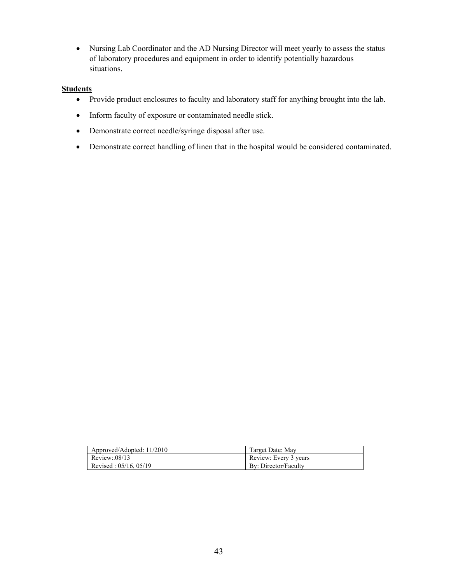• Nursing Lab Coordinator and the AD Nursing Director will meet yearly to assess the status of laboratory procedures and equipment in order to identify potentially hazardous situations.

## **Students**

- Provide product enclosures to faculty and laboratory staff for anything brought into the lab.
- Inform faculty of exposure or contaminated needle stick.
- Demonstrate correct needle/syringe disposal after use.
- Demonstrate correct handling of linen that in the hospital would be considered contaminated.

| Approved/Adopted: 11/2010  | Target Date: May      |
|----------------------------|-----------------------|
| Review:08/13               | Review: Every 3 years |
| Revised: $05/16$ , $05/19$ | By: Director/Faculty  |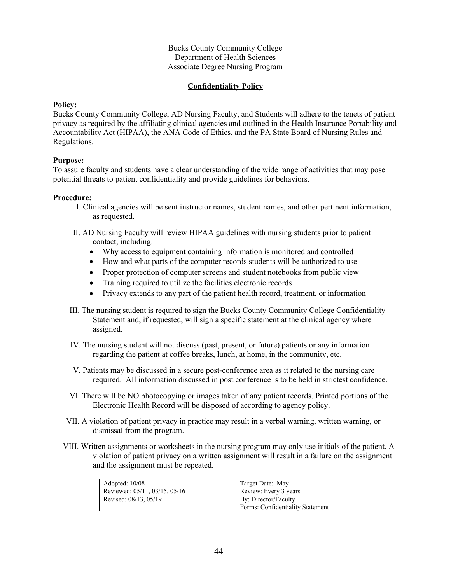## **Confidentiality Policy**

#### **Policy:**

Bucks County Community College, AD Nursing Faculty, and Students will adhere to the tenets of patient privacy as required by the affiliating clinical agencies and outlined in the Health Insurance Portability and Accountability Act (HIPAA), the ANA Code of Ethics, and the PA State Board of Nursing Rules and Regulations.

#### **Purpose:**

To assure faculty and students have a clear understanding of the wide range of activities that may pose potential threats to patient confidentiality and provide guidelines for behaviors.

- I. Clinical agencies will be sent instructor names, student names, and other pertinent information, as requested.
- II. AD Nursing Faculty will review HIPAA guidelines with nursing students prior to patient contact, including:
	- Why access to equipment containing information is monitored and controlled
	- How and what parts of the computer records students will be authorized to use
	- Proper protection of computer screens and student notebooks from public view
	- Training required to utilize the facilities electronic records
	- Privacy extends to any part of the patient health record, treatment, or information
- III. The nursing student is required to sign the Bucks County Community College Confidentiality Statement and, if requested, will sign a specific statement at the clinical agency where assigned.
- IV. The nursing student will not discuss (past, present, or future) patients or any information regarding the patient at coffee breaks, lunch, at home, in the community, etc.
- V. Patients may be discussed in a secure post-conference area as it related to the nursing care required. All information discussed in post conference is to be held in strictest confidence.
- VI. There will be NO photocopying or images taken of any patient records. Printed portions of the Electronic Health Record will be disposed of according to agency policy.
- VII. A violation of patient privacy in practice may result in a verbal warning, written warning, or dismissal from the program.
- VIII. Written assignments or worksheets in the nursing program may only use initials of the patient. A violation of patient privacy on a written assignment will result in a failure on the assignment and the assignment must be repeated.

| Adopted: 10/08                | Target Date: May                 |
|-------------------------------|----------------------------------|
| Reviewed: 05/11, 03/15, 05/16 | Review: Every 3 years            |
| Revised: 08/13, 05/19         | By: Director/Faculty             |
|                               | Forms: Confidentiality Statement |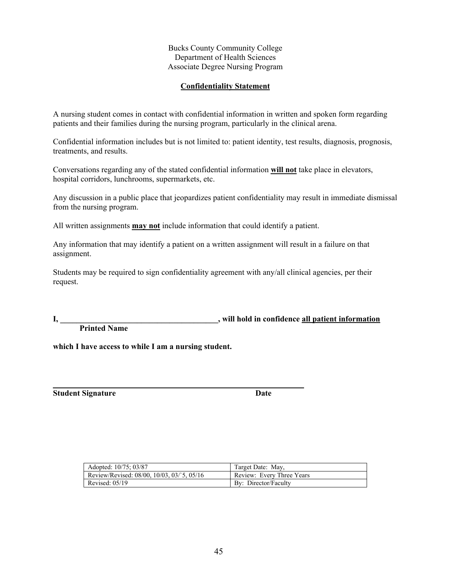## **Confidentiality Statement**

A nursing student comes in contact with confidential information in written and spoken form regarding patients and their families during the nursing program, particularly in the clinical arena.

Confidential information includes but is not limited to: patient identity, test results, diagnosis, prognosis, treatments, and results.

Conversations regarding any of the stated confidential information **will not** take place in elevators, hospital corridors, lunchrooms, supermarkets, etc.

Any discussion in a public place that jeopardizes patient confidentiality may result in immediate dismissal from the nursing program.

All written assignments **may not** include information that could identify a patient.

**\_\_\_\_\_\_\_\_\_\_\_\_\_\_\_\_\_\_\_\_\_\_\_\_\_\_\_\_\_\_\_\_\_\_\_\_\_\_\_\_\_\_\_\_\_\_\_\_\_\_\_\_\_\_\_\_\_\_\_\_\_\_**

Any information that may identify a patient on a written assignment will result in a failure on that assignment.

Students may be required to sign confidentiality agreement with any/all clinical agencies, per their request.

**I,** will hold in confidence all patient information  $\blacksquare$ 

 **Printed Name**

**which I have access to while I am a nursing student.**

**Student Signature Date** 

| Adopted: 10/75: 03/87                     | Target Date: May,         |
|-------------------------------------------|---------------------------|
| Review/Revised: 08/00, 10/03, 03/5, 05/16 | Review: Every Three Years |
| Revised: $05/19$                          | By: Director/Faculty      |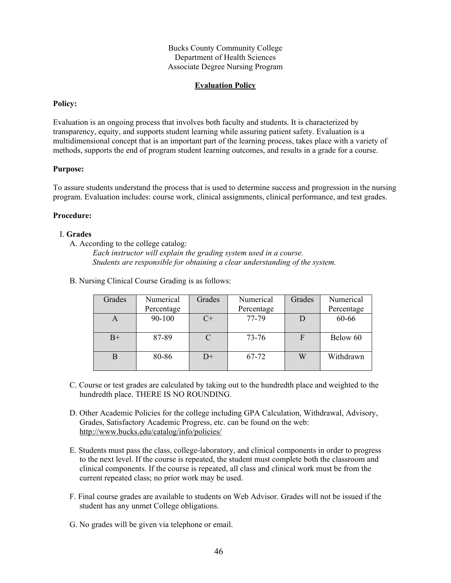## **Evaluation Policy**

#### **Policy:**

Evaluation is an ongoing process that involves both faculty and students. It is characterized by transparency, equity, and supports student learning while assuring patient safety. Evaluation is a multidimensional concept that is an important part of the learning process, takes place with a variety of methods, supports the end of program student learning outcomes, and results in a grade for a course.

#### **Purpose:**

To assure students understand the process that is used to determine success and progression in the nursing program. Evaluation includes: course work, clinical assignments, clinical performance, and test grades.

#### **Procedure:**

#### I. **Grades**

A. According to the college catalog:

*Each instructor will explain the grading system used in a course. Students are responsible for obtaining a clear understanding of the system.*

| Grades | Numerical  | Grades | Numerical  | Grades      | Numerical  |
|--------|------------|--------|------------|-------------|------------|
|        | Percentage |        | Percentage |             | Percentage |
| А      | 90-100     | $C+$   | 77-79      |             | 60-66      |
| $B+$   | 87-89      |        | 73-76      | $\mathbf F$ | Below 60   |
|        | 80-86      | $D+$   | 67-72      | W           | Withdrawn  |

B. Nursing Clinical Course Grading is as follows:

- C. Course or test grades are calculated by taking out to the hundredth place and weighted to the hundredth place. THERE IS NO ROUNDING.
- D. Other Academic Policies for the college including GPA Calculation, Withdrawal, Advisory, Grades, Satisfactory Academic Progress, etc. can be found on the web: <http://www.bucks.edu/catalog/info/policies/>
- E. Students must pass the class, college-laboratory, and clinical components in order to progress to the next level. If the course is repeated, the student must complete both the classroom and clinical components. If the course is repeated, all class and clinical work must be from the current repeated class; no prior work may be used.
- F. Final course grades are available to students on Web Advisor. Grades will not be issued if the student has any unmet College obligations.
- G. No grades will be given via telephone or email.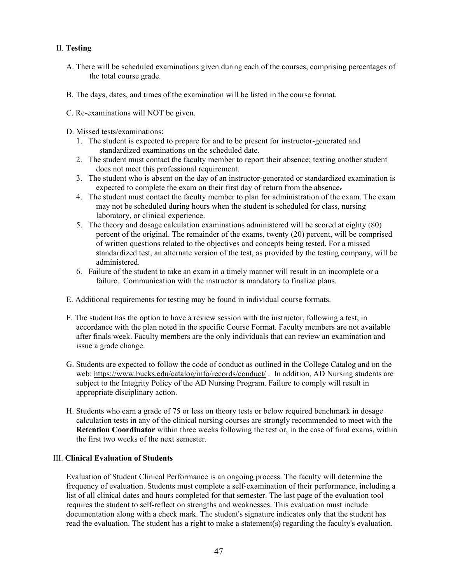## II. **Testing**

- A. There will be scheduled examinations given during each of the courses, comprising percentages of the total course grade.
- B. The days, dates, and times of the examination will be listed in the course format.
- C. Re-examinations will NOT be given.
- D. Missed tests/examinations:
	- 1. The student is expected to prepare for and to be present for instructor-generated and standardized examinations on the scheduled date.
	- 2. The student must contact the faculty member to report their absence; texting another student does not meet this professional requirement.
	- 3. The student who is absent on the day of an instructor-generated or standardized examination is expected to complete the exam on their first day of return from the absence.
	- 4. The student must contact the faculty member to plan for administration of the exam. The exam may not be scheduled during hours when the student is scheduled for class, nursing laboratory, or clinical experience.
	- 5. The theory and dosage calculation examinations administered will be scored at eighty (80) percent of the original. The remainder of the exams, twenty (20) percent, will be comprised of written questions related to the objectives and concepts being tested. For a missed standardized test, an alternate version of the test, as provided by the testing company, will be administered.
	- 6. Failure of the student to take an exam in a timely manner will result in an incomplete or a failure. Communication with the instructor is mandatory to finalize plans.
- E. Additional requirements for testing may be found in individual course formats.
- F. The student has the option to have a review session with the instructor, following a test, in accordance with the plan noted in the specific Course Format. Faculty members are not available after finals week. Faculty members are the only individuals that can review an examination and issue a grade change.
- G. Students are expected to follow the code of conduct as outlined in the College Catalog and on the web:<https://www.bucks.edu/catalog/info/records/conduct/> . In addition, AD Nursing students are subject to the Integrity Policy of the AD Nursing Program. Failure to comply will result in appropriate disciplinary action.
- H. Students who earn a grade of 75 or less on theory tests or below required benchmark in dosage calculation tests in any of the clinical nursing courses are strongly recommended to meet with the **Retention Coordinator** within three weeks following the test or, in the case of final exams, within the first two weeks of the next semester.

## III. **Clinical Evaluation of Students**

Evaluation of Student Clinical Performance is an ongoing process. The faculty will determine the frequency of evaluation. Students must complete a self-examination of their performance, including a list of all clinical dates and hours completed for that semester. The last page of the evaluation tool requires the student to self-reflect on strengths and weaknesses. This evaluation must include documentation along with a check mark. The student's signature indicates only that the student has read the evaluation. The student has a right to make a statement(s) regarding the faculty's evaluation.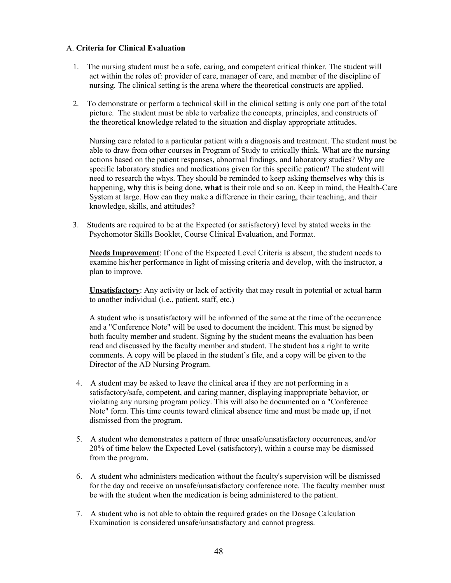## A. **Criteria for Clinical Evaluation**

- 1. The nursing student must be a safe, caring, and competent critical thinker. The student will act within the roles of: provider of care, manager of care, and member of the discipline of nursing. The clinical setting is the arena where the theoretical constructs are applied.
- 2. To demonstrate or perform a technical skill in the clinical setting is only one part of the total picture. The student must be able to verbalize the concepts, principles, and constructs of the theoretical knowledge related to the situation and display appropriate attitudes.

Nursing care related to a particular patient with a diagnosis and treatment. The student must be able to draw from other courses in Program of Study to critically think. What are the nursing actions based on the patient responses, abnormal findings, and laboratory studies? Why are specific laboratory studies and medications given for this specific patient? The student will need to research the whys. They should be reminded to keep asking themselves **why** this is happening, **why** this is being done, **what** is their role and so on. Keep in mind, the Health-Care System at large. How can they make a difference in their caring, their teaching, and their knowledge, skills, and attitudes?

3. Students are required to be at the Expected (or satisfactory) level by stated weeks in the Psychomotor Skills Booklet, Course Clinical Evaluation, and Format.

**Needs Improvement**: If one of the Expected Level Criteria is absent, the student needs to examine his/her performance in light of missing criteria and develop, with the instructor, a plan to improve.

**Unsatisfactory**: Any activity or lack of activity that may result in potential or actual harm to another individual (i.e., patient, staff, etc.)

A student who is unsatisfactory will be informed of the same at the time of the occurrence and a "Conference Note" will be used to document the incident. This must be signed by both faculty member and student. Signing by the student means the evaluation has been read and discussed by the faculty member and student. The student has a right to write comments. A copy will be placed in the student's file, and a copy will be given to the Director of the AD Nursing Program.

- 4. A student may be asked to leave the clinical area if they are not performing in a satisfactory/safe, competent, and caring manner, displaying inappropriate behavior, or violating any nursing program policy. This will also be documented on a "Conference Note" form. This time counts toward clinical absence time and must be made up, if not dismissed from the program.
- 5. A student who demonstrates a pattern of three unsafe/unsatisfactory occurrences, and/or 20% of time below the Expected Level (satisfactory), within a course may be dismissed from the program.
- 6. A student who administers medication without the faculty's supervision will be dismissed for the day and receive an unsafe/unsatisfactory conference note. The faculty member must be with the student when the medication is being administered to the patient.
- 7. A student who is not able to obtain the required grades on the Dosage Calculation Examination is considered unsafe/unsatisfactory and cannot progress.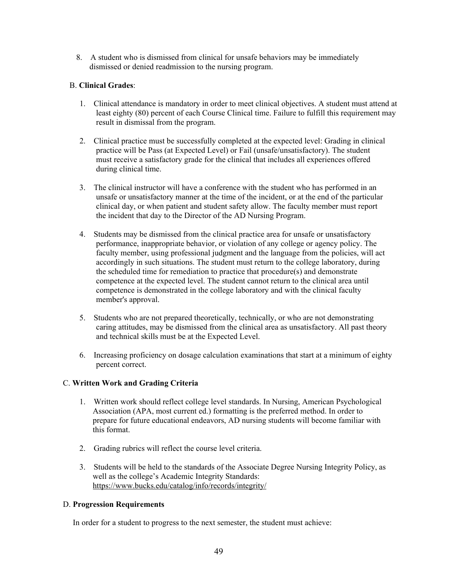8. A student who is dismissed from clinical for unsafe behaviors may be immediately dismissed or denied readmission to the nursing program.

## B. **Clinical Grades**:

- 1. Clinical attendance is mandatory in order to meet clinical objectives. A student must attend at least eighty (80) percent of each Course Clinical time. Failure to fulfill this requirement may result in dismissal from the program.
- 2. Clinical practice must be successfully completed at the expected level: Grading in clinical practice will be Pass (at Expected Level) or Fail (unsafe/unsatisfactory). The student must receive a satisfactory grade for the clinical that includes all experiences offered during clinical time.
- 3. The clinical instructor will have a conference with the student who has performed in an unsafe or unsatisfactory manner at the time of the incident, or at the end of the particular clinical day, or when patient and student safety allow. The faculty member must report the incident that day to the Director of the AD Nursing Program.
- 4. Students may be dismissed from the clinical practice area for unsafe or unsatisfactory performance, inappropriate behavior, or violation of any college or agency policy. The faculty member, using professional judgment and the language from the policies, will act accordingly in such situations. The student must return to the college laboratory, during the scheduled time for remediation to practice that procedure(s) and demonstrate competence at the expected level. The student cannot return to the clinical area until competence is demonstrated in the college laboratory and with the clinical faculty member's approval.
- 5. Students who are not prepared theoretically, technically, or who are not demonstrating caring attitudes, may be dismissed from the clinical area as unsatisfactory. All past theory and technical skills must be at the Expected Level.
- 6. Increasing proficiency on dosage calculation examinations that start at a minimum of eighty percent correct.

## C. **Written Work and Grading Criteria**

- 1. Written work should reflect college level standards. In Nursing, American Psychological Association (APA, most current ed.) formatting is the preferred method. In order to prepare for future educational endeavors, AD nursing students will become familiar with this format.
- 2. Grading rubrics will reflect the course level criteria.
- 3. Students will be held to the standards of the Associate Degree Nursing Integrity Policy, as well as the college's Academic Integrity Standards: <https://www.bucks.edu/catalog/info/records/integrity/>

## D. **Progression Requirements**

In order for a student to progress to the next semester, the student must achieve: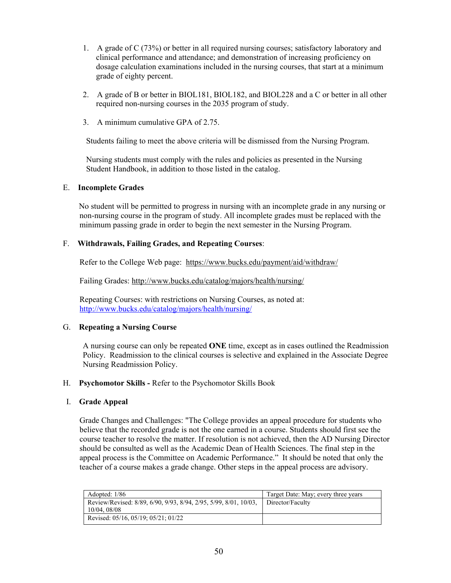- 1. A grade of C (73%) or better in all required nursing courses; satisfactory laboratory and clinical performance and attendance; and demonstration of increasing proficiency on dosage calculation examinations included in the nursing courses, that start at a minimum grade of eighty percent.
- 2. A grade of B or better in BIOL181, BIOL182, and BIOL228 and a C or better in all other required non-nursing courses in the 2035 program of study.
- 3. A minimum cumulative GPA of 2.75.

Students failing to meet the above criteria will be dismissed from the Nursing Program.

Nursing students must comply with the rules and policies as presented in the Nursing Student Handbook, in addition to those listed in the catalog.

#### E. **Incomplete Grades**

 No student will be permitted to progress in nursing with an incomplete grade in any nursing or non-nursing course in the program of study. All incomplete grades must be replaced with the minimum passing grade in order to begin the next semester in the Nursing Program.

## F. **Withdrawals, Failing Grades, and Repeating Courses**:

Refer to the College Web page: <https://www.bucks.edu/payment/aid/withdraw/>

Failing Grades:<http://www.bucks.edu/catalog/majors/health/nursing/>

Repeating Courses: with restrictions on Nursing Courses, as noted at: <http://www.bucks.edu/catalog/majors/health/nursing/>

## G. **Repeating a Nursing Course**

A nursing course can only be repeated **ONE** time, except as in cases outlined the Readmission Policy. Readmission to the clinical courses is selective and explained in the Associate Degree Nursing Readmission Policy.

#### H. **Psychomotor Skills -** Refer to the Psychomotor Skills Book

#### I. **Grade Appeal**

Grade Changes and Challenges: "The College provides an appeal procedure for students who believe that the recorded grade is not the one earned in a course. Students should first see the course teacher to resolve the matter. If resolution is not achieved, then the AD Nursing Director should be consulted as well as the Academic Dean of Health Sciences. The final step in the appeal process is the Committee on Academic Performance." It should be noted that only the teacher of a course makes a grade change. Other steps in the appeal process are advisory.

| Adopted: 1/86                                                                   | Target Date: May; every three years |
|---------------------------------------------------------------------------------|-------------------------------------|
| Review/Revised: 8/89, 6/90, 9/93, 8/94, 2/95, 5/99, 8/01, 10/03,<br>10/04.08/08 | Director/Faculty                    |
| Revised: 05/16, 05/19; 05/21; 01/22                                             |                                     |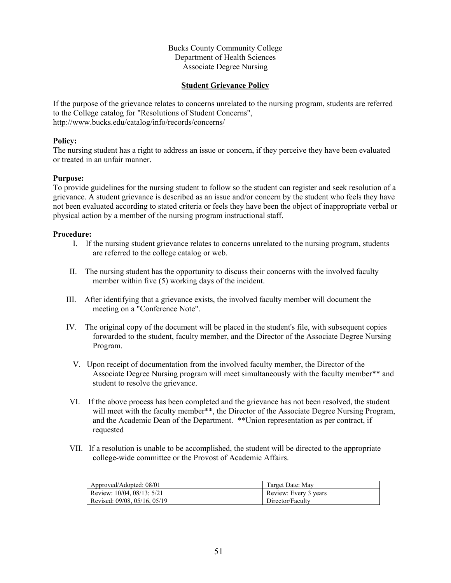## **Student Grievance Policy**

If the purpose of the grievance relates to concerns unrelated to the nursing program, students are referred to the College catalog for "Resolutions of Student Concerns", <http://www.bucks.edu/catalog/info/records/concerns/>

#### **Policy:**

The nursing student has a right to address an issue or concern, if they perceive they have been evaluated or treated in an unfair manner.

#### **Purpose:**

To provide guidelines for the nursing student to follow so the student can register and seek resolution of a grievance. A student grievance is described as an issue and/or concern by the student who feels they have not been evaluated according to stated criteria or feels they have been the object of inappropriate verbal or physical action by a member of the nursing program instructional staff.

- I. If the nursing student grievance relates to concerns unrelated to the nursing program, students are referred to the college catalog or web.
- II. The nursing student has the opportunity to discuss their concerns with the involved faculty member within five (5) working days of the incident.
- III. After identifying that a grievance exists, the involved faculty member will document the meeting on a "Conference Note".
- IV. The original copy of the document will be placed in the student's file, with subsequent copies forwarded to the student, faculty member, and the Director of the Associate Degree Nursing Program.
	- V. Upon receipt of documentation from the involved faculty member, the Director of the Associate Degree Nursing program will meet simultaneously with the faculty member\*\* and student to resolve the grievance.
- VI. If the above process has been completed and the grievance has not been resolved, the student will meet with the faculty member\*\*, the Director of the Associate Degree Nursing Program, and the Academic Dean of the Department. \*\*Union representation as per contract, if requested
- VII. If a resolution is unable to be accomplished, the student will be directed to the appropriate college-wide committee or the Provost of Academic Affairs.

| Approved/Adopted: 08/01      | Target Date: May      |  |
|------------------------------|-----------------------|--|
| Review: 10/04, 08/13; 5/21   | Review: Every 3 years |  |
| Revised: 09/08, 05/16, 05/19 | Director/Faculty      |  |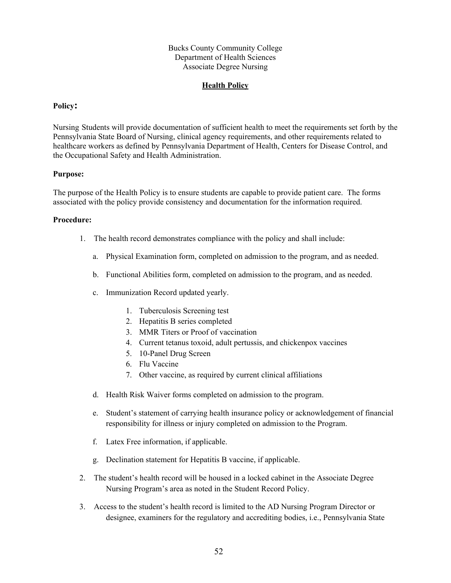## **Health Policy**

#### **Policy:**

Nursing Students will provide documentation of sufficient health to meet the requirements set forth by the Pennsylvania State Board of Nursing, clinical agency requirements, and other requirements related to healthcare workers as defined by Pennsylvania Department of Health, Centers for Disease Control, and the Occupational Safety and Health Administration.

#### **Purpose:**

The purpose of the Health Policy is to ensure students are capable to provide patient care. The forms associated with the policy provide consistency and documentation for the information required.

- 1. The health record demonstrates compliance with the policy and shall include:
	- a. Physical Examination form, completed on admission to the program, and as needed.
	- b. Functional Abilities form, completed on admission to the program, and as needed.
	- c. Immunization Record updated yearly.
		- 1. Tuberculosis Screening test
		- 2. Hepatitis B series completed
		- 3. MMR Titers or Proof of vaccination
		- 4. Current tetanus toxoid, adult pertussis, and chickenpox vaccines
		- 5. 10-Panel Drug Screen
		- 6. Flu Vaccine
		- 7. Other vaccine, as required by current clinical affiliations
	- d. Health Risk Waiver forms completed on admission to the program.
	- e. Student's statement of carrying health insurance policy or acknowledgement of financial responsibility for illness or injury completed on admission to the Program.
	- f. Latex Free information, if applicable.
	- g. Declination statement for Hepatitis B vaccine, if applicable.
- 2. The student's health record will be housed in a locked cabinet in the Associate Degree Nursing Program's area as noted in the Student Record Policy.
- 3. Access to the student's health record is limited to the AD Nursing Program Director or designee, examiners for the regulatory and accrediting bodies, i.e., Pennsylvania State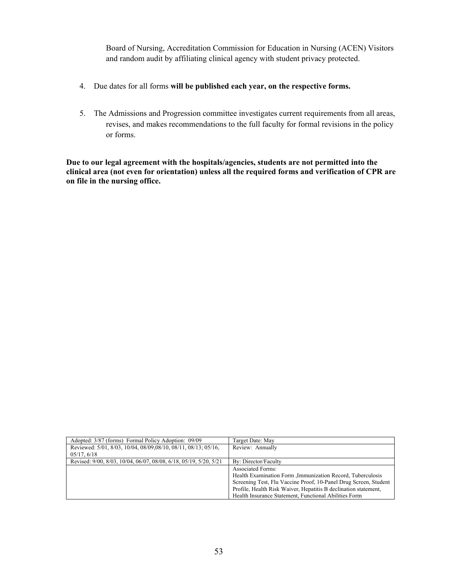Board of Nursing, Accreditation Commission for Education in Nursing (ACEN) Visitors and random audit by affiliating clinical agency with student privacy protected.

- 4. Due dates for all forms **will be published each year, on the respective forms.**
- 5. The Admissions and Progression committee investigates current requirements from all areas, revises, and makes recommendations to the full faculty for formal revisions in the policy or forms.

**Due to our legal agreement with the hospitals/agencies, students are not permitted into the clinical area (not even for orientation) unless all the required forms and verification of CPR are on file in the nursing office.**

| Adopted: 3/87 (forms) Formal Policy Adoption: 09/09               | Target Date: May                                                 |
|-------------------------------------------------------------------|------------------------------------------------------------------|
| Reviewed: 5/01, 8/03, 10/04, 08/09,08/10, 08/11, 08/13; 05/16,    | Review: Annually                                                 |
| 05/17, 6/18                                                       |                                                                  |
| Revised: 9/00, 8/03, 10/04, 06/07, 08/08, 6/18, 05/19, 5/20, 5/21 | By: Director/Faculty                                             |
|                                                                   | <b>Associated Forms:</b>                                         |
| Health Examination Form , Immunization Record, Tuberculosis       |                                                                  |
|                                                                   | Screening Test, Flu Vaccine Proof, 10-Panel Drug Screen, Student |
|                                                                   | Profile, Health Risk Waiver, Hepatitis B declination statement,  |
|                                                                   | Health Insurance Statement, Functional Abilities Form            |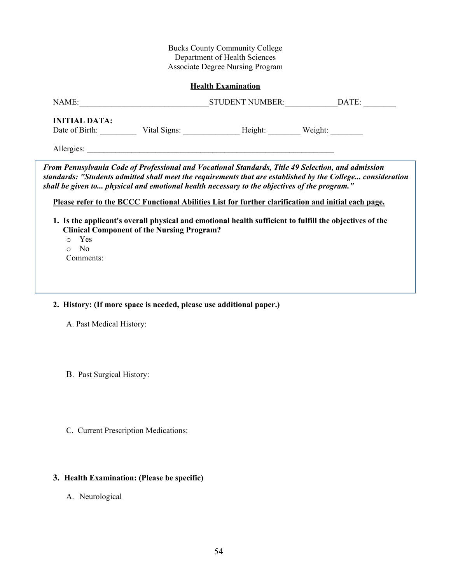| <b>Health Examination</b>                                           |                                                                                                                                                                                                                                                                                                                                                                                                                                                                                                                                                                                          |  |  |  |  |  |
|---------------------------------------------------------------------|------------------------------------------------------------------------------------------------------------------------------------------------------------------------------------------------------------------------------------------------------------------------------------------------------------------------------------------------------------------------------------------------------------------------------------------------------------------------------------------------------------------------------------------------------------------------------------------|--|--|--|--|--|
|                                                                     |                                                                                                                                                                                                                                                                                                                                                                                                                                                                                                                                                                                          |  |  |  |  |  |
| <b>INITIAL DATA:</b>                                                |                                                                                                                                                                                                                                                                                                                                                                                                                                                                                                                                                                                          |  |  |  |  |  |
| o Yes<br>No.<br>$\circ$<br>Comments:                                | From Pennsylvania Code of Professional and Vocational Standards, Title 49 Selection, and admission<br>standards: "Students admitted shall meet the requirements that are established by the College consideration<br>shall be given to physical and emotional health necessary to the objectives of the program."<br>Please refer to the BCCC Functional Abilities List for further clarification and initial each page.<br>1. Is the applicant's overall physical and emotional health sufficient to fulfill the objectives of the<br><b>Clinical Component of the Nursing Program?</b> |  |  |  |  |  |
| 2. History: (If more space is needed, please use additional paper.) |                                                                                                                                                                                                                                                                                                                                                                                                                                                                                                                                                                                          |  |  |  |  |  |

A. Past Medical History:

B. Past Surgical History:

C. Current Prescription Medications:

# **3. Health Examination: (Please be specific)**

A. Neurological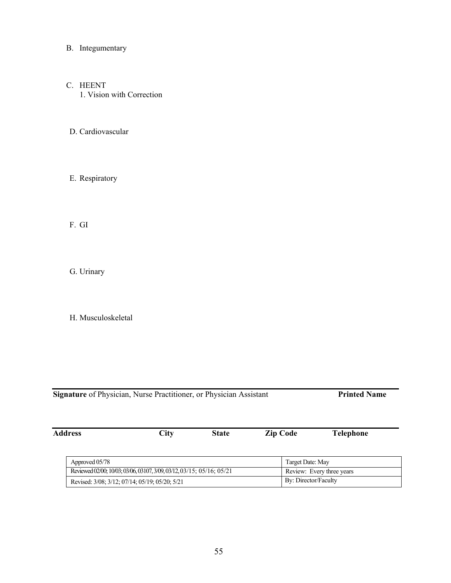- B. Integumentary
- C. HEENT 1. Vision with Correction
- D. Cardiovascular
- E. Respiratory

F. GI

G. Urinary

H. Musculoskeletal

| <b>Address</b> | City | State | <b>Zip Code</b> | <b>Telephone</b> |
|----------------|------|-------|-----------------|------------------|
|                |      |       |                 |                  |
|                |      |       |                 |                  |

| Approved 05/78                                                        | Target Date: May          |
|-----------------------------------------------------------------------|---------------------------|
| Reviewed 02/00; 10/03; 03/06, 03107, 3/09, 03/12, 03/15; 05/16; 05/21 | Review: Every three years |
| Revised: 3/08; 3/12; 07/14; 05/19; 05/20; 5/21                        | By: Director/Faculty      |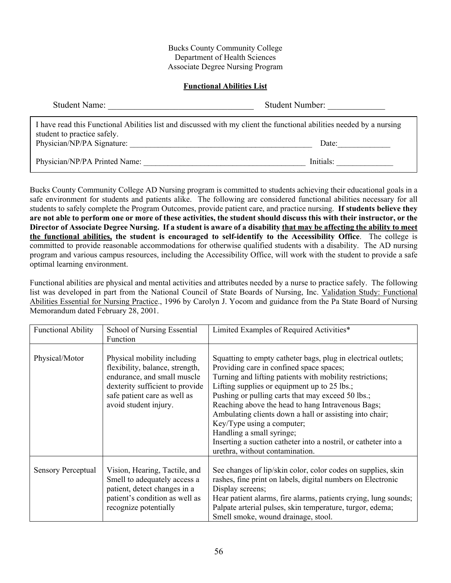#### **Functional Abilities List**

| <b>Student Name:</b>          | <b>Student Number:</b>                                                                                               |
|-------------------------------|----------------------------------------------------------------------------------------------------------------------|
| student to practice safely.   | I have read this Functional Abilities list and discussed with my client the functional abilities needed by a nursing |
| Physician/NP/PA Signature:    | Date:                                                                                                                |
| Physician/NP/PA Printed Name: | Initials:                                                                                                            |

Bucks County Community College AD Nursing program is committed to students achieving their educational goals in a safe environment for students and patients alike. The following are considered functional abilities necessary for all students to safely complete the Program Outcomes, provide patient care, and practice nursing. **If students believe they are not able to perform one or more of these activities, the student should discuss this with their instructor, or the Director of Associate Degree Nursing. If a student is aware of a disability that may be affecting the ability to meet the functional abilities, the student is encouraged to self-identify to the Accessibility Office**. The college is committed to provide reasonable accommodations for otherwise qualified students with a disability. The AD nursing program and various campus resources, including the Accessibility Office, will work with the student to provide a safe optimal learning environment.

Functional abilities are physical and mental activities and attributes needed by a nurse to practice safely. The following list was developed in part from the National Council of State Boards of Nursing, Inc. Validation Study: Functional Abilities Essential for Nursing Practice., 1996 by Carolyn J. Yocom and guidance from the Pa State Board of Nursing Memorandum dated February 28, 2001.

| <b>Functional Ability</b> | School of Nursing Essential<br>Function                                                                                                                                                   | Limited Examples of Required Activities*                                                                                                                                                                                                                                                                                                                                                                                                                                                                                                                    |
|---------------------------|-------------------------------------------------------------------------------------------------------------------------------------------------------------------------------------------|-------------------------------------------------------------------------------------------------------------------------------------------------------------------------------------------------------------------------------------------------------------------------------------------------------------------------------------------------------------------------------------------------------------------------------------------------------------------------------------------------------------------------------------------------------------|
| Physical/Motor            | Physical mobility including<br>flexibility, balance, strength,<br>endurance, and small muscle<br>dexterity sufficient to provide<br>safe patient care as well as<br>avoid student injury. | Squatting to empty catheter bags, plug in electrical outlets;<br>Providing care in confined space spaces;<br>Turning and lifting patients with mobility restrictions;<br>Lifting supplies or equipment up to 25 lbs.;<br>Pushing or pulling carts that may exceed 50 lbs.;<br>Reaching above the head to hang Intravenous Bags;<br>Ambulating clients down a hall or assisting into chair;<br>Key/Type using a computer;<br>Handling a small syringe;<br>Inserting a suction catheter into a nostril, or catheter into a<br>urethra, without contamination. |
| <b>Sensory Perceptual</b> | Vision, Hearing, Tactile, and<br>Smell to adequately access a<br>patient, detect changes in a<br>patient's condition as well as<br>recognize potentially                                  | See changes of lip/skin color, color codes on supplies, skin<br>rashes, fine print on labels, digital numbers on Electronic<br>Display screens;<br>Hear patient alarms, fire alarms, patients crying, lung sounds;<br>Palpate arterial pulses, skin temperature, turgor, edema;<br>Smell smoke, wound drainage, stool.                                                                                                                                                                                                                                      |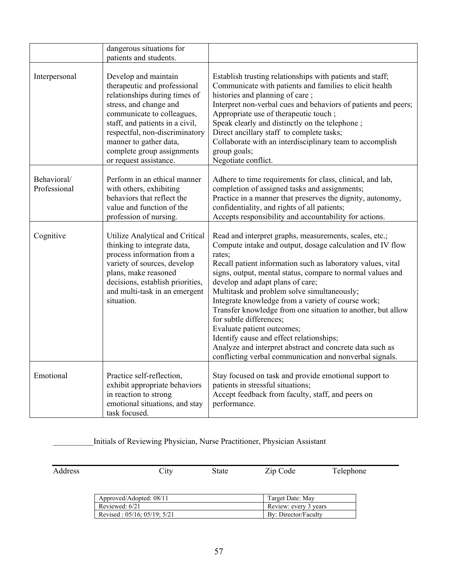|                             | dangerous situations for<br>patients and students.                                                                                                                                                                                                                                                   |                                                                                                                                                                                                                                                                                                                                                                                                                                                                                                                                                                                                                                                                                                |
|-----------------------------|------------------------------------------------------------------------------------------------------------------------------------------------------------------------------------------------------------------------------------------------------------------------------------------------------|------------------------------------------------------------------------------------------------------------------------------------------------------------------------------------------------------------------------------------------------------------------------------------------------------------------------------------------------------------------------------------------------------------------------------------------------------------------------------------------------------------------------------------------------------------------------------------------------------------------------------------------------------------------------------------------------|
|                             |                                                                                                                                                                                                                                                                                                      |                                                                                                                                                                                                                                                                                                                                                                                                                                                                                                                                                                                                                                                                                                |
| Interpersonal               | Develop and maintain<br>therapeutic and professional<br>relationships during times of<br>stress, and change and<br>communicate to colleagues,<br>staff, and patients in a civil,<br>respectful, non-discriminatory<br>manner to gather data,<br>complete group assignments<br>or request assistance. | Establish trusting relationships with patients and staff;<br>Communicate with patients and families to elicit health<br>histories and planning of care;<br>Interpret non-verbal cues and behaviors of patients and peers;<br>Appropriate use of therapeutic touch;<br>Speak clearly and distinctly on the telephone;<br>Direct ancillary staff to complete tasks;<br>Collaborate with an interdisciplinary team to accomplish<br>group goals;<br>Negotiate conflict.                                                                                                                                                                                                                           |
| Behavioral/<br>Professional | Perform in an ethical manner<br>with others, exhibiting<br>behaviors that reflect the<br>value and function of the<br>profession of nursing.                                                                                                                                                         | Adhere to time requirements for class, clinical, and lab,<br>completion of assigned tasks and assignments;<br>Practice in a manner that preserves the dignity, autonomy,<br>confidentiality, and rights of all patients;<br>Accepts responsibility and accountability for actions.                                                                                                                                                                                                                                                                                                                                                                                                             |
| Cognitive                   | Utilize Analytical and Critical<br>thinking to integrate data,<br>process information from a<br>variety of sources, develop<br>plans, make reasoned<br>decisions, establish priorities,<br>and multi-task in an emergent<br>situation.                                                               | Read and interpret graphs, measurements, scales, etc.;<br>Compute intake and output, dosage calculation and IV flow<br>rates;<br>Recall patient information such as laboratory values, vital<br>signs, output, mental status, compare to normal values and<br>develop and adapt plans of care;<br>Multitask and problem solve simultaneously;<br>Integrate knowledge from a variety of course work;<br>Transfer knowledge from one situation to another, but allow<br>for subtle differences;<br>Evaluate patient outcomes;<br>Identify cause and effect relationships;<br>Analyze and interpret abstract and concrete data such as<br>conflicting verbal communication and nonverbal signals. |
| Emotional                   | Practice self-reflection,<br>exhibit appropriate behaviors<br>in reaction to strong<br>emotional situations, and stay<br>task focused.                                                                                                                                                               | Stay focused on task and provide emotional support to<br>patients in stressful situations;<br>Accept feedback from faculty, staff, and peers on<br>performance.                                                                                                                                                                                                                                                                                                                                                                                                                                                                                                                                |

\_\_\_\_\_\_\_\_\_\_Initials of Reviewing Physician, Nurse Practitioner, Physician Assistant

Address City State Zip Code Telephone

| Approved/Adopted: 08/11             | Target Date: May      |
|-------------------------------------|-----------------------|
| Reviewed: 6/21                      | Review: every 3 years |
| Revised: $05/16$ ; $05/19$ ; $5/21$ | By: Director/Faculty  |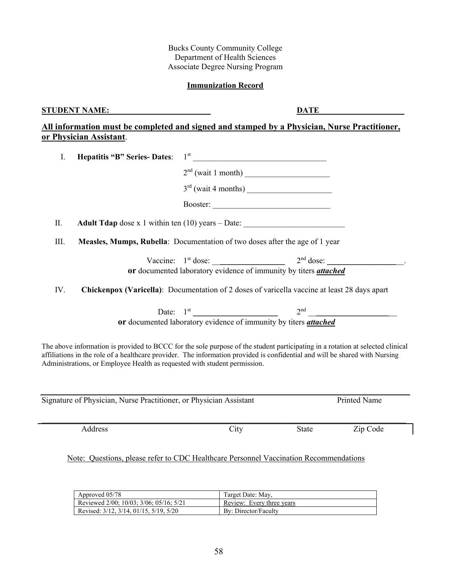58

Bucks County Community College Department of Health Sciences Associate Degree Nursing Program

## **Immunization Record**

## **STUDENT NAME:**<br> $\underline{\textbf{DATE}}$

 $\mathbf{I}$ 

**All information must be completed and signed and stamped by a Physician, Nurse Practitioner, or Physician Assistant**.

| <b>Hepatitis "B" Series-Dates:</b><br>I.                                                                                                                                                                                                                                                                                                   | $1st$ and $1st$ and $1st$ and $1st$ and $1st$ and $1st$ and $1st$ and $1st$ and $1st$ and $1st$ and $1st$ and $1st$ and $1st$ and $1st$ and $1st$ |              |              |
|--------------------------------------------------------------------------------------------------------------------------------------------------------------------------------------------------------------------------------------------------------------------------------------------------------------------------------------------|---------------------------------------------------------------------------------------------------------------------------------------------------|--------------|--------------|
|                                                                                                                                                                                                                                                                                                                                            |                                                                                                                                                   |              |              |
|                                                                                                                                                                                                                                                                                                                                            |                                                                                                                                                   |              |              |
|                                                                                                                                                                                                                                                                                                                                            |                                                                                                                                                   |              |              |
| II.                                                                                                                                                                                                                                                                                                                                        | <b>Adult Tdap</b> dose x 1 within ten (10) years – Date:                                                                                          |              |              |
| III.                                                                                                                                                                                                                                                                                                                                       | Measles, Mumps, Rubella: Documentation of two doses after the age of 1 year                                                                       |              |              |
|                                                                                                                                                                                                                                                                                                                                            |                                                                                                                                                   |              |              |
|                                                                                                                                                                                                                                                                                                                                            | or documented laboratory evidence of immunity by titers attached                                                                                  |              |              |
| IV.                                                                                                                                                                                                                                                                                                                                        | Chickenpox (Varicella): Documentation of 2 doses of varicella vaccine at least 28 days apart                                                      |              |              |
|                                                                                                                                                                                                                                                                                                                                            | Date: $1^{st}$ 2 <sup>nd</sup> 2 <sup>nd</sup><br>or documented laboratory evidence of immunity by titers <i>attached</i>                         |              |              |
| The above information is provided to BCCC for the sole purpose of the student participating in a rotation at selected clinical<br>affiliations in the role of a healthcare provider. The information provided is confidential and will be shared with Nursing<br>Administrations, or Employee Health as requested with student permission. |                                                                                                                                                   |              |              |
| Signature of Physician, Nurse Practitioner, or Physician Assistant                                                                                                                                                                                                                                                                         |                                                                                                                                                   |              | Printed Name |
| Address                                                                                                                                                                                                                                                                                                                                    | City                                                                                                                                              | <b>State</b> | Zip Code     |

Note: Questions, please refer to CDC Healthcare Personnel Vaccination Recommendations

| Approved 05/78                          | Target Date: May,         |
|-----------------------------------------|---------------------------|
| Reviewed 2/00; 10/03; 3/06; 05/16; 5/21 | Review: Every three years |
| Revised: 3/12, 3/14, 01/15, 5/19, 5/20  | By: Director/Faculty      |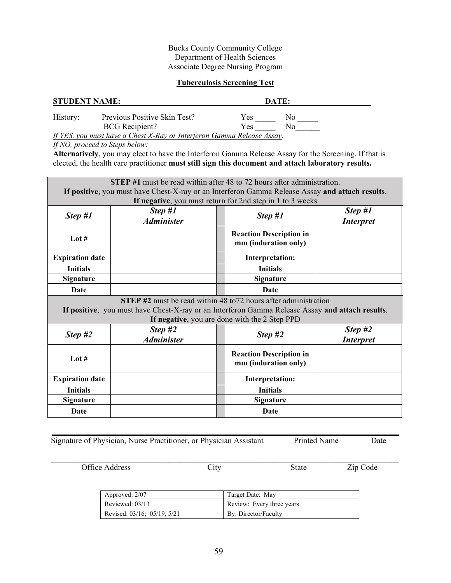## **Tuberculosis Screening Test**

| <b>STUDENT NAME:</b> |                                                                        |     | DATE: |  |
|----------------------|------------------------------------------------------------------------|-----|-------|--|
| History:             | Previous Positive Skin Test?                                           | Yes | Nο    |  |
|                      | <b>BCG</b> Recipient?                                                  | Yes | N٥    |  |
|                      | If YES, you must have a Chest X-Ray or Interferon Gamma Release Assay. |     |       |  |

*If NO, proceed to Steps below:*

**Alternatively**, you may elect to have the Interferon Gamma Release Assay for the Screening. If that is elected, the health care practitioner **must still sign this document and attach laboratory results.** 

| <b>STEP</b> #1 must be read within after 48 to 72 hours after administration.<br>If positive, you must have Chest-X-ray or an Interferon Gamma Release Assay and attach results.                                           |                              |                                                           |                               |  |
|----------------------------------------------------------------------------------------------------------------------------------------------------------------------------------------------------------------------------|------------------------------|-----------------------------------------------------------|-------------------------------|--|
|                                                                                                                                                                                                                            | Step #1                      | If negative, you must return for 2nd step in 1 to 3 weeks | Step #1                       |  |
| Step #1                                                                                                                                                                                                                    | <b>Administer</b>            | Step #1                                                   | <i><b>Interpret</b></i>       |  |
| Lot $#$                                                                                                                                                                                                                    |                              | <b>Reaction Description in</b><br>mm (induration only)    |                               |  |
| <b>Expiration date</b>                                                                                                                                                                                                     |                              | Interpretation:                                           |                               |  |
| <b>Initials</b>                                                                                                                                                                                                            |                              | <b>Initials</b>                                           |                               |  |
| <b>Signature</b>                                                                                                                                                                                                           |                              | Signature                                                 |                               |  |
| Date                                                                                                                                                                                                                       |                              | Date                                                      |                               |  |
| <b>STEP</b> #2 must be read within 48 to 72 hours after administration<br>If positive, you must have Chest-X-ray or an Interferon Gamma Release Assay and attach results.<br>If negative, you are done with the 2 Step PPD |                              |                                                           |                               |  |
| Step #2                                                                                                                                                                                                                    | Step #2<br><b>Administer</b> | Step $#2$                                                 | Step $#2$<br><b>Interpret</b> |  |
| Lot $#$                                                                                                                                                                                                                    |                              | <b>Reaction Description in</b><br>mm (induration only)    |                               |  |
| <b>Expiration date</b>                                                                                                                                                                                                     |                              | Interpretation:                                           |                               |  |
| <b>Initials</b>                                                                                                                                                                                                            |                              | <b>Initials</b>                                           |                               |  |
| <b>Signature</b>                                                                                                                                                                                                           |                              | <b>Signature</b>                                          |                               |  |
| Date                                                                                                                                                                                                                       |                              |                                                           |                               |  |

Signature of Physician, Nurse Practitioner, or Physician Assistant Printed Name Date

Office Address City State Zip Code

\_\_\_\_\_\_\_\_\_\_\_\_\_\_\_\_\_\_\_\_\_\_\_\_\_\_\_\_\_\_\_\_\_\_\_\_\_\_\_\_\_\_\_\_\_\_\_\_\_\_\_\_\_\_\_\_\_\_\_\_\_\_\_\_\_\_\_\_\_\_\_\_\_\_\_\_\_\_\_\_\_\_\_\_\_\_

| Approved: 2/07              | Target Date: May          |
|-----------------------------|---------------------------|
| Reviewed: 03/13             | Review: Every three years |
| Revised: 03/16; 05/19, 5/21 | By: Director/Faculty      |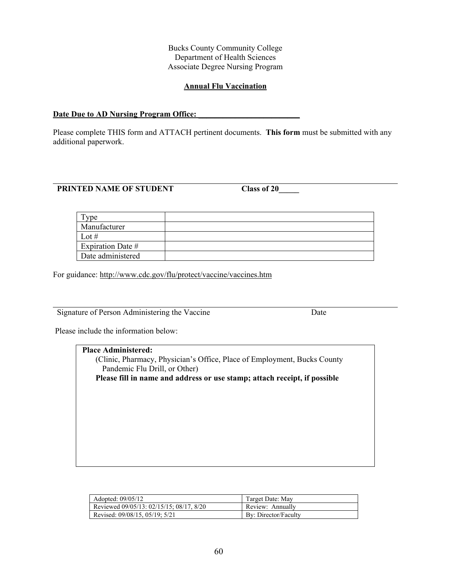#### **Annual Flu Vaccination**

## **Date Due to AD Nursing Program Office:**

Please complete THIS form and ATTACH pertinent documents. **This form** must be submitted with any additional paperwork.

## **PRINTED NAME OF STUDENT Class of 20\_\_\_\_\_**

| ne                |  |
|-------------------|--|
| Manufacturer      |  |
| Lot #             |  |
| Expiration Date # |  |
| Date administered |  |

For guidance: <http://www.cdc.gov/flu/protect/vaccine/vaccines.htm>

Signature of Person Administering the Vaccine Date

Please include the information below:

**Place Administered:**  (Clinic, Pharmacy, Physician's Office, Place of Employment, Bucks County Pandemic Flu Drill, or Other) **Please fill in name and address or use stamp; attach receipt, if possible**

| Adopted: 09/05/12                        | Target Date: May     |
|------------------------------------------|----------------------|
| Reviewed 09/05/13: 02/15/15: 08/17, 8/20 | Review: Annually     |
| Revised: 09/08/15, 05/19; 5/21           | By: Director/Faculty |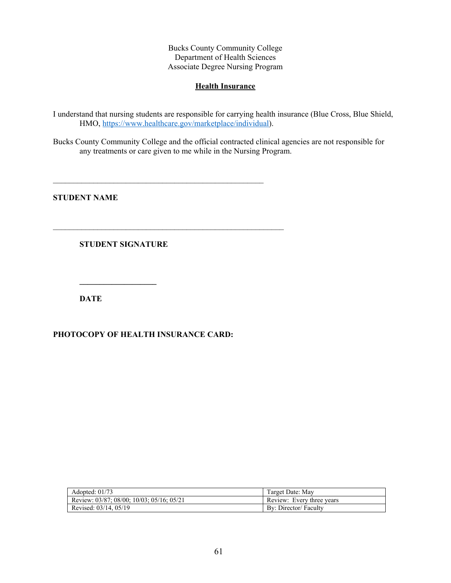### **Health Insurance**

I understand that nursing students are responsible for carrying health insurance (Blue Cross, Blue Shield, HMO, [https://www.healthcare.gov/marketplace/individual\)](https://www.healthcare.gov/marketplace/individual).

Bucks County Community College and the official contracted clinical agencies are not responsible for any treatments or care given to me while in the Nursing Program.

**STUDENT NAME**

**STUDENT SIGNATURE** 

**\_\_\_\_\_\_\_\_\_\_\_\_\_\_\_\_\_\_\_**

**DATE**

**PHOTOCOPY OF HEALTH INSURANCE CARD:** 

 $\mathcal{L}_\text{max}$  , and the contract of the contract of the contract of the contract of the contract of the contract of

 $\mathcal{L}_\text{max}$  , and the contract of the contract of the contract of the contract of the contract of the contract of

| Adopted: $01/73$                                        | Target Date: Mav          |
|---------------------------------------------------------|---------------------------|
| Review: $03/87$ ; $08/00$ ; $10/03$ ; $05/16$ ; $05/21$ | Review: Every three years |
| Revised: $03/14$ , $05/19$                              | By: Director/ Faculty     |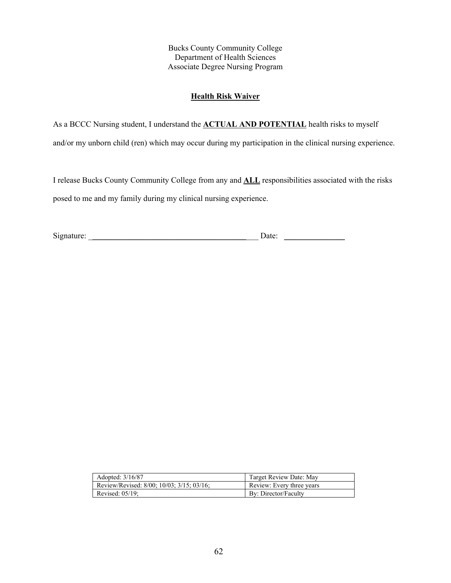#### **Health Risk Waiver**

As a BCCC Nursing student, I understand the **ACTUAL AND POTENTIAL** health risks to myself

and/or my unborn child (ren) which may occur during my participation in the clinical nursing experience.

I release Bucks County Community College from any and **ALL** responsibilities associated with the risks posed to me and my family during my clinical nursing experience.

Signature: \_\_\_\_\_\_\_\_\_\_\_\_\_\_\_\_\_\_\_\_\_\_\_\_\_\_\_\_\_\_\_\_\_\_\_\_\_\_\_\_\_\_ Date: \_\_\_\_\_\_\_\_\_\_\_\_\_\_\_

| Adopted: 3/16/87                          | Target Review Date: May   |
|-------------------------------------------|---------------------------|
| Review/Revised: 8/00: 10/03: 3/15: 03/16: | Review: Every three years |
| Revised: $05/19$ :                        | By: Director/Faculty      |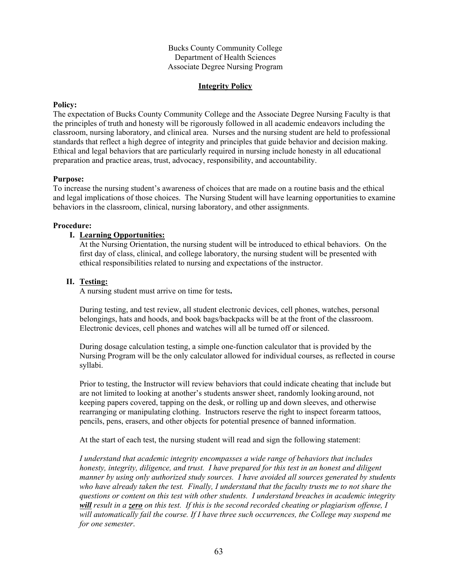## **Integrity Policy**

### **Policy:**

The expectation of Bucks County Community College and the Associate Degree Nursing Faculty is that the principles of truth and honesty will be rigorously followed in all academic endeavors including the classroom, nursing laboratory, and clinical area. Nurses and the nursing student are held to professional standards that reflect a high degree of integrity and principles that guide behavior and decision making. Ethical and legal behaviors that are particularly required in nursing include honesty in all educational preparation and practice areas, trust, advocacy, responsibility, and accountability.

## **Purpose:**

To increase the nursing student's awareness of choices that are made on a routine basis and the ethical and legal implications of those choices. The Nursing Student will have learning opportunities to examine behaviors in the classroom, clinical, nursing laboratory, and other assignments.

#### **Procedure:**

## **I. Learning Opportunities:**

At the Nursing Orientation, the nursing student will be introduced to ethical behaviors. On the first day of class, clinical, and college laboratory, the nursing student will be presented with ethical responsibilities related to nursing and expectations of the instructor.

## **II. Testing:**

A nursing student must arrive on time for tests**.** 

During testing, and test review, all student electronic devices, cell phones, watches, personal belongings, hats and hoods, and book bags/backpacks will be at the front of the classroom. Electronic devices, cell phones and watches will all be turned off or silenced.

During dosage calculation testing, a simple one-function calculator that is provided by the Nursing Program will be the only calculator allowed for individual courses, as reflected in course syllabi.

Prior to testing, the Instructor will review behaviors that could indicate cheating that include but are not limited to looking at another's students answer sheet, randomly looking around, not keeping papers covered, tapping on the desk, or rolling up and down sleeves, and otherwise rearranging or manipulating clothing. Instructors reserve the right to inspect forearm tattoos, pencils, pens, erasers, and other objects for potential presence of banned information.

At the start of each test, the nursing student will read and sign the following statement:

*I understand that academic integrity encompasses a wide range of behaviors that includes honesty, integrity, diligence, and trust. I have prepared for this test in an honest and diligent manner by using only authorized study sources. I have avoided all sources generated by students who have already taken the test. Finally, I understand that the faculty trusts me to not share the questions or content on this test with other students. I understand breaches in academic integrity will result in a zero on this test. If this is the second recorded cheating or plagiarism offense, I will automatically fail the course. If I have three such occurrences, the College may suspend me for one semester*.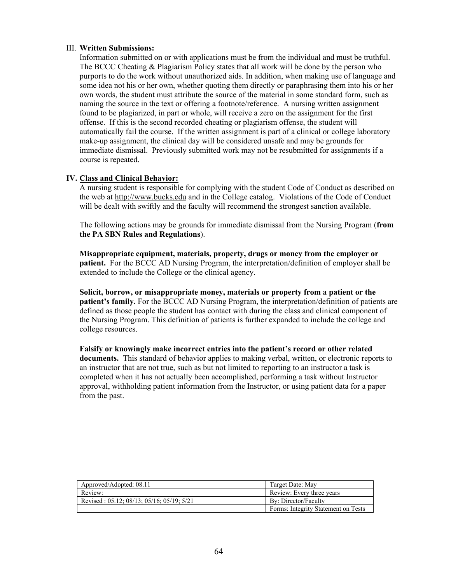## III. **Written Submissions:**

Information submitted on or with applications must be from the individual and must be truthful. The BCCC Cheating & Plagiarism Policy states that all work will be done by the person who purports to do the work without unauthorized aids. In addition, when making use of language and some idea not his or her own, whether quoting them directly or paraphrasing them into his or her own words, the student must attribute the source of the material in some standard form, such as naming the source in the text or offering a footnote/reference. A nursing written assignment found to be plagiarized, in part or whole, will receive a zero on the assignment for the first offense. If this is the second recorded cheating or plagiarism offense, the student will automatically fail the course. If the written assignment is part of a clinical or college laboratory make-up assignment, the clinical day will be considered unsafe and may be grounds for immediate dismissal. Previously submitted work may not be resubmitted for assignments if a course is repeated.

## **IV. Class and Clinical Behavior:**

A nursing student is responsible for complying with the student Code of Conduct as described on the web at [http://www.bucks.edu](http://www.bucks.edu/) and in the College catalog. Violations of the Code of Conduct will be dealt with swiftly and the faculty will recommend the strongest sanction available.

The following actions may be grounds for immediate dismissal from the Nursing Program (**from the PA SBN Rules and Regulations**).

**Misappropriate equipment, materials, property, drugs or money from the employer or patient.** For the BCCC AD Nursing Program, the interpretation/definition of employer shall be extended to include the College or the clinical agency.

**Solicit, borrow, or misappropriate money, materials or property from a patient or the patient's family.** For the BCCC AD Nursing Program, the interpretation/definition of patients are defined as those people the student has contact with during the class and clinical component of the Nursing Program. This definition of patients is further expanded to include the college and college resources.

**Falsify or knowingly make incorrect entries into the patient's record or other related documents.** This standard of behavior applies to making verbal, written, or electronic reports to an instructor that are not true, such as but not limited to reporting to an instructor a task is completed when it has not actually been accomplished, performing a task without Instructor approval, withholding patient information from the Instructor, or using patient data for a paper from the past.

| Approved/Adopted: 08.11                                 | Target Date: May                    |
|---------------------------------------------------------|-------------------------------------|
| Review:                                                 | Review: Every three years           |
| Revised: $05.12$ ; $08/13$ ; $05/16$ ; $05/19$ ; $5/21$ | By: Director/Faculty                |
|                                                         | Forms: Integrity Statement on Tests |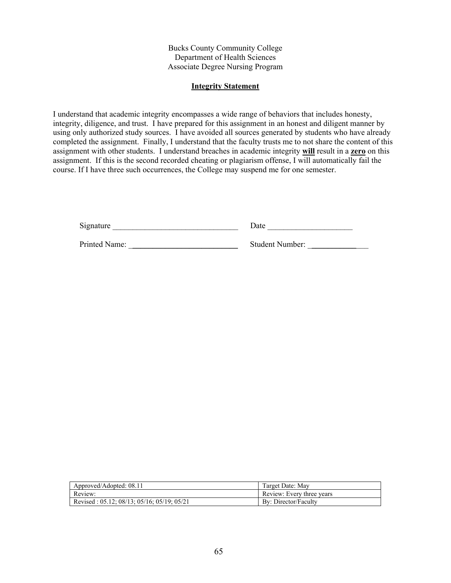## **Integrity Statement**

I understand that academic integrity encompasses a wide range of behaviors that includes honesty, integrity, diligence, and trust. I have prepared for this assignment in an honest and diligent manner by using only authorized study sources. I have avoided all sources generated by students who have already completed the assignment. Finally, I understand that the faculty trusts me to not share the content of this assignment with other students. I understand breaches in academic integrity **will** result in a **zero** on this assignment. If this is the second recorded cheating or plagiarism offense, I will automatically fail the course. If I have three such occurrences, the College may suspend me for one semester.

| Signature     | Date                   |
|---------------|------------------------|
| Printed Name: | <b>Student Number:</b> |

| Approved/Adopted: 08.11                    | Target Date: May          |
|--------------------------------------------|---------------------------|
| Review:                                    | Review: Every three years |
| Revised: 05.12; 08/13; 05/16; 05/19; 05/21 | By: Director/Faculty      |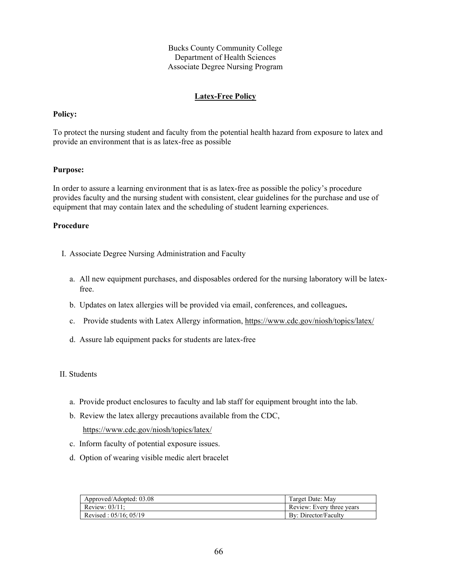## **Latex-Free Policy**

#### **Policy:**

To protect the nursing student and faculty from the potential health hazard from exposure to latex and provide an environment that is as latex-free as possible

### **Purpose:**

In order to assure a learning environment that is as latex-free as possible the policy's procedure provides faculty and the nursing student with consistent, clear guidelines for the purchase and use of equipment that may contain latex and the scheduling of student learning experiences.

- I. Associate Degree Nursing Administration and Faculty
	- a. All new equipment purchases, and disposables ordered for the nursing laboratory will be latexfree.
	- b. Updates on latex allergies will be provided via email, conferences, and colleagues**.**
	- c. Provide students with Latex Allergy information,<https://www.cdc.gov/niosh/topics/latex/>
	- d. Assure lab equipment packs for students are latex-free
- II. Students
	- a. Provide product enclosures to faculty and lab staff for equipment brought into the lab.
	- b. Review the latex allergy precautions available from the CDC, <https://www.cdc.gov/niosh/topics/latex/>
	- c. Inform faculty of potential exposure issues.
	- d. Option of wearing visible medic alert bracelet

| Approved/Adopted: 03.08    | Target Date: May          |
|----------------------------|---------------------------|
| Review: $03/11$ :          | Review: Every three years |
| Revised: $05/16$ : $05/19$ | By: Director/Faculty      |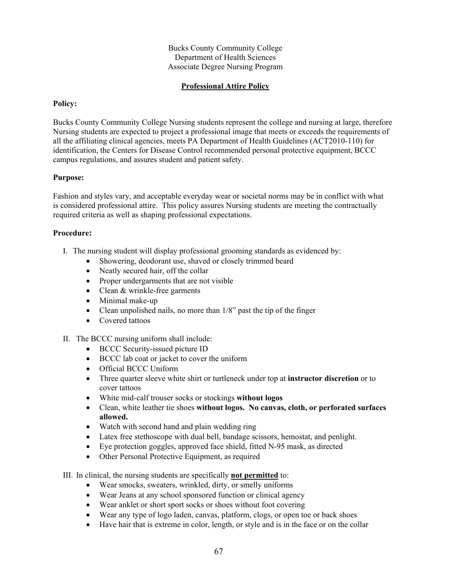## **Professional Attire Policy**

### **Policy:**

Bucks County Community College Nursing students represent the college and nursing at large, therefore Nursing students are expected to project a professional image that meets or exceeds the requirements of all the affiliating clinical agencies, meets PA Department of Health Guidelines (ACT2010-110) for identification, the Centers for Disease Control recommended personal protective equipment, BCCC campus regulations, and assures student and patient safety.

#### **Purpose:**

Fashion and styles vary, and acceptable everyday wear or societal norms may be in conflict with what is considered professional attire. This policy assures Nursing students are meeting the contractually required criteria as well as shaping professional expectations.

## **Procedure:**

- I. The nursing student will display professional grooming standards as evidenced by:
	- Showering, deodorant use, shaved or closely trimmed beard
	- Neatly secured hair, off the collar
	- Proper undergarments that are not visible
	- Clean & wrinkle-free garments
	- Minimal make-up
	- Clean unpolished nails, no more than  $1/8$ " past the tip of the finger
	- Covered tattoos

## II. The BCCC nursing uniform shall include:

- BCCC Security-issued picture ID
- BCCC lab coat or jacket to cover the uniform
- Official BCCC Uniform
- Three quarter sleeve white shirt or turtleneck under top at **instructor discretion** or to cover tattoos
- White mid-calf trouser socks or stockings **without logos**
- Clean, white leather tie shoes **without logos. No canvas, cloth, or perforated surfaces allowed.**
- Watch with second hand and plain wedding ring
- Latex free stethoscope with dual bell, bandage scissors, hemostat, and penlight.
- Eye protection goggles, approved face shield, fitted N-95 mask, as directed
- Other Personal Protective Equipment, as required
- III. In clinical, the nursing students are specifically **not permitted** to:
	- Wear smocks, sweaters, wrinkled, dirty, or smelly uniforms
	- Wear Jeans at any school sponsored function or clinical agency
	- Wear anklet or short sport socks or shoes without foot covering
	- Wear any type of logo laden, canvas, platform, clogs, or open toe or back shoes
	- Have hair that is extreme in color, length, or style and is in the face or on the collar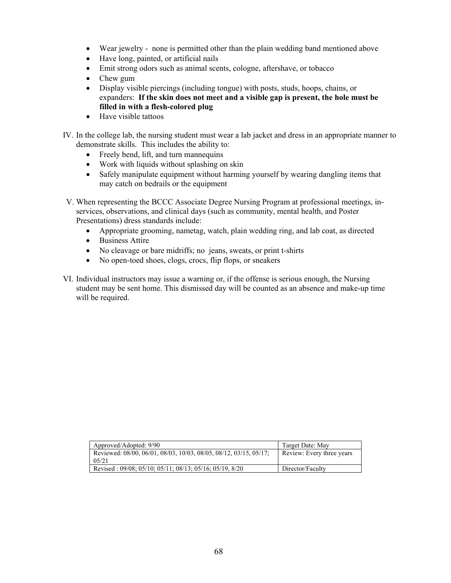- Wear jewelry none is permitted other than the plain wedding band mentioned above
- Have long, painted, or artificial nails
- Emit strong odors such as animal scents, cologne, aftershave, or tobacco
- Chew gum
- Display visible piercings (including tongue) with posts, studs, hoops, chains, or expanders: **If the skin does not meet and a visible gap is present, the hole must be filled in with a flesh-colored plug**
- Have visible tattoos
- IV. In the college lab, the nursing student must wear a lab jacket and dress in an appropriate manner to demonstrate skills. This includes the ability to:
	- Freely bend, lift, and turn mannequins
	- Work with liquids without splashing on skin
	- Safely manipulate equipment without harming yourself by wearing dangling items that may catch on bedrails or the equipment
- V. When representing the BCCC Associate Degree Nursing Program at professional meetings, inservices, observations, and clinical days (such as community, mental health, and Poster Presentations) dress standards include:
	- Appropriate grooming, nametag, watch, plain wedding ring, and lab coat, as directed
	- Business Attire
	- No cleavage or bare midriffs; no jeans, sweats, or print t-shirts
	- No open-toed shoes, clogs, crocs, flip flops, or sneakers
- VI. Individual instructors may issue a warning or, if the offense is serious enough, the Nursing student may be sent home. This dismissed day will be counted as an absence and make-up time will be required.

| Approved/Adopted: 9/90                                                      | Target Date: May          |
|-----------------------------------------------------------------------------|---------------------------|
| Reviewed: 08/00, 06/01, 08/03, 10/03, 08/05, 08/12, 03/15, 05/17;<br>0.5/21 | Review: Every three years |
| Revised: 09/08; 05/10; 05/11; 08/13; 05/16; 05/19, 8/20                     | Director/Faculty          |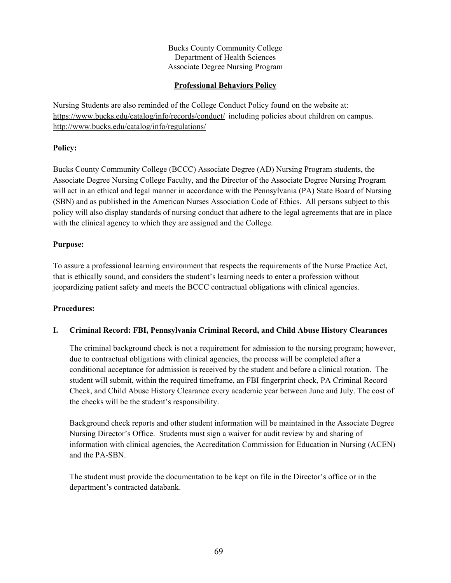## **Professional Behaviors Policy**

Nursing Students are also reminded of the College Conduct Policy found on the website at: <https://www.bucks.edu/catalog/info/records/conduct/> including policies about children on campus. <http://www.bucks.edu/catalog/info/regulations/>

## **Policy:**

Bucks County Community College (BCCC) Associate Degree (AD) Nursing Program students, the Associate Degree Nursing College Faculty, and the Director of the Associate Degree Nursing Program will act in an ethical and legal manner in accordance with the Pennsylvania (PA) State Board of Nursing (SBN) and as published in the American Nurses Association Code of Ethics. All persons subject to this policy will also display standards of nursing conduct that adhere to the legal agreements that are in place with the clinical agency to which they are assigned and the College.

## **Purpose:**

To assure a professional learning environment that respects the requirements of the Nurse Practice Act, that is ethically sound, and considers the student's learning needs to enter a profession without jeopardizing patient safety and meets the BCCC contractual obligations with clinical agencies.

## **Procedures:**

# **I. Criminal Record: FBI, Pennsylvania Criminal Record, and Child Abuse History Clearances**

The criminal background check is not a requirement for admission to the nursing program; however, due to contractual obligations with clinical agencies, the process will be completed after a conditional acceptance for admission is received by the student and before a clinical rotation. The student will submit, within the required timeframe, an FBI fingerprint check, PA Criminal Record Check, and Child Abuse History Clearance every academic year between June and July. The cost of the checks will be the student's responsibility.

Background check reports and other student information will be maintained in the Associate Degree Nursing Director's Office. Students must sign a waiver for audit review by and sharing of information with clinical agencies, the Accreditation Commission for Education in Nursing (ACEN) and the PA-SBN.

The student must provide the documentation to be kept on file in the Director's office or in the department's contracted databank.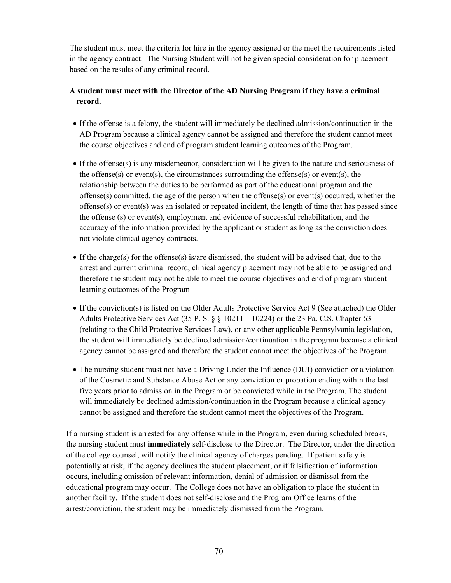The student must meet the criteria for hire in the agency assigned or the meet the requirements listed in the agency contract. The Nursing Student will not be given special consideration for placement based on the results of any criminal record.

# **A student must meet with the Director of the AD Nursing Program if they have a criminal record.**

- If the offense is a felony, the student will immediately be declined admission/continuation in the AD Program because a clinical agency cannot be assigned and therefore the student cannot meet the course objectives and end of program student learning outcomes of the Program.
- If the offense(s) is any misdemeanor, consideration will be given to the nature and seriousness of the offense(s) or event(s), the circumstances surrounding the offense(s) or event(s), the relationship between the duties to be performed as part of the educational program and the offense(s) committed, the age of the person when the offense(s) or event(s) occurred, whether the offense $(s)$  or event $(s)$  was an isolated or repeated incident, the length of time that has passed since the offense (s) or event(s), employment and evidence of successful rehabilitation, and the accuracy of the information provided by the applicant or student as long as the conviction does not violate clinical agency contracts.
- If the charge(s) for the offense(s) is/are dismissed, the student will be advised that, due to the arrest and current criminal record, clinical agency placement may not be able to be assigned and therefore the student may not be able to meet the course objectives and end of program student learning outcomes of the Program
- If the conviction(s) is listed on the Older Adults Protective Service Act 9 (See attached) the Older Adults Protective Services Act (35 P. S.  $\S$   $\S$  10211—10224) or the 23 Pa. C.S. Chapter 63 (relating to the Child Protective Services Law), or any other applicable Pennsylvania legislation, the student will immediately be declined admission/continuation in the program because a clinical agency cannot be assigned and therefore the student cannot meet the objectives of the Program.
- The nursing student must not have a Driving Under the Influence (DUI) conviction or a violation of the Cosmetic and Substance Abuse Act or any conviction or probation ending within the last five years prior to admission in the Program or be convicted while in the Program. The student will immediately be declined admission/continuation in the Program because a clinical agency cannot be assigned and therefore the student cannot meet the objectives of the Program.

If a nursing student is arrested for any offense while in the Program, even during scheduled breaks, the nursing student must **immediately** self-disclose to the Director. The Director, under the direction of the college counsel, will notify the clinical agency of charges pending. If patient safety is potentially at risk, if the agency declines the student placement, or if falsification of information occurs, including omission of relevant information, denial of admission or dismissal from the educational program may occur. The College does not have an obligation to place the student in another facility. If the student does not self-disclose and the Program Office learns of the arrest/conviction, the student may be immediately dismissed from the Program.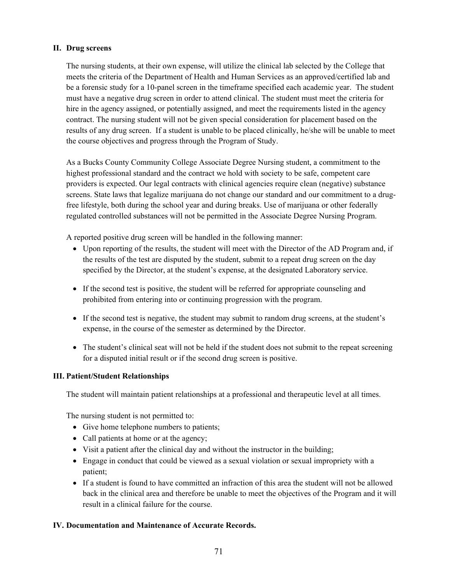## **II. Drug screens**

The nursing students, at their own expense, will utilize the clinical lab selected by the College that meets the criteria of the Department of Health and Human Services as an approved/certified lab and be a forensic study for a 10-panel screen in the timeframe specified each academic year. The student must have a negative drug screen in order to attend clinical. The student must meet the criteria for hire in the agency assigned, or potentially assigned, and meet the requirements listed in the agency contract. The nursing student will not be given special consideration for placement based on the results of any drug screen. If a student is unable to be placed clinically, he/she will be unable to meet the course objectives and progress through the Program of Study.

As a Bucks County Community College Associate Degree Nursing student, a commitment to the highest professional standard and the contract we hold with society to be safe, competent care providers is expected. Our legal contracts with clinical agencies require clean (negative) substance screens. State laws that legalize marijuana do not change our standard and our commitment to a drugfree lifestyle, both during the school year and during breaks. Use of marijuana or other federally regulated controlled substances will not be permitted in the Associate Degree Nursing Program.

A reported positive drug screen will be handled in the following manner:

- Upon reporting of the results, the student will meet with the Director of the AD Program and, if the results of the test are disputed by the student, submit to a repeat drug screen on the day specified by the Director, at the student's expense, at the designated Laboratory service.
- If the second test is positive, the student will be referred for appropriate counseling and prohibited from entering into or continuing progression with the program.
- If the second test is negative, the student may submit to random drug screens, at the student's expense, in the course of the semester as determined by the Director.
- The student's clinical seat will not be held if the student does not submit to the repeat screening for a disputed initial result or if the second drug screen is positive.

## **III. Patient/Student Relationships**

The student will maintain patient relationships at a professional and therapeutic level at all times.

The nursing student is not permitted to:

- Give home telephone numbers to patients;
- Call patients at home or at the agency;
- Visit a patient after the clinical day and without the instructor in the building;
- Engage in conduct that could be viewed as a sexual violation or sexual impropriety with a patient;
- If a student is found to have committed an infraction of this area the student will not be allowed back in the clinical area and therefore be unable to meet the objectives of the Program and it will result in a clinical failure for the course.

## **IV. Documentation and Maintenance of Accurate Records.**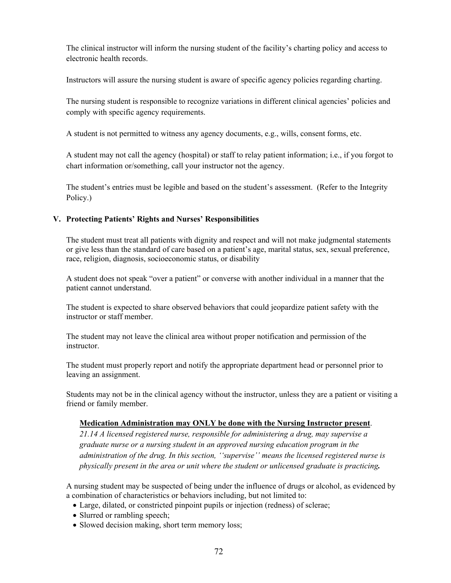The clinical instructor will inform the nursing student of the facility's charting policy and access to electronic health records.

Instructors will assure the nursing student is aware of specific agency policies regarding charting.

The nursing student is responsible to recognize variations in different clinical agencies' policies and comply with specific agency requirements.

A student is not permitted to witness any agency documents, e.g., wills, consent forms, etc.

A student may not call the agency (hospital) or staff to relay patient information; i.e., if you forgot to chart information or/something, call your instructor not the agency.

The student's entries must be legible and based on the student's assessment. (Refer to the Integrity Policy.)

## **V. Protecting Patients' Rights and Nurses' Responsibilities**

The student must treat all patients with dignity and respect and will not make judgmental statements or give less than the standard of care based on a patient's age, marital status, sex, sexual preference, race, religion, diagnosis, socioeconomic status, or disability

A student does not speak "over a patient" or converse with another individual in a manner that the patient cannot understand.

The student is expected to share observed behaviors that could jeopardize patient safety with the instructor or staff member.

The student may not leave the clinical area without proper notification and permission of the instructor.

The student must properly report and notify the appropriate department head or personnel prior to leaving an assignment.

Students may not be in the clinical agency without the instructor, unless they are a patient or visiting a friend or family member.

## **Medication Administration may ONLY be done with the Nursing Instructor present**.

*21.14 A licensed registered nurse, responsible for administering a drug, may supervise a graduate nurse or a nursing student in an approved nursing education program in the administration of the drug. In this section, ''supervise'' means the licensed registered nurse is physically present in the area or unit where the student or unlicensed graduate is practicing.* 

A nursing student may be suspected of being under the influence of drugs or alcohol, as evidenced by a combination of characteristics or behaviors including, but not limited to:

- Large, dilated, or constricted pinpoint pupils or injection (redness) of sclerae;
- Slurred or rambling speech;
- Slowed decision making, short term memory loss;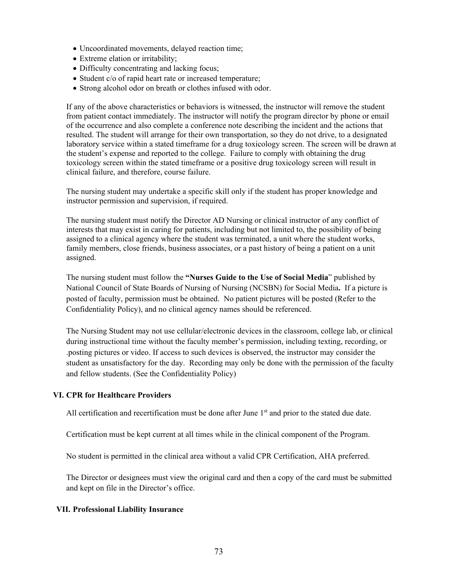- Uncoordinated movements, delayed reaction time;
- Extreme elation or irritability;
- Difficulty concentrating and lacking focus;
- Student c/o of rapid heart rate or increased temperature;
- Strong alcohol odor on breath or clothes infused with odor.

If any of the above characteristics or behaviors is witnessed, the instructor will remove the student from patient contact immediately. The instructor will notify the program director by phone or email of the occurrence and also complete a conference note describing the incident and the actions that resulted. The student will arrange for their own transportation, so they do not drive, to a designated laboratory service within a stated timeframe for a drug toxicology screen. The screen will be drawn at the student's expense and reported to the college. Failure to comply with obtaining the drug toxicology screen within the stated timeframe or a positive drug toxicology screen will result in clinical failure, and therefore, course failure.

The nursing student may undertake a specific skill only if the student has proper knowledge and instructor permission and supervision, if required.

The nursing student must notify the Director AD Nursing or clinical instructor of any conflict of interests that may exist in caring for patients, including but not limited to, the possibility of being assigned to a clinical agency where the student was terminated, a unit where the student works, family members, close friends, business associates, or a past history of being a patient on a unit assigned.

The nursing student must follow the **"Nurses Guide to the Use of Social Media**" published by National Council of State Boards of Nursing of Nursing (NCSBN) for Social Media**.** If a picture is posted of faculty, permission must be obtained. No patient pictures will be posted (Refer to the Confidentiality Policy), and no clinical agency names should be referenced.

The Nursing Student may not use cellular/electronic devices in the classroom, college lab, or clinical during instructional time without the faculty member's permission, including texting, recording, or .posting pictures or video. If access to such devices is observed, the instructor may consider the student as unsatisfactory for the day. Recording may only be done with the permission of the faculty and fellow students. (See the Confidentiality Policy)

## **VI. CPR for Healthcare Providers**

All certification and recertification must be done after June  $1<sup>st</sup>$  and prior to the stated due date.

Certification must be kept current at all times while in the clinical component of the Program.

No student is permitted in the clinical area without a valid CPR Certification, AHA preferred.

The Director or designees must view the original card and then a copy of the card must be submitted and kept on file in the Director's office.

## **VII. Professional Liability Insurance**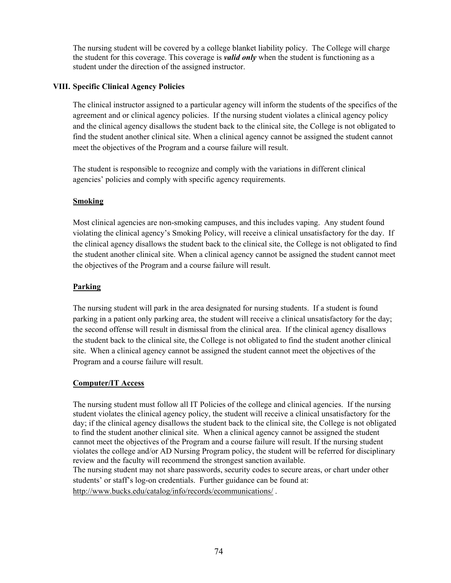The nursing student will be covered by a college blanket liability policy. The College will charge the student for this coverage. This coverage is *valid only* when the student is functioning as a student under the direction of the assigned instructor.

## **VIII. Specific Clinical Agency Policies**

The clinical instructor assigned to a particular agency will inform the students of the specifics of the agreement and or clinical agency policies. If the nursing student violates a clinical agency policy and the clinical agency disallows the student back to the clinical site, the College is not obligated to find the student another clinical site. When a clinical agency cannot be assigned the student cannot meet the objectives of the Program and a course failure will result.

The student is responsible to recognize and comply with the variations in different clinical agencies' policies and comply with specific agency requirements.

## **Smoking**

Most clinical agencies are non-smoking campuses, and this includes vaping. Any student found violating the clinical agency's Smoking Policy, will receive a clinical unsatisfactory for the day. If the clinical agency disallows the student back to the clinical site, the College is not obligated to find the student another clinical site. When a clinical agency cannot be assigned the student cannot meet the objectives of the Program and a course failure will result.

## **Parking**

The nursing student will park in the area designated for nursing students. If a student is found parking in a patient only parking area, the student will receive a clinical unsatisfactory for the day; the second offense will result in dismissal from the clinical area. If the clinical agency disallows the student back to the clinical site, the College is not obligated to find the student another clinical site. When a clinical agency cannot be assigned the student cannot meet the objectives of the Program and a course failure will result.

## **Computer/IT Access**

The nursing student must follow all IT Policies of the college and clinical agencies. If the nursing student violates the clinical agency policy, the student will receive a clinical unsatisfactory for the day; if the clinical agency disallows the student back to the clinical site, the College is not obligated to find the student another clinical site. When a clinical agency cannot be assigned the student cannot meet the objectives of the Program and a course failure will result. If the nursing student violates the college and/or AD Nursing Program policy, the student will be referred for disciplinary review and the faculty will recommend the strongest sanction available. The nursing student may not share passwords, security codes to secure areas, or chart under other students' or staff's log-on credentials. Further guidance can be found at: <http://www.bucks.edu/catalog/info/records/ecommunications/>.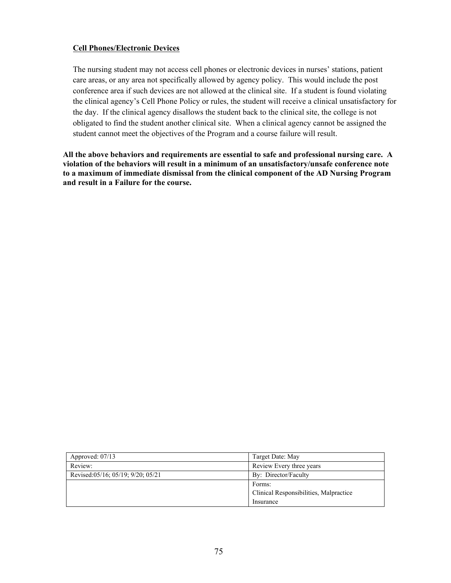## **Cell Phones/Electronic Devices**

The nursing student may not access cell phones or electronic devices in nurses' stations, patient care areas, or any area not specifically allowed by agency policy. This would include the post conference area if such devices are not allowed at the clinical site. If a student is found violating the clinical agency's Cell Phone Policy or rules, the student will receive a clinical unsatisfactory for the day. If the clinical agency disallows the student back to the clinical site, the college is not obligated to find the student another clinical site. When a clinical agency cannot be assigned the student cannot meet the objectives of the Program and a course failure will result.

**All the above behaviors and requirements are essential to safe and professional nursing care. A violation of the behaviors will result in a minimum of an unsatisfactory/unsafe conference note to a maximum of immediate dismissal from the clinical component of the AD Nursing Program and result in a Failure for the course.** 

| Approved: $07/13$                 | Target Date: May                       |
|-----------------------------------|----------------------------------------|
| Review:                           | Review Every three years               |
| Revised:05/16; 05/19; 9/20; 05/21 | By: Director/Faculty                   |
|                                   | Forms:                                 |
|                                   | Clinical Responsibilities, Malpractice |
|                                   | Insurance                              |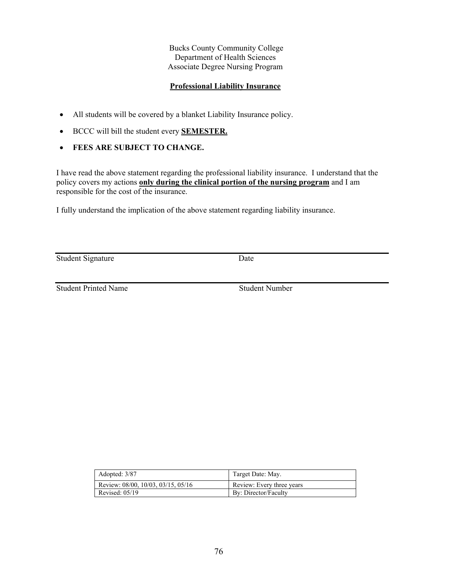## **Professional Liability Insurance**

- All students will be covered by a blanket Liability Insurance policy.
- BCCC will bill the student every **SEMESTER.**
- **FEES ARE SUBJECT TO CHANGE.**

I have read the above statement regarding the professional liability insurance. I understand that the policy covers my actions **only during the clinical portion of the nursing program** and I am responsible for the cost of the insurance.

I fully understand the implication of the above statement regarding liability insurance.

Student Signature Date

**Student Printed Name** Student Number

| Adopted: 3/87                      | Target Date: May.         |
|------------------------------------|---------------------------|
| Review: 08/00, 10/03, 03/15, 05/16 | Review: Every three years |
| Revised: $05/19$                   | By: Director/Faculty      |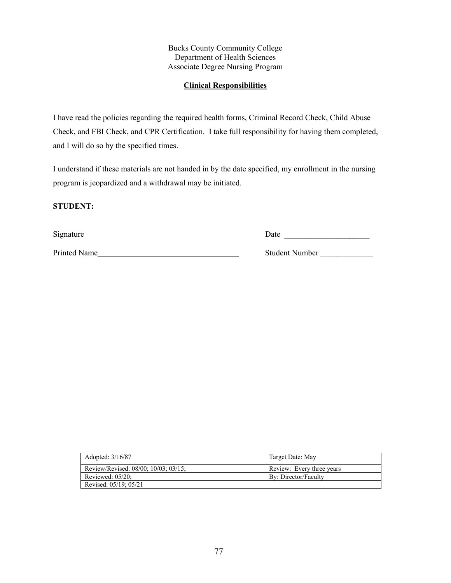## **Clinical Responsibilities**

I have read the policies regarding the required health forms, Criminal Record Check, Child Abuse Check, and FBI Check, and CPR Certification. I take full responsibility for having them completed, and I will do so by the specified times.

I understand if these materials are not handed in by the date specified, my enrollment in the nursing program is jeopardized and a withdrawal may be initiated.

## **STUDENT:**

| Signature    | Date                  |
|--------------|-----------------------|
| Printed Name | <b>Student Number</b> |

| Adopted: 3/16/87                     | Target Date: May          |
|--------------------------------------|---------------------------|
| Review/Revised: 08/00; 10/03; 03/15; | Review: Every three years |
| Reviewed: $05/20$ ;                  | By: Director/Faculty      |
| Revised: 05/19; 05/21                |                           |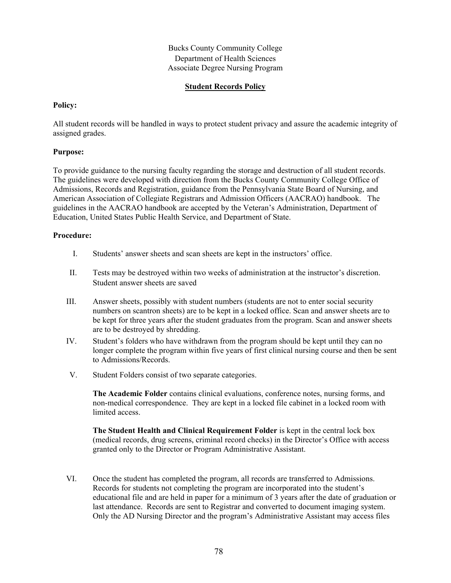## **Student Records Policy**

#### **Policy:**

All student records will be handled in ways to protect student privacy and assure the academic integrity of assigned grades.

## **Purpose:**

To provide guidance to the nursing faculty regarding the storage and destruction of all student records. The guidelines were developed with direction from the Bucks County Community College Office of Admissions, Records and Registration, guidance from the Pennsylvania State Board of Nursing, and American Association of Collegiate Registrars and Admission Officers (AACRAO) handbook. The guidelines in the AACRAO handbook are accepted by the Veteran's Administration, Department of Education, United States Public Health Service, and Department of State.

#### **Procedure:**

- I. Students' answer sheets and scan sheets are kept in the instructors' office.
- II. Tests may be destroyed within two weeks of administration at the instructor's discretion. Student answer sheets are saved
- III. Answer sheets, possibly with student numbers (students are not to enter social security numbers on scantron sheets) are to be kept in a locked office. Scan and answer sheets are to be kept for three years after the student graduates from the program. Scan and answer sheets are to be destroyed by shredding.
- IV. Student's folders who have withdrawn from the program should be kept until they can no longer complete the program within five years of first clinical nursing course and then be sent to Admissions/Records.
- V. Student Folders consist of two separate categories.

**The Academic Folder** contains clinical evaluations, conference notes, nursing forms, and non-medical correspondence. They are kept in a locked file cabinet in a locked room with limited access.

**The Student Health and Clinical Requirement Folder** is kept in the central lock box (medical records, drug screens, criminal record checks) in the Director's Office with access granted only to the Director or Program Administrative Assistant.

VI. Once the student has completed the program, all records are transferred to Admissions. Records for students not completing the program are incorporated into the student's educational file and are held in paper for a minimum of 3 years after the date of graduation or last attendance. Records are sent to Registrar and converted to document imaging system. Only the AD Nursing Director and the program's Administrative Assistant may access files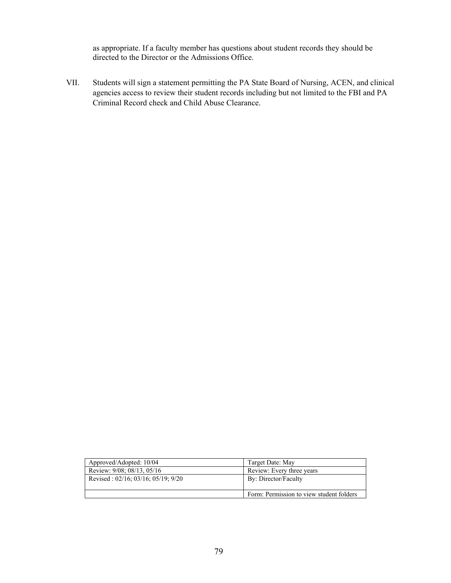as appropriate. If a faculty member has questions about student records they should be directed to the Director or the Admissions Office.

VII. Students will sign a statement permitting the PA State Board of Nursing, ACEN, and clinical agencies access to review their student records including but not limited to the FBI and PA Criminal Record check and Child Abuse Clearance.

| Approved/Adopted: 10/04                       | Target Date: May                         |  |
|-----------------------------------------------|------------------------------------------|--|
| Review: 9/08; 08/13, 05/16                    | Review: Every three years                |  |
| Revised: $02/16$ ; $03/16$ ; $05/19$ ; $9/20$ | By: Director/Faculty                     |  |
|                                               | Form: Permission to view student folders |  |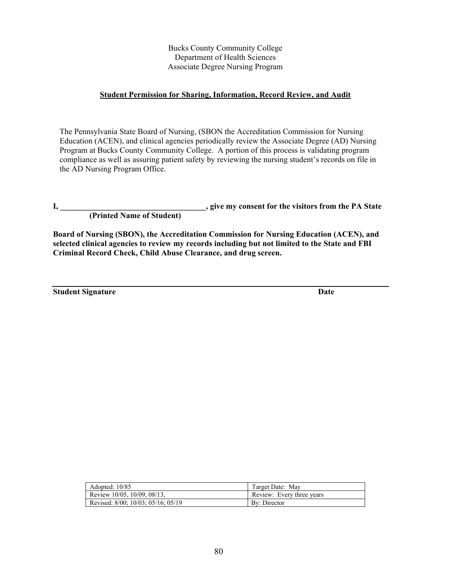## **Student Permission for Sharing, Information, Record Review, and Audit**

The Pennsylvania State Board of Nursing, (SBON the Accreditation Commission for Nursing Education (ACEN), and clinical agencies periodically review the Associate Degree (AD) Nursing Program at Bucks County Community College. A portion of this process is validating program compliance as well as assuring patient safety by reviewing the nursing student's records on file in the AD Nursing Program Office.

**I, \_\_\_\_\_\_\_\_\_\_\_\_\_\_\_\_\_\_\_\_\_\_\_\_\_\_\_\_\_\_\_\_\_\_\_\_, give my consent for the visitors from the PA State** 

 **(Printed Name of Student)**

**Board of Nursing (SBON), the Accreditation Commission for Nursing Education (ACEN), and selected clinical agencies to review my records including but not limited to the State and FBI Criminal Record Check, Child Abuse Clearance, and drug screen.**

**Student Signature Date 2018** 

| Adopted: $10/85$ |                                    | Target Date: May          |  |
|------------------|------------------------------------|---------------------------|--|
|                  | Review 10/05, 10/09, 08/13,        | Review: Every three years |  |
|                  | Revised: 8/00; 10/03; 05/16; 05/19 | By: Director              |  |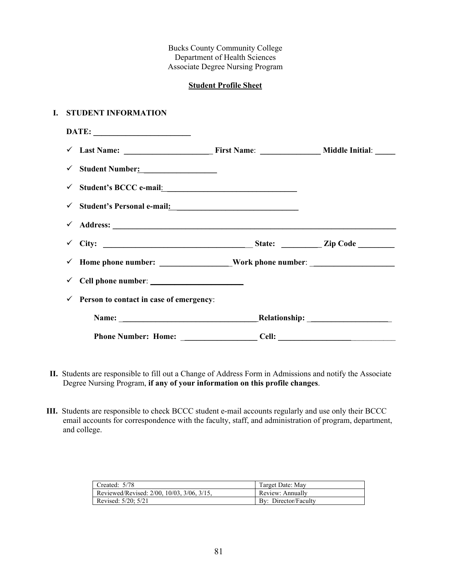## **Student Profile Sheet**

#### **I. STUDENT INFORMATION**

| $\checkmark$ Student Number:                                                       |  |
|------------------------------------------------------------------------------------|--|
|                                                                                    |  |
| <del>V</del> Student's Personal e-mail: <u>Versonal Student's Personal e-mail:</u> |  |
| $\checkmark$                                                                       |  |
|                                                                                    |  |
|                                                                                    |  |
| $\checkmark$ Cell phone number: $\_\_$                                             |  |
| Person to contact in case of emergency:                                            |  |
|                                                                                    |  |
|                                                                                    |  |

- **II.** Students are responsible to fill out a Change of Address Form in Admissions and notify the Associate Degree Nursing Program, **if any of your information on this profile changes**.
- **III.** Students are responsible to check BCCC student e-mail accounts regularly and use only their BCCC email accounts for correspondence with the faculty, staff, and administration of program, department, and college.

| Created: 5/78                                          | Target Date: May     |
|--------------------------------------------------------|----------------------|
| Reviewed/Revised: $2/00$ , $10/03$ , $3/06$ , $3/15$ , | Review: Annually     |
| Revised: 5/20: 5/21                                    | By: Director/Faculty |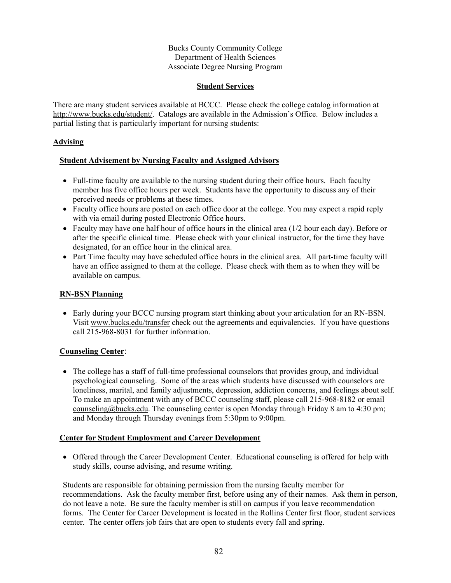## **Student Services**

There are many student services available at BCCC. Please check the college catalog information at [http://www.bucks.edu/student/.](http://www.bucks.edu/student/) Catalogs are available in the Admission's Office. Below includes a partial listing that is particularly important for nursing students:

## **Advising**

## **Student Advisement by Nursing Faculty and Assigned Advisors**

- Full-time faculty are available to the nursing student during their office hours. Each faculty member has five office hours per week. Students have the opportunity to discuss any of their perceived needs or problems at these times.
- Faculty office hours are posted on each office door at the college. You may expect a rapid reply with via email during posted Electronic Office hours.
- Faculty may have one half hour of office hours in the clinical area (1/2 hour each day). Before or after the specific clinical time. Please check with your clinical instructor, for the time they have designated, for an office hour in the clinical area.
- Part Time faculty may have scheduled office hours in the clinical area. All part-time faculty will have an office assigned to them at the college. Please check with them as to when they will be available on campus.

## **RN-BSN Planning**

• Early during your BCCC nursing program start thinking about your articulation for an RN-BSN. Visit [www.bucks.edu/transfer](http://www.bucks.edu/transfer) check out the agreements and equivalencies. If you have questions call 215-968-8031 for further information.

## **Counseling Center**:

• The college has a staff of full-time professional counselors that provides group, and individual psychological counseling. Some of the areas which students have discussed with counselors are loneliness, marital, and family adjustments, depression, addiction concerns, and feelings about self. To make an appointment with any of BCCC counseling staff, please call 215-968-8182 or email [counseling@bucks.edu.](mailto:counseling@bucks.edu) The counseling center is open Monday through Friday 8 am to 4:30 pm; and Monday through Thursday evenings from 5:30pm to 9:00pm.

## **Center for Student Employment and Career Development**

• Offered through the Career Development Center. Educational counseling is offered for help with study skills, course advising, and resume writing.

Students are responsible for obtaining permission from the nursing faculty member for recommendations. Ask the faculty member first, before using any of their names. Ask them in person, do not leave a note. Be sure the faculty member is still on campus if you leave recommendation forms. The Center for Career Development is located in the Rollins Center first floor, student services center. The center offers job fairs that are open to students every fall and spring.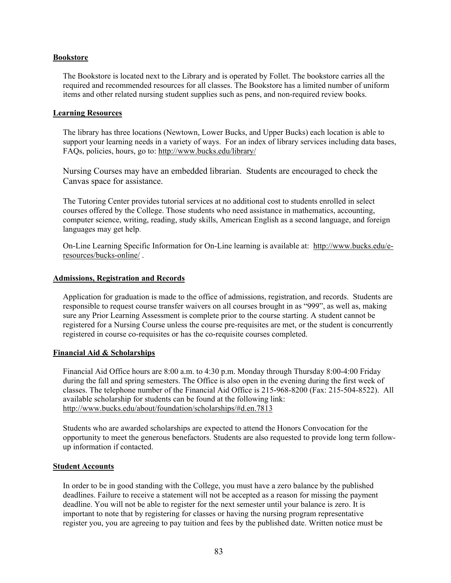#### **Bookstore**

The Bookstore is located next to the Library and is operated by Follet. The bookstore carries all the required and recommended resources for all classes. The Bookstore has a limited number of uniform items and other related nursing student supplies such as pens, and non-required review books.

#### **Learning Resources**

The library has three locations (Newtown, Lower Bucks, and Upper Bucks) each location is able to support your learning needs in a variety of ways. For an index of library services including data bases, FAQs, policies, hours, go to:<http://www.bucks.edu/library/>

Nursing Courses may have an embedded librarian. Students are encouraged to check the Canvas space for assistance.

The Tutoring Center provides tutorial services at no additional cost to students enrolled in select courses offered by the College. Those students who need assistance in mathematics, accounting, computer science, writing, reading, study skills, American English as a second language, and foreign languages may get help.

On-Line Learning Specific Information for On-Line learning is available at: [http://www.bucks.edu/e](http://www.bucks.edu/e-resources/bucks-online/)[resources/bucks-online/](http://www.bucks.edu/e-resources/bucks-online/) .

#### **Admissions, Registration and Records**

Application for graduation is made to the office of admissions, registration, and records. Students are responsible to request course transfer waivers on all courses brought in as "999", as well as, making sure any Prior Learning Assessment is complete prior to the course starting. A student cannot be registered for a Nursing Course unless the course pre-requisites are met, or the student is concurrently registered in course co-requisites or has the co-requisite courses completed.

#### **Financial Aid & Scholarships**

Financial Aid Office hours are 8:00 a.m. to 4:30 p.m. Monday through Thursday 8:00-4:00 Friday during the fall and spring semesters. The Office is also open in the evening during the first week of classes. The telephone number of the Financial Aid Office is 215-968-8200 (Fax: 215-504-8522). All available scholarship for students can be found at the following link: <http://www.bucks.edu/about/foundation/scholarships/#d.en.7813>

Students who are awarded scholarships are expected to attend the Honors Convocation for the opportunity to meet the generous benefactors. Students are also requested to provide long term followup information if contacted.

#### **Student Accounts**

In order to be in good standing with the College, you must have a zero balance by the published deadlines. Failure to receive a statement will not be accepted as a reason for missing the payment deadline. You will not be able to register for the next semester until your balance is zero. It is important to note that by registering for classes or having the nursing program representative register you, you are agreeing to pay tuition and fees by the published date. Written notice must be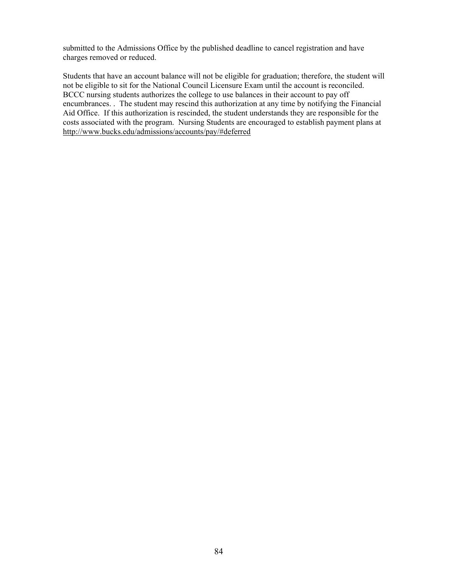submitted to the Admissions Office by the published deadline to cancel registration and have charges removed or reduced.

Students that have an account balance will not be eligible for graduation; therefore, the student will not be eligible to sit for the National Council Licensure Exam until the account is reconciled. BCCC nursing students authorizes the college to use balances in their account to pay off encumbrances. . The student may rescind this authorization at any time by notifying the Financial Aid Office. If this authorization is rescinded, the student understands they are responsible for the costs associated with the program. Nursing Students are encouraged to establish payment plans at <http://www.bucks.edu/admissions/accounts/pay/#deferred>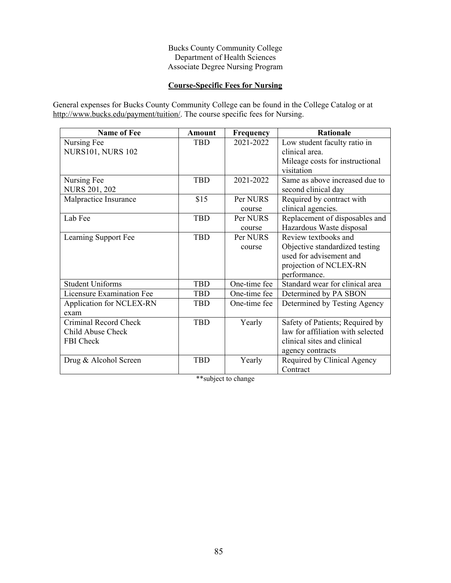# **Course-Specific Fees for Nursing**

General expenses for Bucks County Community College can be found in the College Catalog or at [http://www.bucks.edu/payment/tuition/.](http://www.bucks.edu/payment/tuition/) The course specific fees for Nursing.

| <b>Name of Fee</b>               | Amount     | Frequency    | <b>Rationale</b>                  |
|----------------------------------|------------|--------------|-----------------------------------|
| Nursing Fee                      | <b>TBD</b> | 2021-2022    | Low student faculty ratio in      |
| <b>NURS101, NURS 102</b>         |            |              | clinical area.                    |
|                                  |            |              | Mileage costs for instructional   |
|                                  |            |              | visitation                        |
| Nursing Fee                      | <b>TBD</b> | 2021-2022    | Same as above increased due to    |
| <b>NURS 201, 202</b>             |            |              | second clinical day               |
| Malpractice Insurance            | \$15       | Per NURS     | Required by contract with         |
|                                  |            | course       | clinical agencies.                |
| Lab Fee                          | <b>TBD</b> | Per NURS     | Replacement of disposables and    |
|                                  |            | course       | Hazardous Waste disposal          |
| Learning Support Fee             | <b>TBD</b> | Per NURS     | Review textbooks and              |
|                                  |            | course       | Objective standardized testing    |
|                                  |            |              | used for advisement and           |
|                                  |            |              | projection of NCLEX-RN            |
|                                  |            |              | performance.                      |
| <b>Student Uniforms</b>          | <b>TBD</b> | One-time fee | Standard wear for clinical area   |
| <b>Licensure Examination Fee</b> | TBD        | One-time fee | Determined by PA SBON             |
| Application for NCLEX-RN         | TBD        | One-time fee | Determined by Testing Agency      |
| exam                             |            |              |                                   |
| Criminal Record Check            | <b>TBD</b> | Yearly       | Safety of Patients; Required by   |
| Child Abuse Check                |            |              | law for affiliation with selected |
| FBI Check                        |            |              | clinical sites and clinical       |
|                                  |            |              | agency contracts                  |
| Drug & Alcohol Screen            | <b>TBD</b> | Yearly       | Required by Clinical Agency       |
|                                  |            |              | Contract                          |

\*\*subject to change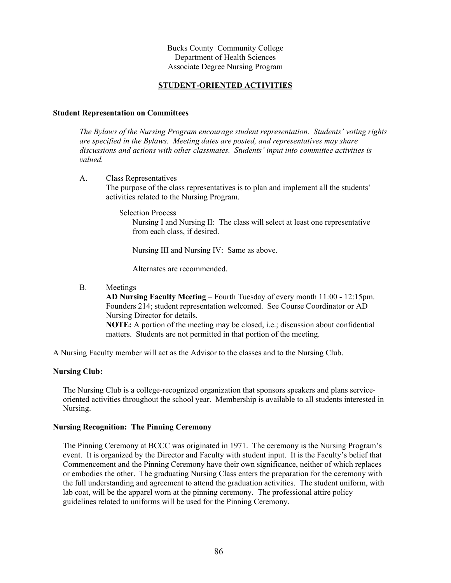## **STUDENT-ORIENTED ACTIVITIES**

#### **Student Representation on Committees**

*The Bylaws of the Nursing Program encourage student representation. Students' voting rights are specified in the Bylaws. Meeting dates are posted, and representatives may share discussions and actions with other classmates. Students' input into committee activities is valued.*

- A. Class Representatives The purpose of the class representatives is to plan and implement all the students' activities related to the Nursing Program.
	- Selection Process

Nursing I and Nursing II: The class will select at least one representative from each class, if desired.

Nursing III and Nursing IV: Same as above.

Alternates are recommended.

B. Meetings

**AD Nursing Faculty Meeting** – Fourth Tuesday of every month 11:00 - 12:15pm. Founders 214; student representation welcomed. See Course Coordinator or AD Nursing Director for details. **NOTE:** A portion of the meeting may be closed, i.e.; discussion about confidential matters. Students are not permitted in that portion of the meeting.

A Nursing Faculty member will act as the Advisor to the classes and to the Nursing Club.

## **Nursing Club:**

The Nursing Club is a college-recognized organization that sponsors speakers and plans serviceoriented activities throughout the school year. Membership is available to all students interested in Nursing.

## **Nursing Recognition: The Pinning Ceremony**

The Pinning Ceremony at BCCC was originated in 1971. The ceremony is the Nursing Program's event. It is organized by the Director and Faculty with student input. It is the Faculty's belief that Commencement and the Pinning Ceremony have their own significance, neither of which replaces or embodies the other. The graduating Nursing Class enters the preparation for the ceremony with the full understanding and agreement to attend the graduation activities. The student uniform, with lab coat, will be the apparel worn at the pinning ceremony. The professional attire policy guidelines related to uniforms will be used for the Pinning Ceremony.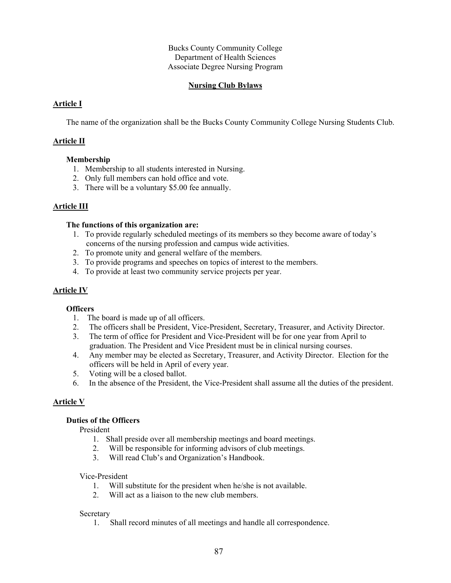## **Nursing Club Bylaws**

## **Article I**

The name of the organization shall be the Bucks County Community College Nursing Students Club.

## **Article II**

## **Membership**

- 1. Membership to all students interested in Nursing.
- 2. Only full members can hold office and vote.
- 3. There will be a voluntary \$5.00 fee annually.

## **Article III**

#### **The functions of this organization are:**

- 1. To provide regularly scheduled meetings of its members so they become aware of today's concerns of the nursing profession and campus wide activities.
- 2. To promote unity and general welfare of the members.
- 3. To provide programs and speeches on topics of interest to the members.
- 4. To provide at least two community service projects per year.

## **Article IV**

## **Officers**

- 1. The board is made up of all officers.
- 2. The officers shall be President, Vice-President, Secretary, Treasurer, and Activity Director.
- 3. The term of office for President and Vice-President will be for one year from April to graduation. The President and Vice President must be in clinical nursing courses.
- 4. Any member may be elected as Secretary, Treasurer, and Activity Director. Election for the officers will be held in April of every year.
- 5. Voting will be a closed ballot.
- 6. In the absence of the President, the Vice-President shall assume all the duties of the president.

## **Article V**

## **Duties of the Officers**

President

- 1. Shall preside over all membership meetings and board meetings.
- 2. Will be responsible for informing advisors of club meetings.
- 3. Will read Club's and Organization's Handbook.

#### Vice-President

- 1. Will substitute for the president when he/she is not available.
- 2. Will act as a liaison to the new club members.

#### Secretary

1. Shall record minutes of all meetings and handle all correspondence.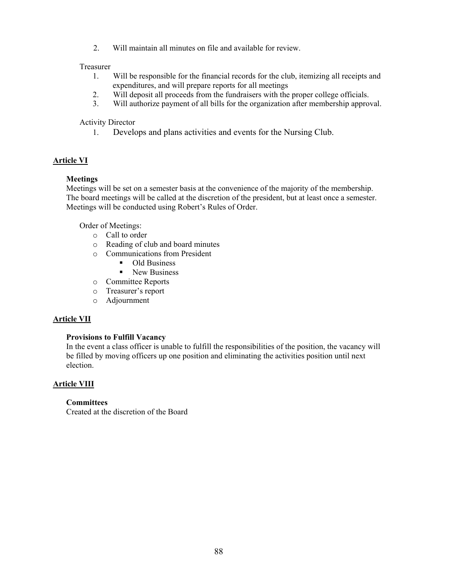2. Will maintain all minutes on file and available for review.

## Treasurer

- 1. Will be responsible for the financial records for the club, itemizing all receipts and expenditures, and will prepare reports for all meetings
- 2. Will deposit all proceeds from the fundraisers with the proper college officials.
- 3. Will authorize payment of all bills for the organization after membership approval.

## Activity Director

1. Develops and plans activities and events for the Nursing Club.

## **Article VI**

## **Meetings**

Meetings will be set on a semester basis at the convenience of the majority of the membership. The board meetings will be called at the discretion of the president, but at least once a semester. Meetings will be conducted using Robert's Rules of Order.

Order of Meetings:

- o Call to order
- o Reading of club and board minutes
- o Communications from President
	- Old Business
	- New Business
- o Committee Reports
- o Treasurer's report
- o Adjournment

## **Article VII**

## **Provisions to Fulfill Vacancy**

In the event a class officer is unable to fulfill the responsibilities of the position, the vacancy will be filled by moving officers up one position and eliminating the activities position until next election.

## **Article VIII**

## **Committees**

Created at the discretion of the Board